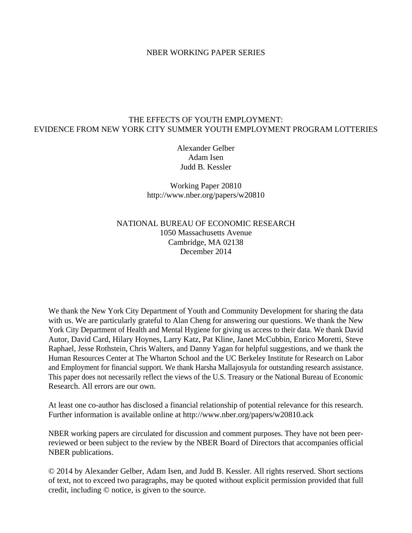### NBER WORKING PAPER SERIES

# THE EFFECTS OF YOUTH EMPLOYMENT: EVIDENCE FROM NEW YORK CITY SUMMER YOUTH EMPLOYMENT PROGRAM LOTTERIES

Alexander Gelber Adam Isen Judd B. Kessler

Working Paper 20810 http://www.nber.org/papers/w20810

NATIONAL BUREAU OF ECONOMIC RESEARCH 1050 Massachusetts Avenue Cambridge, MA 02138 December 2014

We thank the New York City Department of Youth and Community Development for sharing the data with us. We are particularly grateful to Alan Cheng for answering our questions. We thank the New York City Department of Health and Mental Hygiene for giving us access to their data. We thank David Autor, David Card, Hilary Hoynes, Larry Katz, Pat Kline, Janet McCubbin, Enrico Moretti, Steve Raphael, Jesse Rothstein, Chris Walters, and Danny Yagan for helpful suggestions, and we thank the Human Resources Center at The Wharton School and the UC Berkeley Institute for Research on Labor and Employment for financial support. We thank Harsha Mallajosyula for outstanding research assistance. This paper does not necessarily reflect the views of the U.S. Treasury or the National Bureau of Economic Research. All errors are our own.

At least one co-author has disclosed a financial relationship of potential relevance for this research. Further information is available online at http://www.nber.org/papers/w20810.ack

NBER working papers are circulated for discussion and comment purposes. They have not been peerreviewed or been subject to the review by the NBER Board of Directors that accompanies official NBER publications.

© 2014 by Alexander Gelber, Adam Isen, and Judd B. Kessler. All rights reserved. Short sections of text, not to exceed two paragraphs, may be quoted without explicit permission provided that full credit, including © notice, is given to the source.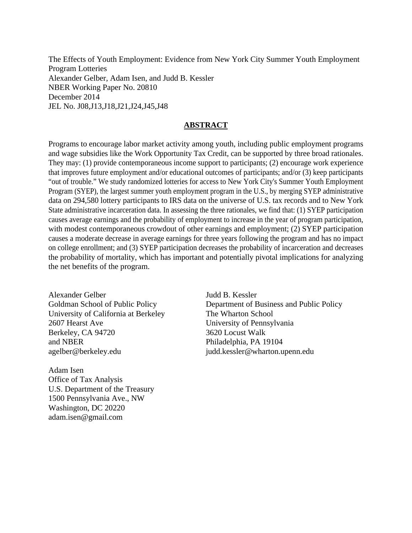The Effects of Youth Employment: Evidence from New York City Summer Youth Employment Program Lotteries Alexander Gelber, Adam Isen, and Judd B. Kessler NBER Working Paper No. 20810 December 2014 JEL No. J08,J13,J18,J21,J24,J45,J48

### **ABSTRACT**

Programs to encourage labor market activity among youth, including public employment programs and wage subsidies like the Work Opportunity Tax Credit, can be supported by three broad rationales. They may: (1) provide contemporaneous income support to participants; (2) encourage work experience that improves future employment and/or educational outcomes of participants; and/or (3) keep participants "out of trouble." We study randomized lotteries for access to New York City's Summer Youth Employment Program (SYEP), the largest summer youth employment program in the U.S., by merging SYEP administrative data on 294,580 lottery participants to IRS data on the universe of U.S. tax records and to New York State administrative incarceration data. In assessing the three rationales, we find that: (1) SYEP participation causes average earnings and the probability of employment to increase in the year of program participation, with modest contemporaneous crowdout of other earnings and employment; (2) SYEP participation causes a moderate decrease in average earnings for three years following the program and has no impact on college enrollment; and (3) SYEP participation decreases the probability of incarceration and decreases the probability of mortality, which has important and potentially pivotal implications for analyzing the net benefits of the program.

Alexander Gelber Goldman School of Public Policy University of California at Berkeley 2607 Hearst Ave Berkeley, CA 94720 and NBER agelber@berkeley.edu

Adam Isen Office of Tax Analysis U.S. Department of the Treasury 1500 Pennsylvania Ave., NW Washington, DC 20220 adam.isen@gmail.com

Judd B. Kessler Department of Business and Public Policy The Wharton School University of Pennsylvania 3620 Locust Walk Philadelphia, PA 19104 judd.kessler@wharton.upenn.edu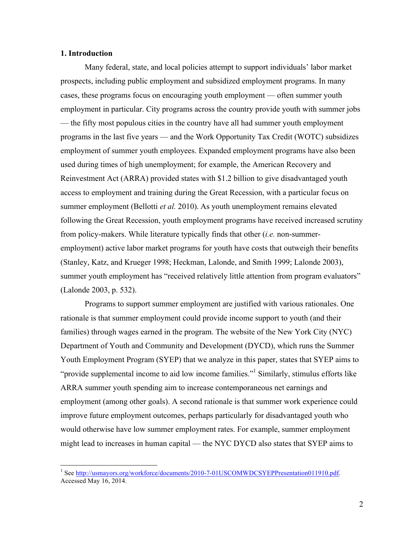### **1. Introduction**

Many federal, state, and local policies attempt to support individuals' labor market prospects, including public employment and subsidized employment programs. In many cases, these programs focus on encouraging youth employment — often summer youth employment in particular. City programs across the country provide youth with summer jobs — the fifty most populous cities in the country have all had summer youth employment programs in the last five years — and the Work Opportunity Tax Credit (WOTC) subsidizes employment of summer youth employees. Expanded employment programs have also been used during times of high unemployment; for example, the American Recovery and Reinvestment Act (ARRA) provided states with \$1.2 billion to give disadvantaged youth access to employment and training during the Great Recession, with a particular focus on summer employment (Bellotti *et al.* 2010). As youth unemployment remains elevated following the Great Recession, youth employment programs have received increased scrutiny from policy-makers. While literature typically finds that other (*i.e.* non-summeremployment) active labor market programs for youth have costs that outweigh their benefits (Stanley, Katz, and Krueger 1998; Heckman, Lalonde, and Smith 1999; Lalonde 2003), summer youth employment has "received relatively little attention from program evaluators" (Lalonde 2003, p. 532).

Programs to support summer employment are justified with various rationales. One rationale is that summer employment could provide income support to youth (and their families) through wages earned in the program. The website of the New York City (NYC) Department of Youth and Community and Development (DYCD), which runs the Summer Youth Employment Program (SYEP) that we analyze in this paper, states that SYEP aims to "provide supplemental income to aid low income families."<sup>1</sup> Similarly, stimulus efforts like ARRA summer youth spending aim to increase contemporaneous net earnings and employment (among other goals). A second rationale is that summer work experience could improve future employment outcomes, perhaps particularly for disadvantaged youth who would otherwise have low summer employment rates. For example, summer employment might lead to increases in human capital — the NYC DYCD also states that SYEP aims to

<sup>&</sup>lt;sup>1</sup> See http://usmayors.org/workforce/documents/2010-7-01USCOMWDCSYEPPresentation011910.pdf. Accessed May 16, 2014.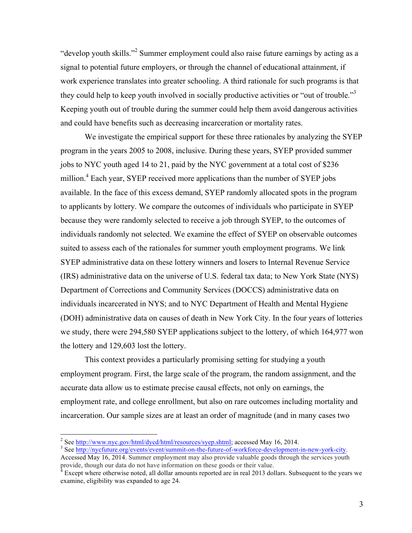"develop youth skills."<sup>2</sup> Summer employment could also raise future earnings by acting as a signal to potential future employers, or through the channel of educational attainment, if work experience translates into greater schooling. A third rationale for such programs is that they could help to keep youth involved in socially productive activities or "out of trouble."<sup>3</sup> Keeping youth out of trouble during the summer could help them avoid dangerous activities and could have benefits such as decreasing incarceration or mortality rates.

We investigate the empirical support for these three rationales by analyzing the SYEP program in the years 2005 to 2008, inclusive. During these years, SYEP provided summer jobs to NYC youth aged 14 to 21, paid by the NYC government at a total cost of \$236 million.<sup>4</sup> Each year, SYEP received more applications than the number of SYEP jobs available. In the face of this excess demand, SYEP randomly allocated spots in the program to applicants by lottery. We compare the outcomes of individuals who participate in SYEP because they were randomly selected to receive a job through SYEP, to the outcomes of individuals randomly not selected. We examine the effect of SYEP on observable outcomes suited to assess each of the rationales for summer youth employment programs. We link SYEP administrative data on these lottery winners and losers to Internal Revenue Service (IRS) administrative data on the universe of U.S. federal tax data; to New York State (NYS) Department of Corrections and Community Services (DOCCS) administrative data on individuals incarcerated in NYS; and to NYC Department of Health and Mental Hygiene (DOH) administrative data on causes of death in New York City. In the four years of lotteries we study, there were 294,580 SYEP applications subject to the lottery, of which 164,977 won the lottery and 129,603 lost the lottery.

This context provides a particularly promising setting for studying a youth employment program. First, the large scale of the program, the random assignment, and the accurate data allow us to estimate precise causal effects, not only on earnings, the employment rate, and college enrollment, but also on rare outcomes including mortality and incarceration. Our sample sizes are at least an order of magnitude (and in many cases two

<sup>&</sup>lt;sup>2</sup> See http://www.nyc.gov/html/dycd/html/resources/syep.shtml; accessed May 16, 2014.<br><sup>3</sup> See http://nycfuture.org/events/event/summit-on-the-future-of-workforce-development-in-new-york-city.

Accessed May 16, 2014. Summer employment may also provide valuable goods through the services youth provide, though our data do not have information on these goods or their value.<br><sup>4</sup> Except where otherwise noted, all dollar amounts reported are in real 2013 dollars. Subsequent to the years we

examine, eligibility was expanded to age 24.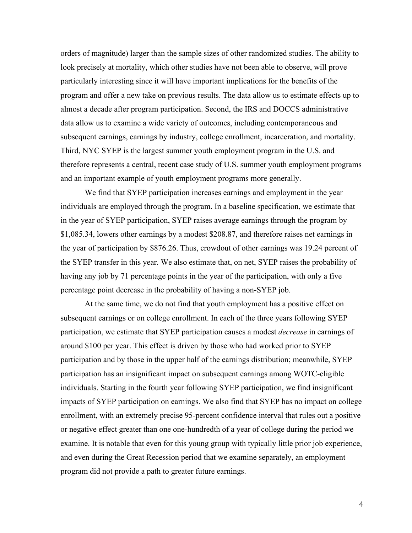orders of magnitude) larger than the sample sizes of other randomized studies. The ability to look precisely at mortality, which other studies have not been able to observe, will prove particularly interesting since it will have important implications for the benefits of the program and offer a new take on previous results. The data allow us to estimate effects up to almost a decade after program participation. Second, the IRS and DOCCS administrative data allow us to examine a wide variety of outcomes, including contemporaneous and subsequent earnings, earnings by industry, college enrollment, incarceration, and mortality. Third, NYC SYEP is the largest summer youth employment program in the U.S. and therefore represents a central, recent case study of U.S. summer youth employment programs and an important example of youth employment programs more generally.

We find that SYEP participation increases earnings and employment in the year individuals are employed through the program. In a baseline specification, we estimate that in the year of SYEP participation, SYEP raises average earnings through the program by \$1,085.34, lowers other earnings by a modest \$208.87, and therefore raises net earnings in the year of participation by \$876.26. Thus, crowdout of other earnings was 19.24 percent of the SYEP transfer in this year. We also estimate that, on net, SYEP raises the probability of having any job by 71 percentage points in the year of the participation, with only a five percentage point decrease in the probability of having a non-SYEP job.

At the same time, we do not find that youth employment has a positive effect on subsequent earnings or on college enrollment. In each of the three years following SYEP participation, we estimate that SYEP participation causes a modest *decrease* in earnings of around \$100 per year. This effect is driven by those who had worked prior to SYEP participation and by those in the upper half of the earnings distribution; meanwhile, SYEP participation has an insignificant impact on subsequent earnings among WOTC-eligible individuals. Starting in the fourth year following SYEP participation, we find insignificant impacts of SYEP participation on earnings. We also find that SYEP has no impact on college enrollment, with an extremely precise 95-percent confidence interval that rules out a positive or negative effect greater than one one-hundredth of a year of college during the period we examine. It is notable that even for this young group with typically little prior job experience, and even during the Great Recession period that we examine separately, an employment program did not provide a path to greater future earnings.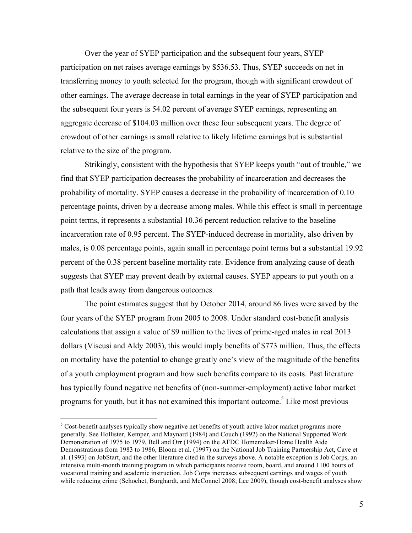Over the year of SYEP participation and the subsequent four years, SYEP participation on net raises average earnings by \$536.53. Thus, SYEP succeeds on net in transferring money to youth selected for the program, though with significant crowdout of other earnings. The average decrease in total earnings in the year of SYEP participation and the subsequent four years is 54.02 percent of average SYEP earnings, representing an aggregate decrease of \$104.03 million over these four subsequent years. The degree of crowdout of other earnings is small relative to likely lifetime earnings but is substantial relative to the size of the program.

Strikingly, consistent with the hypothesis that SYEP keeps youth "out of trouble," we find that SYEP participation decreases the probability of incarceration and decreases the probability of mortality. SYEP causes a decrease in the probability of incarceration of 0.10 percentage points, driven by a decrease among males. While this effect is small in percentage point terms, it represents a substantial 10.36 percent reduction relative to the baseline incarceration rate of 0.95 percent. The SYEP-induced decrease in mortality, also driven by males, is 0.08 percentage points, again small in percentage point terms but a substantial 19.92 percent of the 0.38 percent baseline mortality rate. Evidence from analyzing cause of death suggests that SYEP may prevent death by external causes. SYEP appears to put youth on a path that leads away from dangerous outcomes.

The point estimates suggest that by October 2014, around 86 lives were saved by the four years of the SYEP program from 2005 to 2008. Under standard cost-benefit analysis calculations that assign a value of \$9 million to the lives of prime-aged males in real 2013 dollars (Viscusi and Aldy 2003), this would imply benefits of \$773 million. Thus, the effects on mortality have the potential to change greatly one's view of the magnitude of the benefits of a youth employment program and how such benefits compare to its costs. Past literature has typically found negative net benefits of (non-summer-employment) active labor market programs for youth, but it has not examined this important outcome. <sup>5</sup> Like most previous

 $<sup>5</sup>$  Cost-benefit analyses typically show negative net benefits of youth active labor market programs more</sup> generally. See Hollister, Kemper, and Maynard (1984) and Couch (1992) on the National Supported Work Demonstration of 1975 to 1979, Bell and Orr (1994) on the AFDC Homemaker-Home Health Aide Demonstrations from 1983 to 1986, Bloom et al. (1997) on the National Job Training Partnership Act, Cave et al. (1993) on JobStart, and the other literature cited in the surveys above. A notable exception is Job Corps, an intensive multi-month training program in which participants receive room, board, and around 1100 hours of vocational training and academic instruction. Job Corps increases subsequent earnings and wages of youth while reducing crime (Schochet, Burghardt, and McConnel 2008; Lee 2009), though cost-benefit analyses show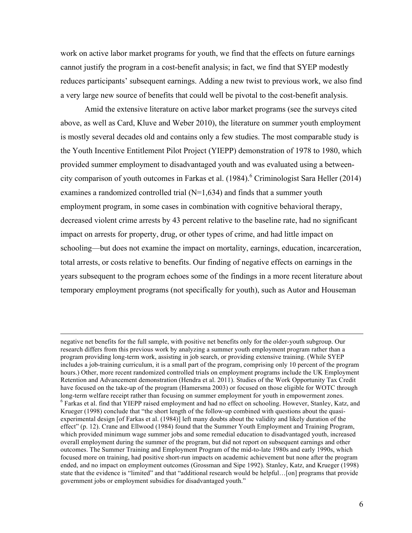work on active labor market programs for youth, we find that the effects on future earnings cannot justify the program in a cost-benefit analysis; in fact, we find that SYEP modestly reduces participants' subsequent earnings. Adding a new twist to previous work, we also find a very large new source of benefits that could well be pivotal to the cost-benefit analysis.

Amid the extensive literature on active labor market programs (see the surveys cited above, as well as Card, Kluve and Weber 2010), the literature on summer youth employment is mostly several decades old and contains only a few studies. The most comparable study is the Youth Incentive Entitlement Pilot Project (YIEPP) demonstration of 1978 to 1980, which provided summer employment to disadvantaged youth and was evaluated using a betweencity comparison of youth outcomes in Farkas et al. (1984). <sup>6</sup> Criminologist Sara Heller (2014) examines a randomized controlled trial (N=1,634) and finds that a summer youth employment program, in some cases in combination with cognitive behavioral therapy, decreased violent crime arrests by 43 percent relative to the baseline rate, had no significant impact on arrests for property, drug, or other types of crime, and had little impact on schooling—but does not examine the impact on mortality, earnings, education, incarceration, total arrests, or costs relative to benefits. Our finding of negative effects on earnings in the years subsequent to the program echoes some of the findings in a more recent literature about temporary employment programs (not specifically for youth), such as Autor and Houseman

negative net benefits for the full sample, with positive net benefits only for the older-youth subgroup. Our research differs from this previous work by analyzing a summer youth employment program rather than a program providing long-term work, assisting in job search, or providing extensive training. (While SYEP includes a job-training curriculum, it is a small part of the program, comprising only 10 percent of the program hours.) Other, more recent randomized controlled trials on employment programs include the UK Employment Retention and Advancement demonstration (Hendra et al. 2011). Studies of the Work Opportunity Tax Credit have focused on the take-up of the program (Hamersma 2003) or focused on those eligible for WOTC through long-term welfare receipt rather than focusing on summer employment for youth in empowerment zones.<br><sup>6</sup> Farkas et al. find that YIEPP raised employment and had no effect on schooling. However, Stanley, Katz, and Krueger (1998) conclude that "the short length of the follow-up combined with questions about the quasiexperimental design [of Farkas et al. (1984)] left many doubts about the validity and likely duration of the effect" (p. 12). Crane and Ellwood (1984) found that the Summer Youth Employment and Training Program, which provided minimum wage summer jobs and some remedial education to disadvantaged youth, increased overall employment during the summer of the program, but did not report on subsequent earnings and other outcomes. The Summer Training and Employment Program of the mid-to-late 1980s and early 1990s, which focused more on training, had positive short-run impacts on academic achievement but none after the program ended, and no impact on employment outcomes (Grossman and Sipe 1992). Stanley, Katz, and Krueger (1998) state that the evidence is "limited" and that "additional research would be helpful…[on] programs that provide government jobs or employment subsidies for disadvantaged youth."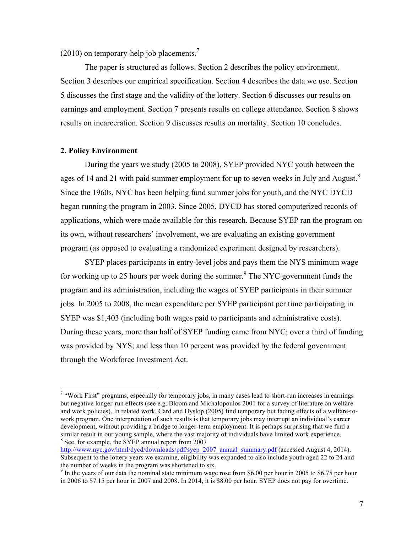$(2010)$  on temporary-help job placements.<sup>7</sup>

The paper is structured as follows. Section 2 describes the policy environment. Section 3 describes our empirical specification. Section 4 describes the data we use. Section 5 discusses the first stage and the validity of the lottery. Section 6 discusses our results on earnings and employment. Section 7 presents results on college attendance. Section 8 shows results on incarceration. Section 9 discusses results on mortality. Section 10 concludes.

#### **2. Policy Environment**

During the years we study (2005 to 2008), SYEP provided NYC youth between the ages of 14 and 21 with paid summer employment for up to seven weeks in July and August. $8$ Since the 1960s, NYC has been helping fund summer jobs for youth, and the NYC DYCD began running the program in 2003. Since 2005, DYCD has stored computerized records of applications, which were made available for this research. Because SYEP ran the program on its own, without researchers' involvement, we are evaluating an existing government program (as opposed to evaluating a randomized experiment designed by researchers).

SYEP places participants in entry-level jobs and pays them the NYS minimum wage for working up to 25 hours per week during the summer.<sup>9</sup> The NYC government funds the program and its administration, including the wages of SYEP participants in their summer jobs. In 2005 to 2008, the mean expenditure per SYEP participant per time participating in SYEP was \$1,403 (including both wages paid to participants and administrative costs). During these years, more than half of SYEP funding came from NYC; over a third of funding was provided by NYS; and less than 10 percent was provided by the federal government through the Workforce Investment Act.

<sup>&</sup>lt;sup>7</sup> "Work First" programs, especially for temporary jobs, in many cases lead to short-run increases in earnings but negative longer-run effects (see e.g. Bloom and Michalopoulos 2001 for a survey of literature on welfare and work policies). In related work, Card and Hyslop (2005) find temporary but fading effects of a welfare-towork program. One interpretation of such results is that temporary jobs may interrupt an individual's career development, without providing a bridge to longer-term employment. It is perhaps surprising that we find a similar result in our young sample, where the vast majority of individuals have limited work experience.  $8$  See, for example, the SYEP annual report from 2007

http://www.nyc.gov/html/dycd/downloads/pdf/syep\_2007\_annual\_summary.pdf (accessed August 4, 2014). Subsequent to the lottery years we examine, eligibility was expanded to also include youth aged 22 to 24 and the number of weeks in the program was shortened to six.

<sup>&</sup>lt;sup>9</sup> In the vears of our data the nominal state minimum wage rose from \$6.00 per hour in 2005 to \$6.75 per hour in 2006 to \$7.15 per hour in 2007 and 2008. In 2014, it is \$8.00 per hour. SYEP does not pay for overtime.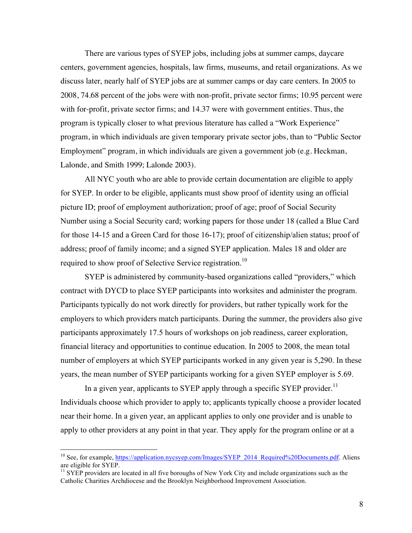There are various types of SYEP jobs, including jobs at summer camps, daycare centers, government agencies, hospitals, law firms, museums, and retail organizations. As we discuss later, nearly half of SYEP jobs are at summer camps or day care centers. In 2005 to 2008, 74.68 percent of the jobs were with non-profit, private sector firms; 10.95 percent were with for-profit, private sector firms; and 14.37 were with government entities. Thus, the program is typically closer to what previous literature has called a "Work Experience" program, in which individuals are given temporary private sector jobs, than to "Public Sector Employment" program, in which individuals are given a government job (e.g. Heckman, Lalonde, and Smith 1999; Lalonde 2003).

All NYC youth who are able to provide certain documentation are eligible to apply for SYEP. In order to be eligible, applicants must show proof of identity using an official picture ID; proof of employment authorization; proof of age; proof of Social Security Number using a Social Security card; working papers for those under 18 (called a Blue Card for those 14-15 and a Green Card for those 16-17); proof of citizenship/alien status; proof of address; proof of family income; and a signed SYEP application. Males 18 and older are required to show proof of Selective Service registration.<sup>10</sup>

SYEP is administered by community-based organizations called "providers," which contract with DYCD to place SYEP participants into worksites and administer the program. Participants typically do not work directly for providers, but rather typically work for the employers to which providers match participants. During the summer, the providers also give participants approximately 17.5 hours of workshops on job readiness, career exploration, financial literacy and opportunities to continue education. In 2005 to 2008, the mean total number of employers at which SYEP participants worked in any given year is 5,290. In these years, the mean number of SYEP participants working for a given SYEP employer is 5.69.

In a given year, applicants to SYEP apply through a specific SYEP provider.<sup>11</sup> Individuals choose which provider to apply to; applicants typically choose a provider located near their home. In a given year, an applicant applies to only one provider and is unable to apply to other providers at any point in that year. They apply for the program online or at a

<sup>&</sup>lt;sup>10</sup> See, for example, https://application.nycsyep.com/Images/SYEP\_2014\_Required%20Documents.pdf. Aliens are eligible for SYEP.

 $11$  SYEP providers are located in all five boroughs of New York City and include organizations such as the Catholic Charities Archdiocese and the Brooklyn Neighborhood Improvement Association.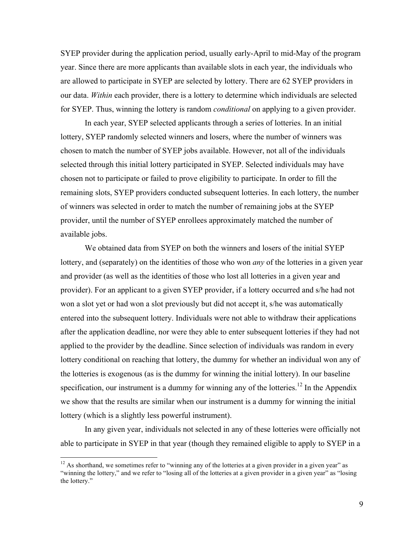SYEP provider during the application period, usually early-April to mid-May of the program year. Since there are more applicants than available slots in each year, the individuals who are allowed to participate in SYEP are selected by lottery. There are 62 SYEP providers in our data. *Within* each provider, there is a lottery to determine which individuals are selected for SYEP. Thus, winning the lottery is random *conditional* on applying to a given provider.

In each year, SYEP selected applicants through a series of lotteries. In an initial lottery, SYEP randomly selected winners and losers, where the number of winners was chosen to match the number of SYEP jobs available. However, not all of the individuals selected through this initial lottery participated in SYEP. Selected individuals may have chosen not to participate or failed to prove eligibility to participate. In order to fill the remaining slots, SYEP providers conducted subsequent lotteries. In each lottery, the number of winners was selected in order to match the number of remaining jobs at the SYEP provider, until the number of SYEP enrollees approximately matched the number of available jobs.

We obtained data from SYEP on both the winners and losers of the initial SYEP lottery, and (separately) on the identities of those who won *any* of the lotteries in a given year and provider (as well as the identities of those who lost all lotteries in a given year and provider). For an applicant to a given SYEP provider, if a lottery occurred and s/he had not won a slot yet or had won a slot previously but did not accept it, s/he was automatically entered into the subsequent lottery. Individuals were not able to withdraw their applications after the application deadline, nor were they able to enter subsequent lotteries if they had not applied to the provider by the deadline. Since selection of individuals was random in every lottery conditional on reaching that lottery, the dummy for whether an individual won any of the lotteries is exogenous (as is the dummy for winning the initial lottery). In our baseline specification, our instrument is a dummy for winning any of the lotteries.<sup>12</sup> In the Appendix we show that the results are similar when our instrument is a dummy for winning the initial lottery (which is a slightly less powerful instrument).

In any given year, individuals not selected in any of these lotteries were officially not able to participate in SYEP in that year (though they remained eligible to apply to SYEP in a

<sup>&</sup>lt;sup>12</sup> As shorthand, we sometimes refer to "winning any of the lotteries at a given provider in a given year" as "winning the lottery," and we refer to "losing all of the lotteries at a given provider in a given year" as "losing the lottery."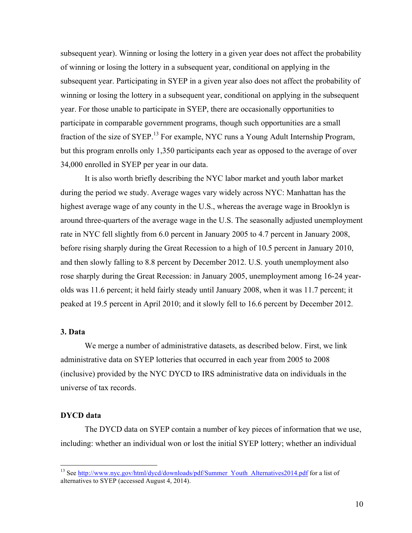subsequent year). Winning or losing the lottery in a given year does not affect the probability of winning or losing the lottery in a subsequent year, conditional on applying in the subsequent year. Participating in SYEP in a given year also does not affect the probability of winning or losing the lottery in a subsequent year, conditional on applying in the subsequent year. For those unable to participate in SYEP, there are occasionally opportunities to participate in comparable government programs, though such opportunities are a small fraction of the size of SYEP.<sup>13</sup> For example, NYC runs a Young Adult Internship Program, but this program enrolls only 1,350 participants each year as opposed to the average of over 34,000 enrolled in SYEP per year in our data.

It is also worth briefly describing the NYC labor market and youth labor market during the period we study. Average wages vary widely across NYC: Manhattan has the highest average wage of any county in the U.S., whereas the average wage in Brooklyn is around three-quarters of the average wage in the U.S. The seasonally adjusted unemployment rate in NYC fell slightly from 6.0 percent in January 2005 to 4.7 percent in January 2008, before rising sharply during the Great Recession to a high of 10.5 percent in January 2010, and then slowly falling to 8.8 percent by December 2012. U.S. youth unemployment also rose sharply during the Great Recession: in January 2005, unemployment among 16-24 yearolds was 11.6 percent; it held fairly steady until January 2008, when it was 11.7 percent; it peaked at 19.5 percent in April 2010; and it slowly fell to 16.6 percent by December 2012.

# **3. Data**

We merge a number of administrative datasets, as described below. First, we link administrative data on SYEP lotteries that occurred in each year from 2005 to 2008 (inclusive) provided by the NYC DYCD to IRS administrative data on individuals in the universe of tax records.

# **DYCD data**

The DYCD data on SYEP contain a number of key pieces of information that we use, including: whether an individual won or lost the initial SYEP lottery; whether an individual

<sup>&</sup>lt;sup>13</sup> See http://www.nyc.gov/html/dycd/downloads/pdf/Summer\_Youth\_Alternatives2014.pdf for a list of alternatives to SYEP (accessed August 4, 2014).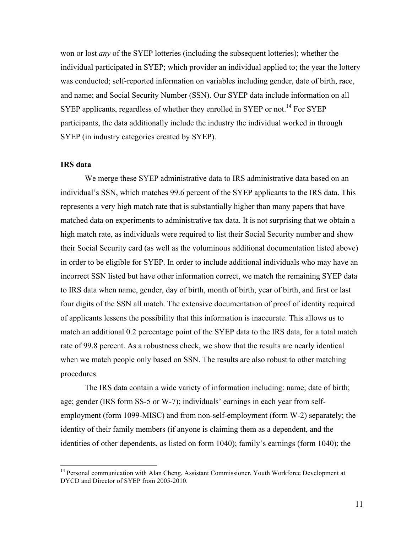won or lost *any* of the SYEP lotteries (including the subsequent lotteries); whether the individual participated in SYEP; which provider an individual applied to; the year the lottery was conducted; self-reported information on variables including gender, date of birth, race, and name; and Social Security Number (SSN). Our SYEP data include information on all SYEP applicants, regardless of whether they enrolled in SYEP or not.<sup>14</sup> For SYEP participants, the data additionally include the industry the individual worked in through SYEP (in industry categories created by SYEP).

# **IRS data**

We merge these SYEP administrative data to IRS administrative data based on an individual's SSN, which matches 99.6 percent of the SYEP applicants to the IRS data. This represents a very high match rate that is substantially higher than many papers that have matched data on experiments to administrative tax data. It is not surprising that we obtain a high match rate, as individuals were required to list their Social Security number and show their Social Security card (as well as the voluminous additional documentation listed above) in order to be eligible for SYEP. In order to include additional individuals who may have an incorrect SSN listed but have other information correct, we match the remaining SYEP data to IRS data when name, gender, day of birth, month of birth, year of birth, and first or last four digits of the SSN all match. The extensive documentation of proof of identity required of applicants lessens the possibility that this information is inaccurate. This allows us to match an additional 0.2 percentage point of the SYEP data to the IRS data, for a total match rate of 99.8 percent. As a robustness check, we show that the results are nearly identical when we match people only based on SSN. The results are also robust to other matching procedures.

The IRS data contain a wide variety of information including: name; date of birth; age; gender (IRS form SS-5 or W-7); individuals' earnings in each year from selfemployment (form 1099-MISC) and from non-self-employment (form W-2) separately; the identity of their family members (if anyone is claiming them as a dependent, and the identities of other dependents, as listed on form 1040); family's earnings (form 1040); the

<sup>&</sup>lt;sup>14</sup> Personal communication with Alan Cheng, Assistant Commissioner, Youth Workforce Development at DYCD and Director of SYEP from 2005-2010.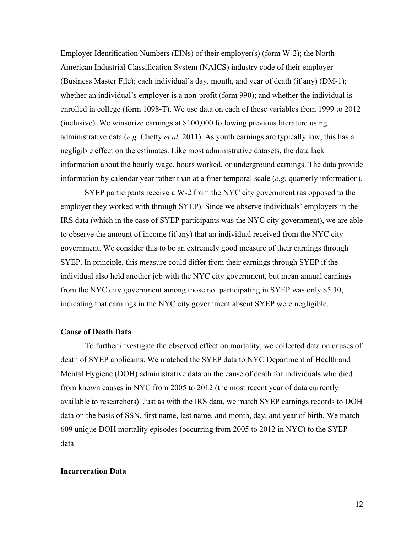Employer Identification Numbers (EINs) of their employer(s) (form W-2); the North American Industrial Classification System (NAICS) industry code of their employer (Business Master File); each individual's day, month, and year of death (if any) (DM-1); whether an individual's employer is a non-profit (form 990); and whether the individual is enrolled in college (form 1098-T). We use data on each of these variables from 1999 to 2012 (inclusive). We winsorize earnings at \$100,000 following previous literature using administrative data (*e.g.* Chetty *et al.* 2011). As youth earnings are typically low, this has a negligible effect on the estimates. Like most administrative datasets, the data lack information about the hourly wage, hours worked, or underground earnings. The data provide information by calendar year rather than at a finer temporal scale (*e.g.* quarterly information).

SYEP participants receive a W-2 from the NYC city government (as opposed to the employer they worked with through SYEP). Since we observe individuals' employers in the IRS data (which in the case of SYEP participants was the NYC city government), we are able to observe the amount of income (if any) that an individual received from the NYC city government. We consider this to be an extremely good measure of their earnings through SYEP. In principle, this measure could differ from their earnings through SYEP if the individual also held another job with the NYC city government, but mean annual earnings from the NYC city government among those not participating in SYEP was only \$5.10, indicating that earnings in the NYC city government absent SYEP were negligible.

# **Cause of Death Data**

To further investigate the observed effect on mortality, we collected data on causes of death of SYEP applicants. We matched the SYEP data to NYC Department of Health and Mental Hygiene (DOH) administrative data on the cause of death for individuals who died from known causes in NYC from 2005 to 2012 (the most recent year of data currently available to researchers). Just as with the IRS data, we match SYEP earnings records to DOH data on the basis of SSN, first name, last name, and month, day, and year of birth. We match 609 unique DOH mortality episodes (occurring from 2005 to 2012 in NYC) to the SYEP data.

### **Incarceration Data**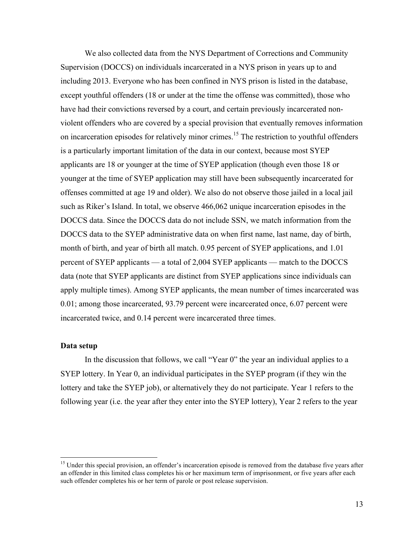We also collected data from the NYS Department of Corrections and Community Supervision (DOCCS) on individuals incarcerated in a NYS prison in years up to and including 2013. Everyone who has been confined in NYS prison is listed in the database, except youthful offenders (18 or under at the time the offense was committed), those who have had their convictions reversed by a court, and certain previously incarcerated nonviolent offenders who are covered by a special provision that eventually removes information on incarceration episodes for relatively minor crimes.<sup>15</sup> The restriction to youthful offenders is a particularly important limitation of the data in our context, because most SYEP applicants are 18 or younger at the time of SYEP application (though even those 18 or younger at the time of SYEP application may still have been subsequently incarcerated for offenses committed at age 19 and older). We also do not observe those jailed in a local jail such as Riker's Island. In total, we observe 466,062 unique incarceration episodes in the DOCCS data. Since the DOCCS data do not include SSN, we match information from the DOCCS data to the SYEP administrative data on when first name, last name, day of birth, month of birth, and year of birth all match. 0.95 percent of SYEP applications, and 1.01 percent of SYEP applicants — a total of 2,004 SYEP applicants — match to the DOCCS data (note that SYEP applicants are distinct from SYEP applications since individuals can apply multiple times). Among SYEP applicants, the mean number of times incarcerated was 0.01; among those incarcerated, 93.79 percent were incarcerated once, 6.07 percent were incarcerated twice, and 0.14 percent were incarcerated three times.

# **Data setup**

In the discussion that follows, we call "Year 0" the year an individual applies to a SYEP lottery. In Year 0, an individual participates in the SYEP program (if they win the lottery and take the SYEP job), or alternatively they do not participate. Year 1 refers to the following year (i.e. the year after they enter into the SYEP lottery), Year 2 refers to the year

<sup>&</sup>lt;sup>15</sup> Under this special provision, an offender's incarceration episode is removed from the database five years after an offender in this limited class completes his or her maximum term of imprisonment, or five years after each such offender completes his or her term of parole or post release supervision.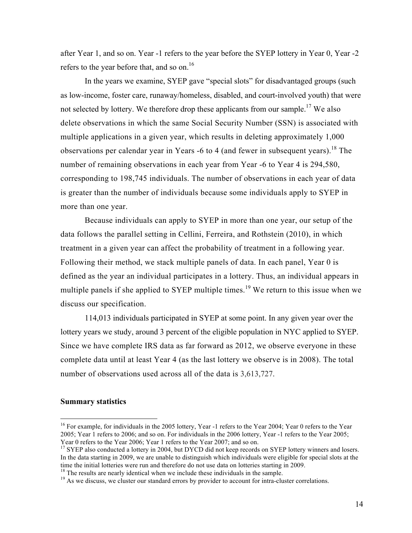after Year 1, and so on. Year -1 refers to the year before the SYEP lottery in Year 0, Year -2 refers to the year before that, and so on.<sup>16</sup>

In the years we examine, SYEP gave "special slots" for disadvantaged groups (such as low-income, foster care, runaway/homeless, disabled, and court-involved youth) that were not selected by lottery. We therefore drop these applicants from our sample.<sup>17</sup> We also delete observations in which the same Social Security Number (SSN) is associated with multiple applications in a given year, which results in deleting approximately 1,000 observations per calendar year in Years  $-6$  to 4 (and fewer in subsequent years).<sup>18</sup> The number of remaining observations in each year from Year -6 to Year 4 is 294,580, corresponding to 198,745 individuals. The number of observations in each year of data is greater than the number of individuals because some individuals apply to SYEP in more than one year.

Because individuals can apply to SYEP in more than one year, our setup of the data follows the parallel setting in Cellini, Ferreira, and Rothstein (2010), in which treatment in a given year can affect the probability of treatment in a following year. Following their method, we stack multiple panels of data. In each panel, Year 0 is defined as the year an individual participates in a lottery. Thus, an individual appears in multiple panels if she applied to SYEP multiple times.<sup>19</sup> We return to this issue when we discuss our specification.

114,013 individuals participated in SYEP at some point. In any given year over the lottery years we study, around 3 percent of the eligible population in NYC applied to SYEP. Since we have complete IRS data as far forward as 2012, we observe everyone in these complete data until at least Year 4 (as the last lottery we observe is in 2008). The total number of observations used across all of the data is 3,613,727.

### **Summary statistics**

<sup>&</sup>lt;sup>16</sup> For example, for individuals in the 2005 lottery, Year -1 refers to the Year 2004; Year 0 refers to the Year 2005; Year 1 refers to 2006; and so on. For individuals in the 2006 lottery, Year -1 refers to the Year 2005;<br>Year 0 refers to the Year 2006; Year 1 refers to the Year 2007; and so on.

<sup>&</sup>lt;sup>17</sup> SYEP also conducted a lottery in 2004, but DYCD did not keep records on SYEP lottery winners and losers. In the data starting in 2009, we are unable to distinguish which individuals were eligible for special slots at the time the initial lotteries were run and therefore do not use data on lotteries starting in 2009.<br><sup>18</sup> The results are nearly identical when we include these individuals in the sample.

<sup>&</sup>lt;sup>19</sup> As we discuss, we cluster our standard errors by provider to account for intra-cluster correlations.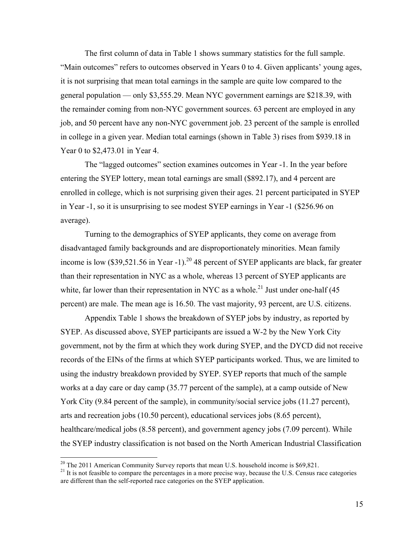The first column of data in Table 1 shows summary statistics for the full sample. "Main outcomes" refers to outcomes observed in Years 0 to 4. Given applicants' young ages, it is not surprising that mean total earnings in the sample are quite low compared to the general population — only \$3,555.29. Mean NYC government earnings are \$218.39, with the remainder coming from non-NYC government sources. 63 percent are employed in any job, and 50 percent have any non-NYC government job. 23 percent of the sample is enrolled in college in a given year. Median total earnings (shown in Table 3) rises from \$939.18 in Year 0 to \$2,473.01 in Year 4.

The "lagged outcomes" section examines outcomes in Year -1. In the year before entering the SYEP lottery, mean total earnings are small (\$892.17), and 4 percent are enrolled in college, which is not surprising given their ages. 21 percent participated in SYEP in Year -1, so it is unsurprising to see modest SYEP earnings in Year -1 (\$256.96 on average).

Turning to the demographics of SYEP applicants, they come on average from disadvantaged family backgrounds and are disproportionately minorities. Mean family income is low  $(\$39,521.56$  in Year -1).<sup>20</sup> 48 percent of SYEP applicants are black, far greater than their representation in NYC as a whole, whereas 13 percent of SYEP applicants are white, far lower than their representation in NYC as a whole.<sup>21</sup> Just under one-half (45 percent) are male. The mean age is 16.50. The vast majority, 93 percent, are U.S. citizens.

Appendix Table 1 shows the breakdown of SYEP jobs by industry, as reported by SYEP. As discussed above, SYEP participants are issued a W-2 by the New York City government, not by the firm at which they work during SYEP, and the DYCD did not receive records of the EINs of the firms at which SYEP participants worked. Thus, we are limited to using the industry breakdown provided by SYEP. SYEP reports that much of the sample works at a day care or day camp (35.77 percent of the sample), at a camp outside of New York City (9.84 percent of the sample), in community/social service jobs (11.27 percent), arts and recreation jobs (10.50 percent), educational services jobs (8.65 percent), healthcare/medical jobs (8.58 percent), and government agency jobs (7.09 percent). While the SYEP industry classification is not based on the North American Industrial Classification

<sup>&</sup>lt;sup>20</sup> The 2011 American Community Survey reports that mean U.S. household income is \$69,821.<br><sup>21</sup> It is not feasible to compare the percentages in a more precise way, because the U.S. Census race categories are different than the self-reported race categories on the SYEP application.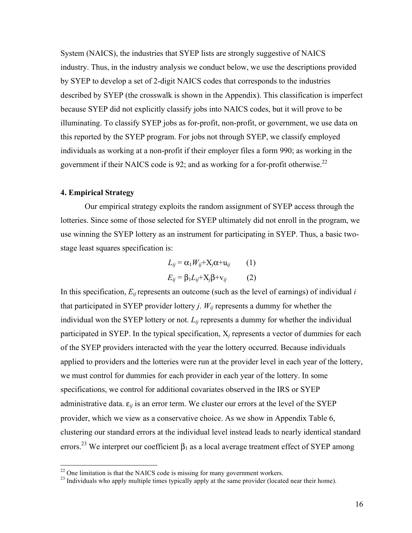System (NAICS), the industries that SYEP lists are strongly suggestive of NAICS industry. Thus, in the industry analysis we conduct below, we use the descriptions provided by SYEP to develop a set of 2-digit NAICS codes that corresponds to the industries described by SYEP (the crosswalk is shown in the Appendix). This classification is imperfect because SYEP did not explicitly classify jobs into NAICS codes, but it will prove to be illuminating. To classify SYEP jobs as for-profit, non-profit, or government, we use data on this reported by the SYEP program. For jobs not through SYEP, we classify employed individuals as working at a non-profit if their employer files a form 990; as working in the government if their NAICS code is 92; and as working for a for-profit otherwise.22

# **4. Empirical Strategy**

Our empirical strategy exploits the random assignment of SYEP access through the lotteries. Since some of those selected for SYEP ultimately did not enroll in the program, we use winning the SYEP lottery as an instrument for participating in SYEP. Thus, a basic twostage least squares specification is:

$$
L_{ij} = \alpha_1 W_{ij} + X_j \alpha + u_{ij} \qquad (1)
$$

$$
E_{ij} = \beta_1 L_{ij} + X_j \beta + v_{ij} \qquad (2)
$$

In this specification, *Eij* represents an outcome (such as the level of earnings) of individual *i*  that participated in SYEP provider lottery *j.*  $W_{ij}$  represents a dummy for whether the individual won the SYEP lottery or not.  $L_{ij}$  represents a dummy for whether the individual participated in SYEP. In the typical specification, X*<sup>j</sup>* represents a vector of dummies for each of the SYEP providers interacted with the year the lottery occurred. Because individuals applied to providers and the lotteries were run at the provider level in each year of the lottery, we must control for dummies for each provider in each year of the lottery. In some specifications, we control for additional covariates observed in the IRS or SYEP administrative data.  $\varepsilon_{ij}$  is an error term. We cluster our errors at the level of the SYEP provider, which we view as a conservative choice. As we show in Appendix Table 6, clustering our standard errors at the individual level instead leads to nearly identical standard errors.<sup>23</sup> We interpret our coefficient  $\beta_1$  as a local average treatment effect of SYEP among

<sup>&</sup>lt;sup>22</sup> One limitation is that the NAICS code is missing for many government workers.<br><sup>23</sup> Individuals who apply multiple times typically apply at the same provider (located near their home).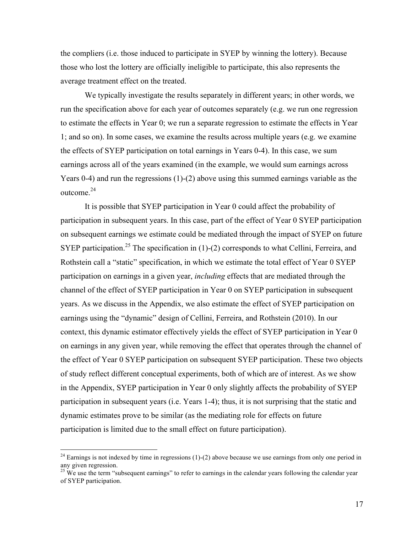the compliers (i.e. those induced to participate in SYEP by winning the lottery). Because those who lost the lottery are officially ineligible to participate, this also represents the average treatment effect on the treated.

We typically investigate the results separately in different years; in other words, we run the specification above for each year of outcomes separately (e.g. we run one regression to estimate the effects in Year 0; we run a separate regression to estimate the effects in Year 1; and so on). In some cases, we examine the results across multiple years (e.g. we examine the effects of SYEP participation on total earnings in Years 0-4). In this case, we sum earnings across all of the years examined (in the example, we would sum earnings across Years 0-4) and run the regressions (1)-(2) above using this summed earnings variable as the outcome. 24

It is possible that SYEP participation in Year 0 could affect the probability of participation in subsequent years. In this case, part of the effect of Year 0 SYEP participation on subsequent earnings we estimate could be mediated through the impact of SYEP on future SYEP participation.<sup>25</sup> The specification in (1)-(2) corresponds to what Cellini, Ferreira, and Rothstein call a "static" specification, in which we estimate the total effect of Year 0 SYEP participation on earnings in a given year, *including* effects that are mediated through the channel of the effect of SYEP participation in Year 0 on SYEP participation in subsequent years. As we discuss in the Appendix, we also estimate the effect of SYEP participation on earnings using the "dynamic" design of Cellini, Ferreira, and Rothstein (2010). In our context, this dynamic estimator effectively yields the effect of SYEP participation in Year 0 on earnings in any given year, while removing the effect that operates through the channel of the effect of Year 0 SYEP participation on subsequent SYEP participation. These two objects of study reflect different conceptual experiments, both of which are of interest. As we show in the Appendix, SYEP participation in Year 0 only slightly affects the probability of SYEP participation in subsequent years (i.e. Years 1-4); thus, it is not surprising that the static and dynamic estimates prove to be similar (as the mediating role for effects on future participation is limited due to the small effect on future participation).

<sup>&</sup>lt;sup>24</sup> Earnings is not indexed by time in regressions  $(1)-(2)$  above because we use earnings from only one period in any given regression.

 $^{25}$  We use the term "subsequent earnings" to refer to earnings in the calendar years following the calendar year of SYEP participation.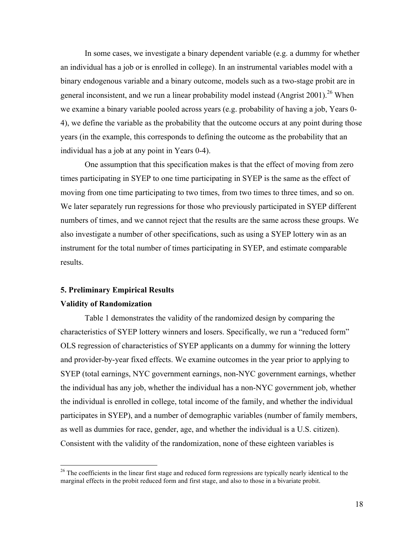In some cases, we investigate a binary dependent variable (e.g. a dummy for whether an individual has a job or is enrolled in college). In an instrumental variables model with a binary endogenous variable and a binary outcome, models such as a two-stage probit are in general inconsistent, and we run a linear probability model instead (Angrist 2001).<sup>26</sup> When we examine a binary variable pooled across years (e.g. probability of having a job, Years 0- 4), we define the variable as the probability that the outcome occurs at any point during those years (in the example, this corresponds to defining the outcome as the probability that an individual has a job at any point in Years 0-4).

One assumption that this specification makes is that the effect of moving from zero times participating in SYEP to one time participating in SYEP is the same as the effect of moving from one time participating to two times, from two times to three times, and so on. We later separately run regressions for those who previously participated in SYEP different numbers of times, and we cannot reject that the results are the same across these groups. We also investigate a number of other specifications, such as using a SYEP lottery win as an instrument for the total number of times participating in SYEP, and estimate comparable results.

# **5. Preliminary Empirical Results Validity of Randomization**

Table 1 demonstrates the validity of the randomized design by comparing the characteristics of SYEP lottery winners and losers. Specifically, we run a "reduced form" OLS regression of characteristics of SYEP applicants on a dummy for winning the lottery and provider-by-year fixed effects. We examine outcomes in the year prior to applying to SYEP (total earnings, NYC government earnings, non-NYC government earnings, whether the individual has any job, whether the individual has a non-NYC government job, whether the individual is enrolled in college, total income of the family, and whether the individual participates in SYEP), and a number of demographic variables (number of family members, as well as dummies for race, gender, age, and whether the individual is a U.S. citizen). Consistent with the validity of the randomization, none of these eighteen variables is

<sup>&</sup>lt;sup>26</sup> The coefficients in the linear first stage and reduced form regressions are typically nearly identical to the marginal effects in the probit reduced form and first stage, and also to those in a bivariate probit.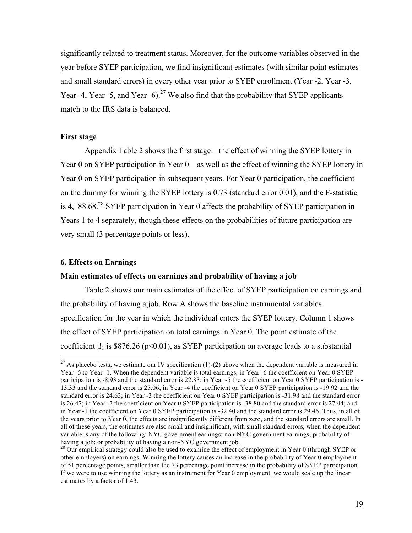significantly related to treatment status. Moreover, for the outcome variables observed in the year before SYEP participation, we find insignificant estimates (with similar point estimates and small standard errors) in every other year prior to SYEP enrollment (Year -2, Year -3, Year -4, Year -5, and Year -6).<sup>27</sup> We also find that the probability that SYEP applicants match to the IRS data is balanced.

### **First stage**

Appendix Table 2 shows the first stage—the effect of winning the SYEP lottery in Year 0 on SYEP participation in Year 0—as well as the effect of winning the SYEP lottery in Year 0 on SYEP participation in subsequent years. For Year 0 participation, the coefficient on the dummy for winning the SYEP lottery is 0.73 (standard error 0.01), and the F-statistic is 4,188.68.<sup>28</sup> SYEP participation in Year 0 affects the probability of SYEP participation in Years 1 to 4 separately, though these effects on the probabilities of future participation are very small (3 percentage points or less).

#### **6. Effects on Earnings**

#### **Main estimates of effects on earnings and probability of having a job**

Table 2 shows our main estimates of the effect of SYEP participation on earnings and the probability of having a job. Row A shows the baseline instrumental variables specification for the year in which the individual enters the SYEP lottery. Column 1 shows the effect of SYEP participation on total earnings in Year 0. The point estimate of the coefficient  $\beta_1$  is \$876.26 (p<0.01), as SYEP participation on average leads to a substantial

<sup>&</sup>lt;sup>27</sup> As placebo tests, we estimate our IV specification (1)-(2) above when the dependent variable is measured in Year -6 to Year -1. When the dependent variable is total earnings, in Year -6 the coefficient on Year 0 SYEP participation is -8.93 and the standard error is 22.83; in Year -5 the coefficient on Year 0 SYEP participation is - 13.33 and the standard error is 25.06; in Year -4 the coefficient on Year 0 SYEP participation is -19.92 and the standard error is 24.63; in Year -3 the coefficient on Year 0 SYEP participation is -31.98 and the standard error is 26.47; in Year -2 the coefficient on Year 0 SYEP participation is -38.80 and the standard error is 27.44; and in Year -1 the coefficient on Year 0 SYEP participation is -32.40 and the standard error is 29.46. Thus, in all of the years prior to Year 0, the effects are insignificantly different from zero, and the standard errors are small. In all of these years, the estimates are also small and insignificant, with small standard errors, when the dependent variable is any of the following: NYC government earnings; non-NYC government earnings; probability of having a job; or probability of having a non-NYC government job.<br><sup>28</sup> Our empirical strategy could also be used to examine the effect of employment in Year 0 (through SYEP or

other employers) on earnings. Winning the lottery causes an increase in the probability of Year 0 employment of 51 percentage points, smaller than the 73 percentage point increase in the probability of SYEP participation. If we were to use winning the lottery as an instrument for Year 0 employment, we would scale up the linear estimates by a factor of 1.43.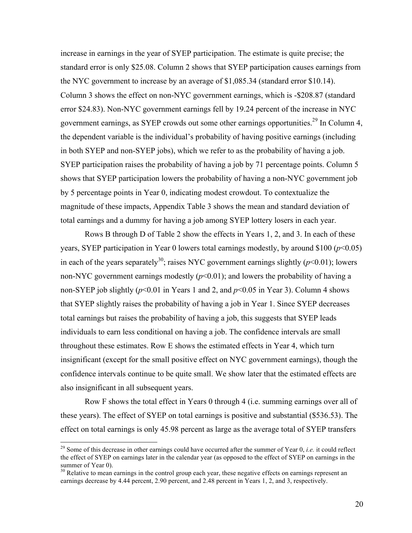increase in earnings in the year of SYEP participation. The estimate is quite precise; the standard error is only \$25.08. Column 2 shows that SYEP participation causes earnings from the NYC government to increase by an average of \$1,085.34 (standard error \$10.14). Column 3 shows the effect on non-NYC government earnings, which is -\$208.87 (standard error \$24.83). Non-NYC government earnings fell by 19.24 percent of the increase in NYC government earnings, as SYEP crowds out some other earnings opportunities.<sup>29</sup> In Column 4, the dependent variable is the individual's probability of having positive earnings (including in both SYEP and non-SYEP jobs), which we refer to as the probability of having a job. SYEP participation raises the probability of having a job by 71 percentage points. Column 5 shows that SYEP participation lowers the probability of having a non-NYC government job by 5 percentage points in Year 0, indicating modest crowdout. To contextualize the magnitude of these impacts, Appendix Table 3 shows the mean and standard deviation of total earnings and a dummy for having a job among SYEP lottery losers in each year.

Rows B through D of Table 2 show the effects in Years 1, 2, and 3. In each of these years, SYEP participation in Year 0 lowers total earnings modestly, by around \$100 (*p*<0.05) in each of the years separately<sup>30</sup>; raises NYC government earnings slightly  $(p<0.01)$ ; lowers non-NYC government earnings modestly  $(p<0.01)$ ; and lowers the probability of having a non-SYEP job slightly  $(p<0.01$  in Years 1 and 2, and  $p<0.05$  in Year 3). Column 4 shows that SYEP slightly raises the probability of having a job in Year 1. Since SYEP decreases total earnings but raises the probability of having a job, this suggests that SYEP leads individuals to earn less conditional on having a job. The confidence intervals are small throughout these estimates. Row E shows the estimated effects in Year 4, which turn insignificant (except for the small positive effect on NYC government earnings), though the confidence intervals continue to be quite small. We show later that the estimated effects are also insignificant in all subsequent years.

Row F shows the total effect in Years 0 through 4 (i.e. summing earnings over all of these years). The effect of SYEP on total earnings is positive and substantial (\$536.53). The effect on total earnings is only 45.98 percent as large as the average total of SYEP transfers

<sup>&</sup>lt;sup>29</sup> Some of this decrease in other earnings could have occurred after the summer of Year 0, *i.e.* it could reflect the effect of SYEP on earnings later in the calendar year (as opposed to the effect of SYEP on earnings in the summer of Year 0).

<sup>&</sup>lt;sup>30</sup> Relative to mean earnings in the control group each year, these negative effects on earnings represent an earnings decrease by 4.44 percent, 2.90 percent, and 2.48 percent in Years 1, 2, and 3, respectively.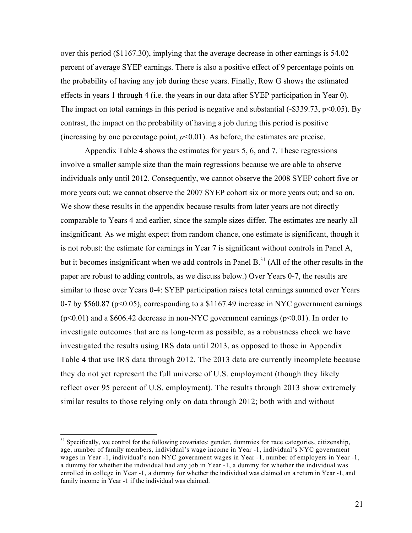over this period (\$1167.30), implying that the average decrease in other earnings is 54.02 percent of average SYEP earnings. There is also a positive effect of 9 percentage points on the probability of having any job during these years. Finally, Row G shows the estimated effects in years 1 through 4 (i.e. the years in our data after SYEP participation in Year 0). The impact on total earnings in this period is negative and substantial  $(-\$339.73, \mathrm{p} < 0.05)$ . By contrast, the impact on the probability of having a job during this period is positive (increasing by one percentage point,  $p<0.01$ ). As before, the estimates are precise.

Appendix Table 4 shows the estimates for years 5, 6, and 7. These regressions involve a smaller sample size than the main regressions because we are able to observe individuals only until 2012. Consequently, we cannot observe the 2008 SYEP cohort five or more years out; we cannot observe the 2007 SYEP cohort six or more years out; and so on. We show these results in the appendix because results from later years are not directly comparable to Years 4 and earlier, since the sample sizes differ. The estimates are nearly all insignificant. As we might expect from random chance, one estimate is significant, though it is not robust: the estimate for earnings in Year 7 is significant without controls in Panel A, but it becomes insignificant when we add controls in Panel  $B<sup>31</sup>$  (All of the other results in the paper are robust to adding controls, as we discuss below.) Over Years 0-7, the results are similar to those over Years 0-4: SYEP participation raises total earnings summed over Years 0-7 by \$560.87 (p<0.05), corresponding to a \$1167.49 increase in NYC government earnings (p<0.01) and a \$606.42 decrease in non-NYC government earnings (p<0.01). In order to investigate outcomes that are as long-term as possible, as a robustness check we have investigated the results using IRS data until 2013, as opposed to those in Appendix Table 4 that use IRS data through 2012. The 2013 data are currently incomplete because they do not yet represent the full universe of U.S. employment (though they likely reflect over 95 percent of U.S. employment). The results through 2013 show extremely similar results to those relying only on data through 2012; both with and without

 $31$  Specifically, we control for the following covariates: gender, dummies for race categories, citizenship, age, number of family members, individual's wage income in Year -1, individual's NYC government wages in Year -1, individual's non-NYC government wages in Year -1, number of employers in Year -1, a dummy for whether the individual had any job in Year -1, a dummy for whether the individual was enrolled in college in Year -1, a dummy for whether the individual was claimed on a return in Year -1, and family income in Year -1 if the individual was claimed.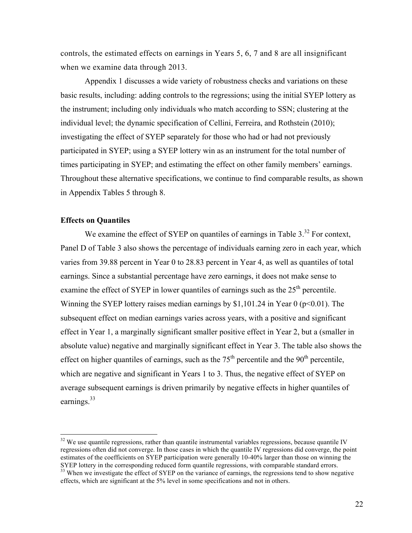controls, the estimated effects on earnings in Years 5, 6, 7 and 8 are all insignificant when we examine data through 2013.

Appendix 1 discusses a wide variety of robustness checks and variations on these basic results, including: adding controls to the regressions; using the initial SYEP lottery as the instrument; including only individuals who match according to SSN; clustering at the individual level; the dynamic specification of Cellini, Ferreira, and Rothstein (2010); investigating the effect of SYEP separately for those who had or had not previously participated in SYEP; using a SYEP lottery win as an instrument for the total number of times participating in SYEP; and estimating the effect on other family members' earnings. Throughout these alternative specifications, we continue to find comparable results, as shown in Appendix Tables 5 through 8.

### **Effects on Quantiles**

We examine the effect of SYEP on quantiles of earnings in Table  $3^{32}$  For context, Panel D of Table 3 also shows the percentage of individuals earning zero in each year, which varies from 39.88 percent in Year 0 to 28.83 percent in Year 4, as well as quantiles of total earnings. Since a substantial percentage have zero earnings, it does not make sense to examine the effect of SYEP in lower quantiles of earnings such as the  $25<sup>th</sup>$  percentile. Winning the SYEP lottery raises median earnings by \$1,101.24 in Year  $0$  ( $p \le 0.01$ ). The subsequent effect on median earnings varies across years, with a positive and significant effect in Year 1, a marginally significant smaller positive effect in Year 2, but a (smaller in absolute value) negative and marginally significant effect in Year 3. The table also shows the effect on higher quantiles of earnings, such as the  $75<sup>th</sup>$  percentile and the  $90<sup>th</sup>$  percentile, which are negative and significant in Years 1 to 3. Thus, the negative effect of SYEP on average subsequent earnings is driven primarily by negative effects in higher quantiles of earnings.<sup>33</sup>

 $32$  We use quantile regressions, rather than quantile instrumental variables regressions, because quantile IV regressions often did not converge. In those cases in which the quantile IV regressions did converge, the point estimates of the coefficients on SYEP participation were generally 10-40% larger than those on winning the SYEP lottery in the corresponding reduced form quantile regressions, with comparable standard errors.

<sup>&</sup>lt;sup>33</sup> When we investigate the effect of SYEP on the variance of earnings, the regressions tend to show negative effects, which are significant at the 5% level in some specifications and not in others.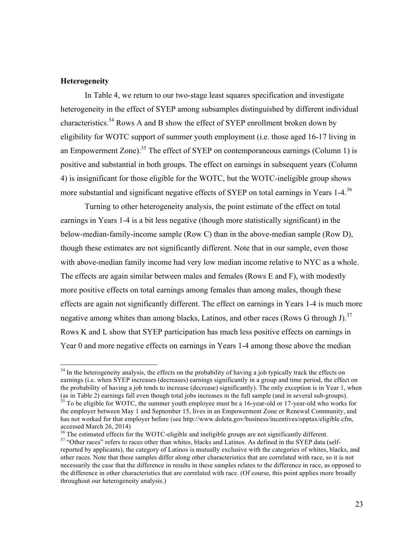### **Heterogeneity**

In Table 4, we return to our two-stage least squares specification and investigate heterogeneity in the effect of SYEP among subsamples distinguished by different individual characteristics.<sup>34</sup> Rows A and B show the effect of SYEP enrollment broken down by eligibility for WOTC support of summer youth employment (i.e. those aged 16-17 living in an Empowerment Zone).<sup>35</sup> The effect of SYEP on contemporaneous earnings (Column 1) is positive and substantial in both groups. The effect on earnings in subsequent years (Column 4) is insignificant for those eligible for the WOTC, but the WOTC-ineligible group shows more substantial and significant negative effects of SYEP on total earnings in Years 1-4.<sup>36</sup>

Turning to other heterogeneity analysis, the point estimate of the effect on total earnings in Years 1-4 is a bit less negative (though more statistically significant) in the below-median-family-income sample (Row C) than in the above-median sample (Row D), though these estimates are not significantly different. Note that in our sample, even those with above-median family income had very low median income relative to NYC as a whole. The effects are again similar between males and females (Rows E and F), with modestly more positive effects on total earnings among females than among males, though these effects are again not significantly different. The effect on earnings in Years 1-4 is much more negative among whites than among blacks, Latinos, and other races (Rows G through J).<sup>37</sup> Rows K and L show that SYEP participation has much less positive effects on earnings in Year 0 and more negative effects on earnings in Years 1-4 among those above the median

<sup>&</sup>lt;sup>34</sup> In the heterogeneity analysis, the effects on the probability of having a job typically track the effects on earnings (i.e. when SYEP increases (decreases) earnings significantly in a group and time period, the effect on the probability of having a job tends to increase (decrease) significantly). The only exception is in Year 1, when (as in Table 2) earnings fall even though total jobs increases in the full sample (and in several sub-groups).<br><sup>35</sup> To be eligible for WOTC, the summer youth employee must be a 16-year-old or 17-year-old who works for

the employer between May 1 and September 15, lives in an Empowerment Zone or Renewal Community, and has not worked for that employer before (see http://www.doleta.gov/business/incentives/opptax/eligible.cfm, accessed March 26, 2014)<br> $36$  The estimated effects for the WOTC-eligible and ineligible groups are not significantly different.

<sup>&</sup>lt;sup>37</sup> "Other races" refers to races other than whites, blacks and Latinos. As defined in the SYEP data (selfreported by applicants), the category of Latinos is mutually exclusive with the categories of whites, blacks, and other races. Note that these samples differ along other characteristics that are correlated with race, so it is not necessarily the case that the difference in results in these samples relates to the difference in race, as opposed to the difference in other characteristics that are correlated with race. (Of course, this point applies more broadly throughout our heterogeneity analysis.)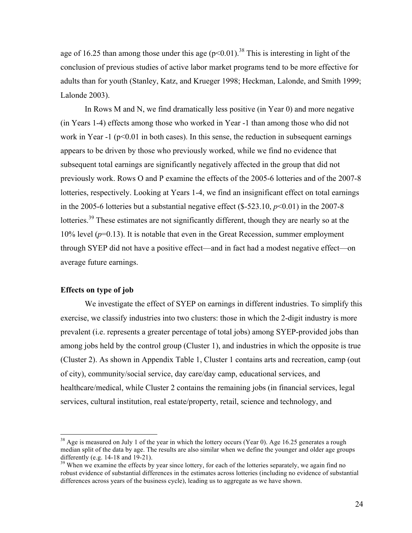age of 16.25 than among those under this age  $(p<0.01)$ .<sup>38</sup> This is interesting in light of the conclusion of previous studies of active labor market programs tend to be more effective for adults than for youth (Stanley, Katz, and Krueger 1998; Heckman, Lalonde, and Smith 1999; Lalonde 2003).

In Rows M and N, we find dramatically less positive (in Year 0) and more negative (in Years 1-4) effects among those who worked in Year -1 than among those who did not work in Year  $-1$  ( $p<0.01$  in both cases). In this sense, the reduction in subsequent earnings appears to be driven by those who previously worked, while we find no evidence that subsequent total earnings are significantly negatively affected in the group that did not previously work. Rows O and P examine the effects of the 2005-6 lotteries and of the 2007-8 lotteries, respectively. Looking at Years 1-4, we find an insignificant effect on total earnings in the 2005-6 lotteries but a substantial negative effect  $(\${\text -}523.10, p<0.01)$  in the 2007-8 lotteries.<sup>39</sup> These estimates are not significantly different, though they are nearly so at the 10% level  $(p=0.13)$ . It is notable that even in the Great Recession, summer employment through SYEP did not have a positive effect—and in fact had a modest negative effect—on average future earnings.

### **Effects on type of job**

We investigate the effect of SYEP on earnings in different industries. To simplify this exercise, we classify industries into two clusters: those in which the 2-digit industry is more prevalent (i.e. represents a greater percentage of total jobs) among SYEP-provided jobs than among jobs held by the control group (Cluster 1), and industries in which the opposite is true (Cluster 2). As shown in Appendix Table 1, Cluster 1 contains arts and recreation, camp (out of city), community/social service, day care/day camp, educational services, and healthcare/medical, while Cluster 2 contains the remaining jobs (in financial services, legal services, cultural institution, real estate/property, retail, science and technology, and

 $38$  Age is measured on July 1 of the year in which the lottery occurs (Year 0). Age 16.25 generates a rough median split of the data by age. The results are also similar when we define the younger and older age groups differently (e.g. 14-18 and 19-21).<br><sup>39</sup> When we examine the effects by year since lottery, for each of the lotteries separately, we again find no

robust evidence of substantial differences in the estimates across lotteries (including no evidence of substantial differences across years of the business cycle), leading us to aggregate as we have shown.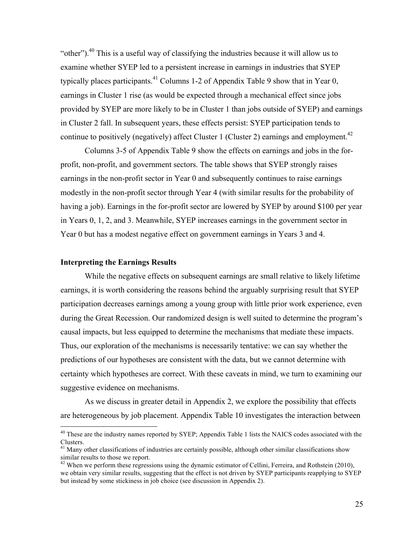"other").<sup>40</sup> This is a useful way of classifying the industries because it will allow us to examine whether SYEP led to a persistent increase in earnings in industries that SYEP typically places participants.<sup>41</sup> Columns 1-2 of Appendix Table 9 show that in Year 0, earnings in Cluster 1 rise (as would be expected through a mechanical effect since jobs provided by SYEP are more likely to be in Cluster 1 than jobs outside of SYEP) and earnings in Cluster 2 fall. In subsequent years, these effects persist: SYEP participation tends to continue to positively (negatively) affect Cluster 1 (Cluster 2) earnings and employment.<sup>42</sup>

Columns 3-5 of Appendix Table 9 show the effects on earnings and jobs in the forprofit, non-profit, and government sectors. The table shows that SYEP strongly raises earnings in the non-profit sector in Year 0 and subsequently continues to raise earnings modestly in the non-profit sector through Year 4 (with similar results for the probability of having a job). Earnings in the for-profit sector are lowered by SYEP by around \$100 per year in Years 0, 1, 2, and 3. Meanwhile, SYEP increases earnings in the government sector in Year 0 but has a modest negative effect on government earnings in Years 3 and 4.

#### **Interpreting the Earnings Results**

While the negative effects on subsequent earnings are small relative to likely lifetime earnings, it is worth considering the reasons behind the arguably surprising result that SYEP participation decreases earnings among a young group with little prior work experience, even during the Great Recession. Our randomized design is well suited to determine the program's causal impacts, but less equipped to determine the mechanisms that mediate these impacts. Thus, our exploration of the mechanisms is necessarily tentative: we can say whether the predictions of our hypotheses are consistent with the data, but we cannot determine with certainty which hypotheses are correct. With these caveats in mind, we turn to examining our suggestive evidence on mechanisms.

As we discuss in greater detail in Appendix 2, we explore the possibility that effects are heterogeneous by job placement. Appendix Table 10 investigates the interaction between

<sup>&</sup>lt;sup>40</sup> These are the industry names reported by SYEP; Appendix Table 1 lists the NAICS codes associated with the Clusters.

 $41$  Many other classifications of industries are certainly possible, although other similar classifications show similar results to those we report.

<sup>&</sup>lt;sup>42</sup> When we perform these regressions using the dynamic estimator of Cellini, Ferreira, and Rothstein (2010), we obtain very similar results, suggesting that the effect is not driven by SYEP participants reapplying to SYEP but instead by some stickiness in job choice (see discussion in Appendix 2).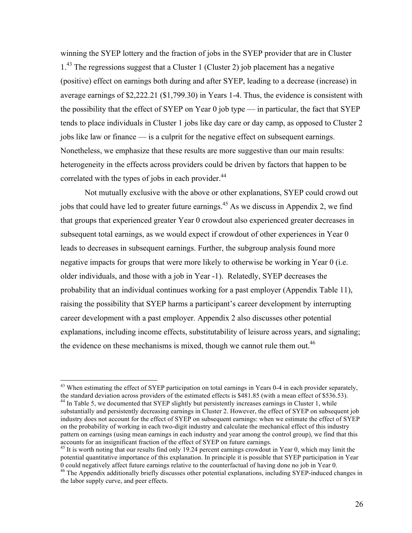winning the SYEP lottery and the fraction of jobs in the SYEP provider that are in Cluster 1.<sup>43</sup> The regressions suggest that a Cluster 1 (Cluster 2) job placement has a negative (positive) effect on earnings both during and after SYEP, leading to a decrease (increase) in average earnings of \$2,222.21 (\$1,799.30) in Years 1-4. Thus, the evidence is consistent with the possibility that the effect of SYEP on Year 0 job type — in particular, the fact that SYEP tends to place individuals in Cluster 1 jobs like day care or day camp, as opposed to Cluster 2 jobs like law or finance — is a culprit for the negative effect on subsequent earnings. Nonetheless, we emphasize that these results are more suggestive than our main results: heterogeneity in the effects across providers could be driven by factors that happen to be correlated with the types of jobs in each provider.<sup>44</sup>

Not mutually exclusive with the above or other explanations, SYEP could crowd out jobs that could have led to greater future earnings.<sup>45</sup> As we discuss in Appendix 2, we find that groups that experienced greater Year 0 crowdout also experienced greater decreases in subsequent total earnings, as we would expect if crowdout of other experiences in Year 0 leads to decreases in subsequent earnings. Further, the subgroup analysis found more negative impacts for groups that were more likely to otherwise be working in Year 0 (i.e. older individuals, and those with a job in Year -1). Relatedly, SYEP decreases the probability that an individual continues working for a past employer (Appendix Table 11), raising the possibility that SYEP harms a participant's career development by interrupting career development with a past employer. Appendix 2 also discusses other potential explanations, including income effects, substitutability of leisure across years, and signaling; the evidence on these mechanisms is mixed, though we cannot rule them out.<sup>46</sup>

<sup>&</sup>lt;sup>43</sup> When estimating the effect of SYEP participation on total earnings in Years 0-4 in each provider separately, the standard deviation across providers of the estimated effects is \$481.85 (with a mean effect of \$536.53)

 $44$  In Table 5, we documented that SYEP slightly but persistently increases earnings in Cluster 1, while substantially and persistently decreasing earnings in Cluster 2. However, the effect of SYEP on subsequent job industry does not account for the effect of SYEP on subsequent earnings: when we estimate the effect of SYEP on the probability of working in each two-digit industry and calculate the mechanical effect of this industry pattern on earnings (using mean earnings in each industry and year among the control group), we find that this accounts for an insignificant fraction of the effect of SYEP on future earnings.<br><sup>45</sup> It is worth noting that our results find only 19.24 percent earnings crowdout in Year 0, which may limit the

potential quantitative importance of this explanation. In principle it is possible that SYEP participation in Year 0 could negatively affect future earnings relative to the counterfactual of having done no job in Year 0.

<sup>&</sup>lt;sup>46</sup> The Appendix additionally briefly discusses other potential explanations, including SYEP-induced changes in the labor supply curve, and peer effects.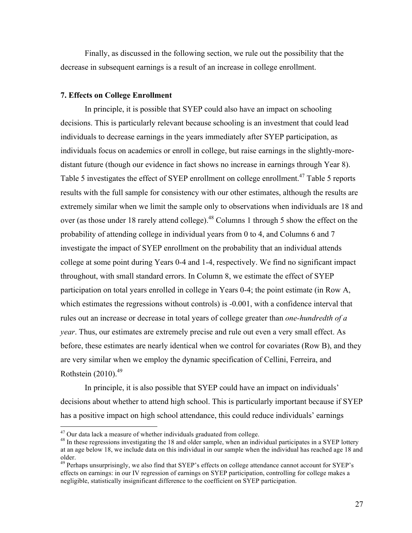Finally, as discussed in the following section, we rule out the possibility that the decrease in subsequent earnings is a result of an increase in college enrollment.

#### **7. Effects on College Enrollment**

In principle, it is possible that SYEP could also have an impact on schooling decisions. This is particularly relevant because schooling is an investment that could lead individuals to decrease earnings in the years immediately after SYEP participation, as individuals focus on academics or enroll in college, but raise earnings in the slightly-moredistant future (though our evidence in fact shows no increase in earnings through Year 8). Table 5 investigates the effect of SYEP enrollment on college enrollment.<sup>47</sup> Table 5 reports results with the full sample for consistency with our other estimates, although the results are extremely similar when we limit the sample only to observations when individuals are 18 and over (as those under 18 rarely attend college).<sup>48</sup> Columns 1 through 5 show the effect on the probability of attending college in individual years from 0 to 4, and Columns 6 and 7 investigate the impact of SYEP enrollment on the probability that an individual attends college at some point during Years 0-4 and 1-4, respectively. We find no significant impact throughout, with small standard errors. In Column 8, we estimate the effect of SYEP participation on total years enrolled in college in Years 0-4; the point estimate (in Row A, which estimates the regressions without controls) is -0.001, with a confidence interval that rules out an increase or decrease in total years of college greater than *one-hundredth of a year*. Thus, our estimates are extremely precise and rule out even a very small effect. As before, these estimates are nearly identical when we control for covariates (Row B), and they are very similar when we employ the dynamic specification of Cellini, Ferreira, and Rothstein  $(2010).^{49}$ 

In principle, it is also possible that SYEP could have an impact on individuals' decisions about whether to attend high school. This is particularly important because if SYEP has a positive impact on high school attendance, this could reduce individuals' earnings

<sup>&</sup>lt;sup>47</sup> Our data lack a measure of whether individuals graduated from college.<br><sup>48</sup> In these regressions investigating the 18 and older sample, when an individual participates in a SYEP lottery at an age below 18, we include data on this individual in our sample when the individual has reached age 18 and older.

<sup>&</sup>lt;sup>49</sup> Perhaps unsurprisingly, we also find that SYEP's effects on college attendance cannot account for SYEP's effects on earnings: in our IV regression of earnings on SYEP participation, controlling for college makes a negligible, statistically insignificant difference to the coefficient on SYEP participation.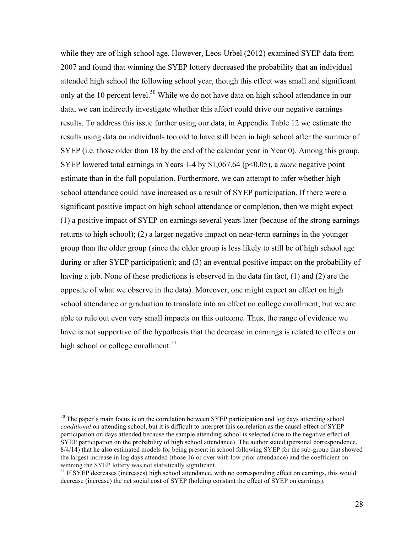while they are of high school age. However, Leos-Urbel (2012) examined SYEP data from 2007 and found that winning the SYEP lottery decreased the probability that an individual attended high school the following school year, though this effect was small and significant only at the 10 percent level.<sup>50</sup> While we do not have data on high school attendance in our data, we can indirectly investigate whether this affect could drive our negative earnings results. To address this issue further using our data, in Appendix Table 12 we estimate the results using data on individuals too old to have still been in high school after the summer of SYEP (i.e. those older than 18 by the end of the calendar year in Year 0). Among this group, SYEP lowered total earnings in Years 1-4 by \$1,067.64 (p<0.05), a *more* negative point estimate than in the full population. Furthermore, we can attempt to infer whether high school attendance could have increased as a result of SYEP participation. If there were a significant positive impact on high school attendance or completion, then we might expect (1) a positive impact of SYEP on earnings several years later (because of the strong earnings returns to high school); (2) a larger negative impact on near-term earnings in the younger group than the older group (since the older group is less likely to still be of high school age during or after SYEP participation); and (3) an eventual positive impact on the probability of having a job. None of these predictions is observed in the data (in fact, (1) and (2) are the opposite of what we observe in the data). Moreover, one might expect an effect on high school attendance or graduation to translate into an effect on college enrollment, but we are able to rule out even very small impacts on this outcome. Thus, the range of evidence we have is not supportive of the hypothesis that the decrease in earnings is related to effects on high school or college enrollment.<sup>51</sup>

<sup>&</sup>lt;sup>50</sup> The paper's main focus is on the correlation between SYEP participation and log days attending school *conditional* on attending school, but it is difficult to interpret this correlation as the causal effect of SYEP participation on days attended because the sample attending school is selected (due to the negative effect of SYEP participation on the probability of high school attendance). The author stated (personal correspondence, 8/4/14) that he also estimated models for being present in school following SYEP for the sub-group that showed the largest increase in log days attended (those 16 or over with low prior attendance) and the coefficient on winning the SYEP lottery was not statistically significant.

<sup>&</sup>lt;sup>51</sup> If SYEP decreases (increases) high school attendance, with no corresponding effect on earnings, this would decrease (increase) the net social cost of SYEP (holding constant the effect of SYEP on earnings).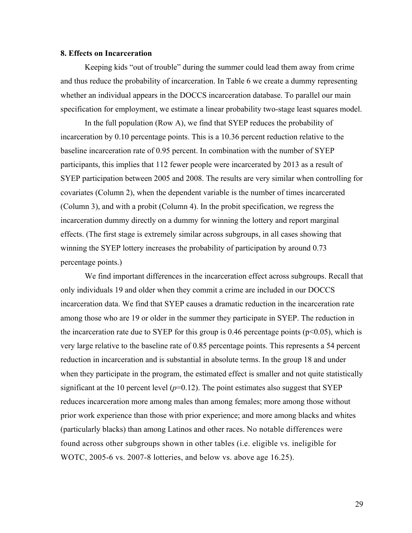### **8. Effects on Incarceration**

Keeping kids "out of trouble" during the summer could lead them away from crime and thus reduce the probability of incarceration. In Table 6 we create a dummy representing whether an individual appears in the DOCCS incarceration database. To parallel our main specification for employment, we estimate a linear probability two-stage least squares model.

In the full population (Row A), we find that SYEP reduces the probability of incarceration by 0.10 percentage points. This is a 10.36 percent reduction relative to the baseline incarceration rate of 0.95 percent. In combination with the number of SYEP participants, this implies that 112 fewer people were incarcerated by 2013 as a result of SYEP participation between 2005 and 2008. The results are very similar when controlling for covariates (Column 2), when the dependent variable is the number of times incarcerated (Column 3), and with a probit (Column 4). In the probit specification, we regress the incarceration dummy directly on a dummy for winning the lottery and report marginal effects. (The first stage is extremely similar across subgroups, in all cases showing that winning the SYEP lottery increases the probability of participation by around 0.73 percentage points.)

We find important differences in the incarceration effect across subgroups. Recall that only individuals 19 and older when they commit a crime are included in our DOCCS incarceration data. We find that SYEP causes a dramatic reduction in the incarceration rate among those who are 19 or older in the summer they participate in SYEP. The reduction in the incarceration rate due to SYEP for this group is 0.46 percentage points ( $p<0.05$ ), which is very large relative to the baseline rate of 0.85 percentage points. This represents a 54 percent reduction in incarceration and is substantial in absolute terms. In the group 18 and under when they participate in the program, the estimated effect is smaller and not quite statistically significant at the 10 percent level  $(p=0.12)$ . The point estimates also suggest that SYEP reduces incarceration more among males than among females; more among those without prior work experience than those with prior experience; and more among blacks and whites (particularly blacks) than among Latinos and other races. No notable differences were found across other subgroups shown in other tables (i.e. eligible vs. ineligible for WOTC, 2005-6 vs. 2007-8 lotteries, and below vs. above age 16.25).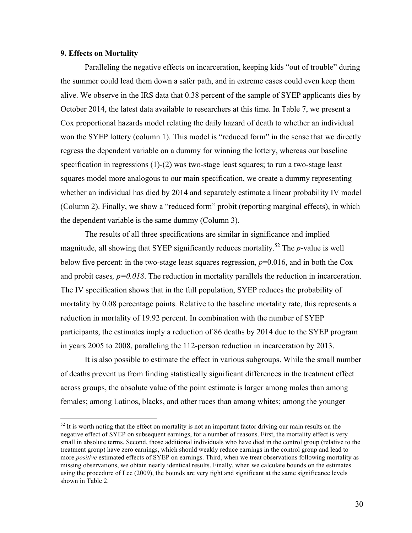### **9. Effects on Mortality**

Paralleling the negative effects on incarceration, keeping kids "out of trouble" during the summer could lead them down a safer path, and in extreme cases could even keep them alive. We observe in the IRS data that 0.38 percent of the sample of SYEP applicants dies by October 2014, the latest data available to researchers at this time. In Table 7, we present a Cox proportional hazards model relating the daily hazard of death to whether an individual won the SYEP lottery (column 1). This model is "reduced form" in the sense that we directly regress the dependent variable on a dummy for winning the lottery, whereas our baseline specification in regressions (1)-(2) was two-stage least squares; to run a two-stage least squares model more analogous to our main specification, we create a dummy representing whether an individual has died by 2014 and separately estimate a linear probability IV model (Column 2). Finally, we show a "reduced form" probit (reporting marginal effects), in which the dependent variable is the same dummy (Column 3).

The results of all three specifications are similar in significance and implied magnitude, all showing that SYEP significantly reduces mortality.<sup>52</sup> The *p*-value is well below five percent: in the two-stage least squares regression, *p*=0.016, and in both the Cox and probit cases*, p=0.018*. The reduction in mortality parallels the reduction in incarceration. The IV specification shows that in the full population, SYEP reduces the probability of mortality by 0.08 percentage points. Relative to the baseline mortality rate, this represents a reduction in mortality of 19.92 percent. In combination with the number of SYEP participants, the estimates imply a reduction of 86 deaths by 2014 due to the SYEP program in years 2005 to 2008, paralleling the 112-person reduction in incarceration by 2013.

It is also possible to estimate the effect in various subgroups. While the small number of deaths prevent us from finding statistically significant differences in the treatment effect across groups, the absolute value of the point estimate is larger among males than among females; among Latinos, blacks, and other races than among whites; among the younger

 $52$  It is worth noting that the effect on mortality is not an important factor driving our main results on the negative effect of SYEP on subsequent earnings, for a number of reasons. First, the mortality effect is very small in absolute terms. Second, those additional individuals who have died in the control group (relative to the treatment group) have zero earnings, which should weakly reduce earnings in the control group and lead to more *positive* estimated effects of SYEP on earnings. Third, when we treat observations following mortality as missing observations, we obtain nearly identical results. Finally, when we calculate bounds on the estimates using the procedure of Lee (2009), the bounds are very tight and significant at the same significance levels shown in Table 2.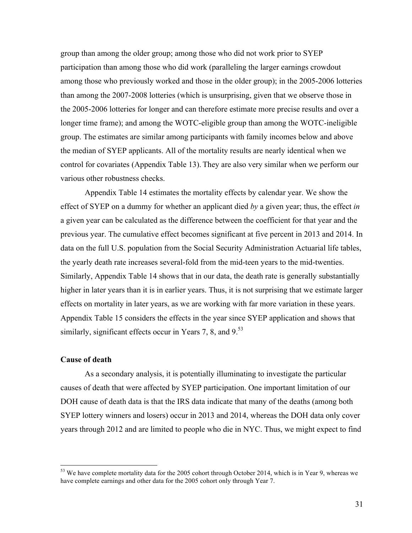group than among the older group; among those who did not work prior to SYEP participation than among those who did work (paralleling the larger earnings crowdout among those who previously worked and those in the older group); in the 2005-2006 lotteries than among the 2007-2008 lotteries (which is unsurprising, given that we observe those in the 2005-2006 lotteries for longer and can therefore estimate more precise results and over a longer time frame); and among the WOTC-eligible group than among the WOTC-ineligible group. The estimates are similar among participants with family incomes below and above the median of SYEP applicants. All of the mortality results are nearly identical when we control for covariates (Appendix Table 13). They are also very similar when we perform our various other robustness checks.

Appendix Table 14 estimates the mortality effects by calendar year. We show the effect of SYEP on a dummy for whether an applicant died *by* a given year; thus, the effect *in*  a given year can be calculated as the difference between the coefficient for that year and the previous year. The cumulative effect becomes significant at five percent in 2013 and 2014. In data on the full U.S. population from the Social Security Administration Actuarial life tables, the yearly death rate increases several-fold from the mid-teen years to the mid-twenties. Similarly, Appendix Table 14 shows that in our data, the death rate is generally substantially higher in later years than it is in earlier years. Thus, it is not surprising that we estimate larger effects on mortality in later years, as we are working with far more variation in these years. Appendix Table 15 considers the effects in the year since SYEP application and shows that similarly, significant effects occur in Years 7, 8, and  $9<sup>53</sup>$ 

### **Cause of death**

As a secondary analysis, it is potentially illuminating to investigate the particular causes of death that were affected by SYEP participation. One important limitation of our DOH cause of death data is that the IRS data indicate that many of the deaths (among both SYEP lottery winners and losers) occur in 2013 and 2014, whereas the DOH data only cover years through 2012 and are limited to people who die in NYC. Thus, we might expect to find

<sup>&</sup>lt;sup>53</sup> We have complete mortality data for the 2005 cohort through October 2014, which is in Year 9, whereas we have complete earnings and other data for the 2005 cohort only through Year 7.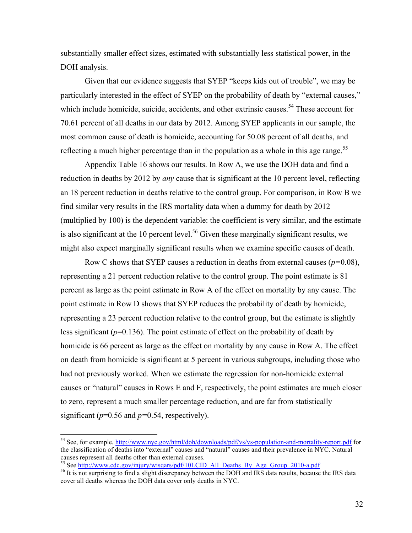substantially smaller effect sizes, estimated with substantially less statistical power, in the DOH analysis.

Given that our evidence suggests that SYEP "keeps kids out of trouble", we may be particularly interested in the effect of SYEP on the probability of death by "external causes," which include homicide, suicide, accidents, and other extrinsic causes.<sup>54</sup> These account for 70.61 percent of all deaths in our data by 2012. Among SYEP applicants in our sample, the most common cause of death is homicide, accounting for 50.08 percent of all deaths, and reflecting a much higher percentage than in the population as a whole in this age range.<sup>55</sup>

Appendix Table 16 shows our results. In Row A, we use the DOH data and find a reduction in deaths by 2012 by *any* cause that is significant at the 10 percent level, reflecting an 18 percent reduction in deaths relative to the control group. For comparison, in Row B we find similar very results in the IRS mortality data when a dummy for death by 2012 (multiplied by 100) is the dependent variable: the coefficient is very similar, and the estimate is also significant at the 10 percent level.<sup>56</sup> Given these marginally significant results, we might also expect marginally significant results when we examine specific causes of death.

Row C shows that SYEP causes a reduction in deaths from external causes (*p=*0.08), representing a 21 percent reduction relative to the control group. The point estimate is 81 percent as large as the point estimate in Row A of the effect on mortality by any cause. The point estimate in Row D shows that SYEP reduces the probability of death by homicide, representing a 23 percent reduction relative to the control group, but the estimate is slightly less significant ( $p=0.136$ ). The point estimate of effect on the probability of death by homicide is 66 percent as large as the effect on mortality by any cause in Row A. The effect on death from homicide is significant at 5 percent in various subgroups, including those who had not previously worked. When we estimate the regression for non-homicide external causes or "natural" causes in Rows E and F, respectively, the point estimates are much closer to zero, represent a much smaller percentage reduction, and are far from statistically significant ( $p=0.56$  and  $p=0.54$ , respectively).

 <sup>54</sup> See, for example, http://www.nyc.gov/html/doh/downloads/pdf/vs/vs-population-and-mortality-report.pdf for the classification of deaths into "external" causes and "natural" causes and their prevalence in NYC. Natural causes represent all deaths other than external causes.<br><sup>55</sup> See http://www.cdc.gov/injury/wisqars/pdf/10LCID All Deaths By Age Group 2010-a.pdf

 $<sup>56</sup>$  It is not surprising to find a slight discrepancy between the DOH and IRS data results, because the IRS data</sup> cover all deaths whereas the DOH data cover only deaths in NYC.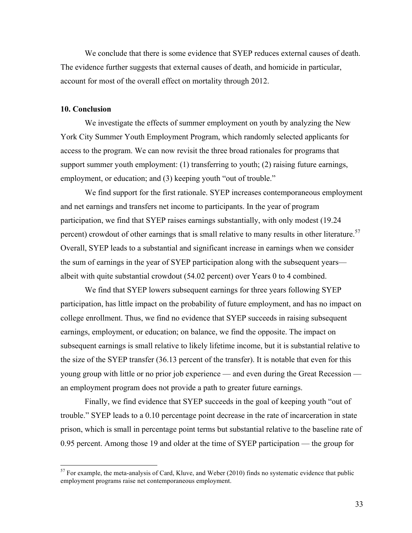We conclude that there is some evidence that SYEP reduces external causes of death. The evidence further suggests that external causes of death, and homicide in particular, account for most of the overall effect on mortality through 2012.

#### **10. Conclusion**

We investigate the effects of summer employment on youth by analyzing the New York City Summer Youth Employment Program, which randomly selected applicants for access to the program. We can now revisit the three broad rationales for programs that support summer youth employment: (1) transferring to youth; (2) raising future earnings, employment, or education; and (3) keeping youth "out of trouble."

We find support for the first rationale. SYEP increases contemporaneous employment and net earnings and transfers net income to participants. In the year of program participation, we find that SYEP raises earnings substantially, with only modest (19.24 percent) crowdout of other earnings that is small relative to many results in other literature.<sup>57</sup> Overall, SYEP leads to a substantial and significant increase in earnings when we consider the sum of earnings in the year of SYEP participation along with the subsequent years albeit with quite substantial crowdout (54.02 percent) over Years 0 to 4 combined.

We find that SYEP lowers subsequent earnings for three years following SYEP participation, has little impact on the probability of future employment, and has no impact on college enrollment. Thus, we find no evidence that SYEP succeeds in raising subsequent earnings, employment, or education; on balance, we find the opposite. The impact on subsequent earnings is small relative to likely lifetime income, but it is substantial relative to the size of the SYEP transfer (36.13 percent of the transfer). It is notable that even for this young group with little or no prior job experience — and even during the Great Recession an employment program does not provide a path to greater future earnings.

Finally, we find evidence that SYEP succeeds in the goal of keeping youth "out of trouble." SYEP leads to a 0.10 percentage point decrease in the rate of incarceration in state prison, which is small in percentage point terms but substantial relative to the baseline rate of 0.95 percent. Among those 19 and older at the time of SYEP participation — the group for

 $57$  For example, the meta-analysis of Card, Kluve, and Weber (2010) finds no systematic evidence that public employment programs raise net contemporaneous employment.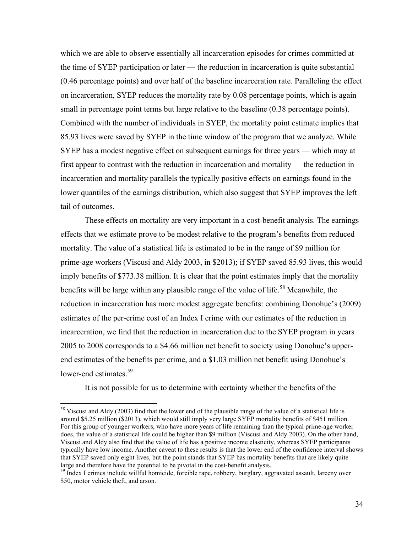which we are able to observe essentially all incarceration episodes for crimes committed at the time of SYEP participation or later — the reduction in incarceration is quite substantial (0.46 percentage points) and over half of the baseline incarceration rate. Paralleling the effect on incarceration, SYEP reduces the mortality rate by 0.08 percentage points, which is again small in percentage point terms but large relative to the baseline (0.38 percentage points). Combined with the number of individuals in SYEP, the mortality point estimate implies that 85.93 lives were saved by SYEP in the time window of the program that we analyze. While SYEP has a modest negative effect on subsequent earnings for three years — which may at first appear to contrast with the reduction in incarceration and mortality — the reduction in incarceration and mortality parallels the typically positive effects on earnings found in the lower quantiles of the earnings distribution, which also suggest that SYEP improves the left tail of outcomes.

These effects on mortality are very important in a cost-benefit analysis. The earnings effects that we estimate prove to be modest relative to the program's benefits from reduced mortality. The value of a statistical life is estimated to be in the range of \$9 million for prime-age workers (Viscusi and Aldy 2003, in \$2013); if SYEP saved 85.93 lives, this would imply benefits of \$773.38 million. It is clear that the point estimates imply that the mortality benefits will be large within any plausible range of the value of life.<sup>58</sup> Meanwhile, the reduction in incarceration has more modest aggregate benefits: combining Donohue's (2009) estimates of the per-crime cost of an Index I crime with our estimates of the reduction in incarceration, we find that the reduction in incarceration due to the SYEP program in years 2005 to 2008 corresponds to a \$4.66 million net benefit to society using Donohue's upperend estimates of the benefits per crime, and a \$1.03 million net benefit using Donohue's lower-end estimates.<sup>59</sup>

It is not possible for us to determine with certainty whether the benefits of the

 $58$  Viscusi and Aldy (2003) find that the lower end of the plausible range of the value of a statistical life is around \$5.25 million (\$2013), which would still imply very large SYEP mortality benefits of \$451 million. For this group of younger workers, who have more years of life remaining than the typical prime-age worker does, the value of a statistical life could be higher than \$9 million (Viscusi and Aldy 2003). On the other hand, Viscusi and Aldy also find that the value of life has a positive income elasticity, whereas SYEP participants typically have low income. Another caveat to these results is that the lower end of the confidence interval shows that SYEP saved only eight lives, but the point stands that SYEP has mortality benefits that are likely quite large and therefore have the potential to be pivotal in the cost-benefit analysis.<br><sup>59</sup> Index I crimes include willful homicide, forcible rape, robbery, burglary, aggravated assault, larceny over

<sup>\$50,</sup> motor vehicle theft, and arson.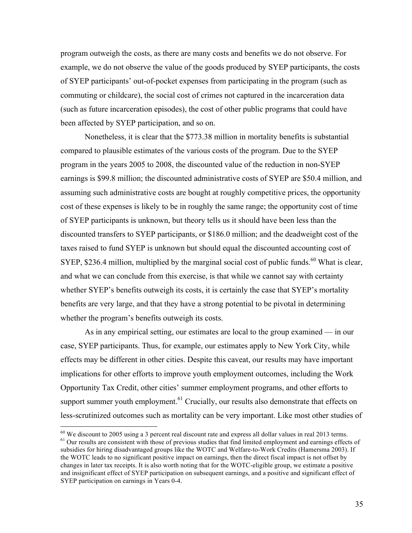program outweigh the costs, as there are many costs and benefits we do not observe. For example, we do not observe the value of the goods produced by SYEP participants, the costs of SYEP participants' out-of-pocket expenses from participating in the program (such as commuting or childcare), the social cost of crimes not captured in the incarceration data (such as future incarceration episodes), the cost of other public programs that could have been affected by SYEP participation, and so on.

Nonetheless, it is clear that the \$773.38 million in mortality benefits is substantial compared to plausible estimates of the various costs of the program. Due to the SYEP program in the years 2005 to 2008, the discounted value of the reduction in non-SYEP earnings is \$99.8 million; the discounted administrative costs of SYEP are \$50.4 million, and assuming such administrative costs are bought at roughly competitive prices, the opportunity cost of these expenses is likely to be in roughly the same range; the opportunity cost of time of SYEP participants is unknown, but theory tells us it should have been less than the discounted transfers to SYEP participants, or \$186.0 million; and the deadweight cost of the taxes raised to fund SYEP is unknown but should equal the discounted accounting cost of SYEP, \$236.4 million, multiplied by the marginal social cost of public funds.<sup>60</sup> What is clear, and what we can conclude from this exercise, is that while we cannot say with certainty whether SYEP's benefits outweigh its costs, it is certainly the case that SYEP's mortality benefits are very large, and that they have a strong potential to be pivotal in determining whether the program's benefits outweigh its costs.

As in any empirical setting, our estimates are local to the group examined — in our case, SYEP participants. Thus, for example, our estimates apply to New York City, while effects may be different in other cities. Despite this caveat, our results may have important implications for other efforts to improve youth employment outcomes, including the Work Opportunity Tax Credit, other cities' summer employment programs, and other efforts to support summer youth employment.<sup>61</sup> Crucially, our results also demonstrate that effects on less-scrutinized outcomes such as mortality can be very important. Like most other studies of

 $^{60}$  We discount to 2005 using a 3 percent real discount rate and express all dollar values in real 2013 terms.  $^{61}$  Our results are consistent with those of previous studies that find limited employment and earnings subsidies for hiring disadvantaged groups like the WOTC and Welfare-to-Work Credits (Hamersma 2003). If the WOTC leads to no significant positive impact on earnings, then the direct fiscal impact is not offset by changes in later tax receipts. It is also worth noting that for the WOTC-eligible group, we estimate a positive and insignificant effect of SYEP participation on subsequent earnings, and a positive and significant effect of SYEP participation on earnings in Years 0-4.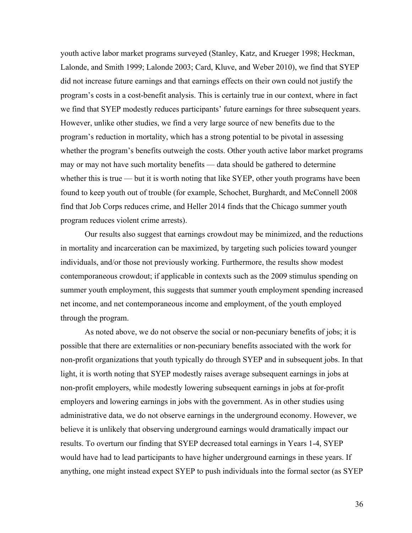youth active labor market programs surveyed (Stanley, Katz, and Krueger 1998; Heckman, Lalonde, and Smith 1999; Lalonde 2003; Card, Kluve, and Weber 2010), we find that SYEP did not increase future earnings and that earnings effects on their own could not justify the program's costs in a cost-benefit analysis. This is certainly true in our context, where in fact we find that SYEP modestly reduces participants' future earnings for three subsequent years. However, unlike other studies, we find a very large source of new benefits due to the program's reduction in mortality, which has a strong potential to be pivotal in assessing whether the program's benefits outweigh the costs. Other youth active labor market programs may or may not have such mortality benefits — data should be gathered to determine whether this is true — but it is worth noting that like  $SVEP$ , other youth programs have been found to keep youth out of trouble (for example, Schochet, Burghardt, and McConnell 2008 find that Job Corps reduces crime, and Heller 2014 finds that the Chicago summer youth program reduces violent crime arrests).

Our results also suggest that earnings crowdout may be minimized, and the reductions in mortality and incarceration can be maximized, by targeting such policies toward younger individuals, and/or those not previously working. Furthermore, the results show modest contemporaneous crowdout; if applicable in contexts such as the 2009 stimulus spending on summer youth employment, this suggests that summer youth employment spending increased net income, and net contemporaneous income and employment, of the youth employed through the program.

As noted above, we do not observe the social or non-pecuniary benefits of jobs; it is possible that there are externalities or non-pecuniary benefits associated with the work for non-profit organizations that youth typically do through SYEP and in subsequent jobs. In that light, it is worth noting that SYEP modestly raises average subsequent earnings in jobs at non-profit employers, while modestly lowering subsequent earnings in jobs at for-profit employers and lowering earnings in jobs with the government. As in other studies using administrative data, we do not observe earnings in the underground economy. However, we believe it is unlikely that observing underground earnings would dramatically impact our results. To overturn our finding that SYEP decreased total earnings in Years 1-4, SYEP would have had to lead participants to have higher underground earnings in these years. If anything, one might instead expect SYEP to push individuals into the formal sector (as SYEP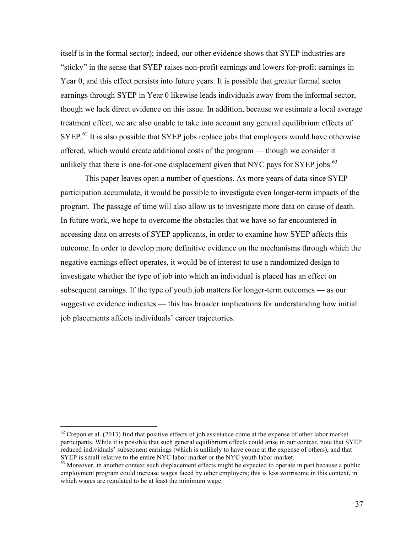itself is in the formal sector); indeed, our other evidence shows that SYEP industries are "sticky" in the sense that SYEP raises non-profit earnings and lowers for-profit earnings in Year 0, and this effect persists into future years. It is possible that greater formal sector earnings through SYEP in Year 0 likewise leads individuals away from the informal sector, though we lack direct evidence on this issue. In addition, because we estimate a local average treatment effect, we are also unable to take into account any general equilibrium effects of SYEP.<sup>62</sup> It is also possible that SYEP jobs replace jobs that employers would have otherwise offered, which would create additional costs of the program — though we consider it unlikely that there is one-for-one displacement given that NYC pays for SYEP jobs. $^{63}$ 

This paper leaves open a number of questions. As more years of data since SYEP participation accumulate, it would be possible to investigate even longer-term impacts of the program. The passage of time will also allow us to investigate more data on cause of death. In future work, we hope to overcome the obstacles that we have so far encountered in accessing data on arrests of SYEP applicants, in order to examine how SYEP affects this outcome. In order to develop more definitive evidence on the mechanisms through which the negative earnings effect operates, it would be of interest to use a randomized design to investigate whether the type of job into which an individual is placed has an effect on subsequent earnings. If the type of youth job matters for longer-term outcomes — as our suggestive evidence indicates — this has broader implications for understanding how initial job placements affects individuals' career trajectories.

 $62$  Crepon et al. (2013) find that positive effects of job assistance come at the expense of other labor market participants. While it is possible that such general equilibrium effects could arise in our context, note that SYEP reduced individuals' subsequent earnings (which is unlikely to have come at the expense of others), and that SYEP is small relative to the entire NYC labor market or the NYC youth labor market.

 $63$  Moreover, in another context such displacement effects might be expected to operate in part because a public employment program could increase wages faced by other employers; this is less worrisome in this context, in which wages are regulated to be at least the minimum wage.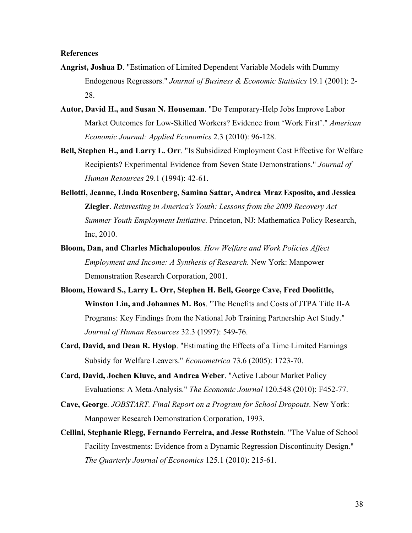### **References**

- **Angrist, Joshua D**. "Estimation of Limited Dependent Variable Models with Dummy Endogenous Regressors." *Journal of Business & Economic Statistics* 19.1 (2001): 2- 28.
- **Autor, David H., and Susan N. Houseman**. "Do Temporary-Help Jobs Improve Labor Market Outcomes for Low-Skilled Workers? Evidence from 'Work First'." *American Economic Journal: Applied Economics* 2.3 (2010): 96-128.
- **Bell, Stephen H., and Larry L. Orr**. "Is Subsidized Employment Cost Effective for Welfare Recipients? Experimental Evidence from Seven State Demonstrations." *Journal of Human Resources* 29.1 (1994): 42-61.
- **Bellotti, Jeanne, Linda Rosenberg, Samina Sattar, Andrea Mraz Esposito, and Jessica Ziegler**. *Reinvesting in America's Youth: Lessons from the 2009 Recovery Act Summer Youth Employment Initiative.* Princeton, NJ: Mathematica Policy Research, Inc, 2010.
- **Bloom, Dan, and Charles Michalopoulos**. *How Welfare and Work Policies Affect Employment and Income: A Synthesis of Research.* New York: Manpower Demonstration Research Corporation, 2001.
- **Bloom, Howard S., Larry L. Orr, Stephen H. Bell, George Cave, Fred Doolittle, Winston Lin, and Johannes M. Bos**. "The Benefits and Costs of JTPA Title II-A Programs: Key Findings from the National Job Training Partnership Act Study." *Journal of Human Resources* 32.3 (1997): 549-76.
- **Card, David, and Dean R. Hyslop**. "Estimating the Effects of a Time‐Limited Earnings Subsidy for Welfare‐Leavers." *Econometrica* 73.6 (2005): 1723-70.
- **Card, David, Jochen Kluve, and Andrea Weber**. "Active Labour Market Policy Evaluations: A Meta‐Analysis." *The Economic Journal* 120.548 (2010): F452-77.
- **Cave, George**. *JOBSTART. Final Report on a Program for School Dropouts.* New York: Manpower Research Demonstration Corporation, 1993.
- **Cellini, Stephanie Riegg, Fernando Ferreira, and Jesse Rothstein**. "The Value of School Facility Investments: Evidence from a Dynamic Regression Discontinuity Design." *The Quarterly Journal of Economics* 125.1 (2010): 215-61.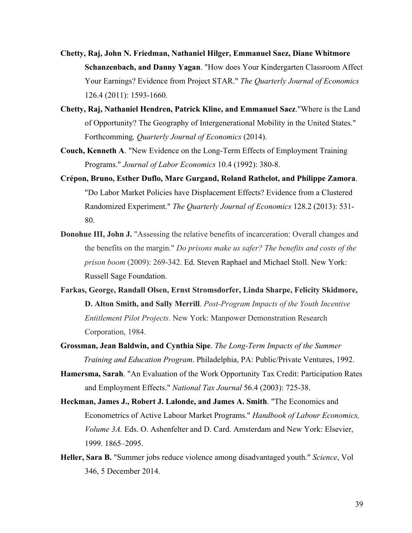- **Chetty, Raj, John N. Friedman, Nathaniel Hilger, Emmanuel Saez, Diane Whitmore Schanzenbach, and Danny Yagan**. "How does Your Kindergarten Classroom Affect Your Earnings? Evidence from Project STAR." *The Quarterly Journal of Economics* 126.4 (2011): 1593-1660.
- **Chetty, Raj, Nathaniel Hendren, Patrick Kline, and Emmanuel Saez**."Where is the Land of Opportunity? The Geography of Intergenerational Mobility in the United States." Forthcomming*, Quarterly Journal of Economics* (2014).
- **Couch, Kenneth A**. "New Evidence on the Long-Term Effects of Employment Training Programs." *Journal of Labor Economics* 10.4 (1992): 380-8.
- **Crépon, Bruno, Esther Duflo, Marc Gurgand, Roland Rathelot, and Philippe Zamora**. "Do Labor Market Policies have Displacement Effects? Evidence from a Clustered Randomized Experiment." *The Quarterly Journal of Economics* 128.2 (2013): 531- 80.
- **Donohue III, John J.** "Assessing the relative benefits of incarceration: Overall changes and the benefits on the margin." *Do prisons make us safer? The benefits and costs of the prison boom* (2009): 269-342. Ed. Steven Raphael and Michael Stoll. New York: Russell Sage Foundation.
- **Farkas, George, Randall Olsen, Ernst Stromsdorfer, Linda Sharpe, Felicity Skidmore, D. Alton Smith, and Sally Merrill**. *Post-Program Impacts of the Youth Incentive Entitlement Pilot Projects*. New York: Manpower Demonstration Research Corporation, 1984.
- **Grossman, Jean Baldwin, and Cynthia Sipe**. *The Long-Term Impacts of the Summer Training and Education Program*. Philadelphia, PA: Public/Private Ventures, 1992.
- **Hamersma, Sarah**. "An Evaluation of the Work Opportunity Tax Credit: Participation Rates and Employment Effects." *National Tax Journal* 56.4 (2003): 725-38.
- **Heckman, James J., Robert J. Lalonde, and James A. Smith**. "The Economics and Econometrics of Active Labour Market Programs." *Handbook of Labour Economics, Volume 3A.* Eds. O. Ashenfelter and D. Card. Amsterdam and New York: Elsevier, 1999. 1865–2095.
- **Heller, Sara B.** "Summer jobs reduce violence among disadvantaged youth." *Science*, Vol 346, 5 December 2014.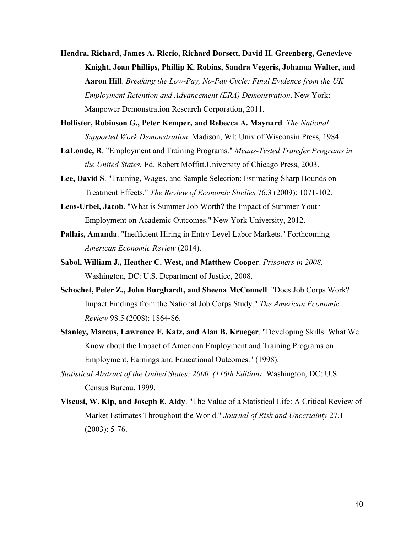- **Hendra, Richard, James A. Riccio, Richard Dorsett, David H. Greenberg, Genevieve Knight, Joan Phillips, Phillip K. Robins, Sandra Vegeris, Johanna Walter, and Aaron Hill**. *Breaking the Low-Pay, No-Pay Cycle: Final Evidence from the UK Employment Retention and Advancement (ERA) Demonstration*. New York: Manpower Demonstration Research Corporation, 2011.
- **Hollister, Robinson G., Peter Kemper, and Rebecca A. Maynard**. *The National Supported Work Demonstration*. Madison, WI: Univ of Wisconsin Press, 1984.
- **LaLonde, R**. "Employment and Training Programs." *Means-Tested Transfer Programs in the United States.* Ed. Robert Moffitt.University of Chicago Press, 2003.
- **Lee, David S**. "Training, Wages, and Sample Selection: Estimating Sharp Bounds on Treatment Effects." *The Review of Economic Studies* 76.3 (2009): 1071-102.
- **Leos-Urbel, Jacob**. "What is Summer Job Worth? the Impact of Summer Youth Employment on Academic Outcomes." New York University, 2012.
- **Pallais, Amanda**. "Inefficient Hiring in Entry-Level Labor Markets." Forthcoming*, American Economic Review* (2014).
- **Sabol, William J., Heather C. West, and Matthew Cooper**. *Prisoners in 2008*. Washington, DC: U.S. Department of Justice, 2008.
- **Schochet, Peter Z., John Burghardt, and Sheena McConnell**. "Does Job Corps Work? Impact Findings from the National Job Corps Study." *The American Economic Review* 98.5 (2008): 1864-86.
- **Stanley, Marcus, Lawrence F. Katz, and Alan B. Krueger**. "Developing Skills: What We Know about the Impact of American Employment and Training Programs on Employment, Earnings and Educational Outcomes." (1998).
- *Statistical Abstract of the United States: 2000 (116th Edition)*. Washington, DC: U.S. Census Bureau, 1999.
- **Viscusi, W. Kip, and Joseph E. Aldy**. "The Value of a Statistical Life: A Critical Review of Market Estimates Throughout the World." *Journal of Risk and Uncertainty* 27.1 (2003): 5-76.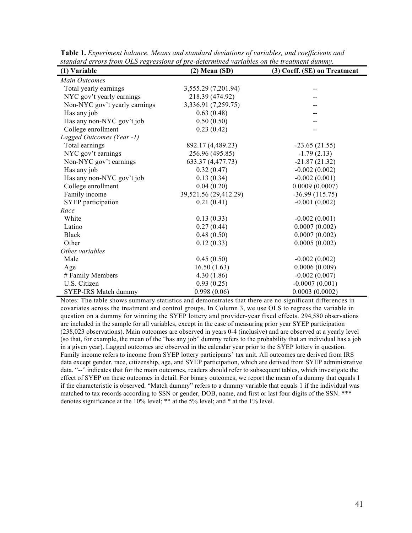| $s$ unuuru Cri ors ji om Olis regressions of pre-ucterminea variables on ine ireannem auniniy.<br>(1) Variable | $(2)$ Mean $(SD)$     | (3) Coeff. (SE) on Treatment |
|----------------------------------------------------------------------------------------------------------------|-----------------------|------------------------------|
| <b>Main Outcomes</b>                                                                                           |                       |                              |
| Total yearly earnings                                                                                          | 3,555.29 (7,201.94)   | --                           |
| NYC gov't yearly earnings                                                                                      | 218.39 (474.92)       |                              |
| Non-NYC gov't yearly earnings                                                                                  | 3,336.91 (7,259.75)   |                              |
| Has any job                                                                                                    | 0.63(0.48)            |                              |
| Has any non-NYC gov't job                                                                                      | 0.50(0.50)            |                              |
| College enrollment                                                                                             | 0.23(0.42)            |                              |
| Lagged Outcomes (Year -1)                                                                                      |                       |                              |
| Total earnings                                                                                                 | 892.17 (4,489.23)     | $-23.65(21.55)$              |
| NYC gov't earnings                                                                                             | 256.96 (495.85)       | $-1.79(2.13)$                |
| Non-NYC gov't earnings                                                                                         | 633.37 (4,477.73)     | $-21.87(21.32)$              |
| Has any job                                                                                                    | 0.32(0.47)            | $-0.002(0.002)$              |
| Has any non-NYC gov't job                                                                                      | 0.13(0.34)            | $-0.002(0.001)$              |
| College enrollment                                                                                             | 0.04(0.20)            | 0.0009(0.0007)               |
| Family income                                                                                                  | 39,521.56 (29,412.29) | $-36.99(115.75)$             |
| SYEP participation                                                                                             | 0.21(0.41)            | $-0.001(0.002)$              |
| Race                                                                                                           |                       |                              |
| White                                                                                                          | 0.13(0.33)            | $-0.002(0.001)$              |
| Latino                                                                                                         | 0.27(0.44)            | 0.0007(0.002)                |
| <b>Black</b>                                                                                                   | 0.48(0.50)            | 0.0007(0.002)                |
| Other                                                                                                          | 0.12(0.33)            | 0.0005(0.002)                |
| Other variables                                                                                                |                       |                              |
| Male                                                                                                           | 0.45(0.50)            | $-0.002(0.002)$              |
| Age                                                                                                            | 16.50(1.63)           | 0.0006(0.009)                |
| # Family Members                                                                                               | 4.30(1.86)            | $-0.002(0.007)$              |
| U.S. Citizen                                                                                                   | 0.93(0.25)            | $-0.0007(0.001)$             |
| <b>SYEP-IRS Match dummy</b>                                                                                    | 0.998(0.06)           | 0.0003(0.0002)               |

**Table 1.** *Experiment balance. Means and standard deviations of variables, and coefficients and standard errors from OLS regressions of pre-determined variables on the treatment dummy.*

Notes: The table shows summary statistics and demonstrates that there are no significant differences in covariates across the treatment and control groups. In Column 3, we use OLS to regress the variable in question on a dummy for winning the SYEP lottery and provider-year fixed effects. 294,580 observations are included in the sample for all variables, except in the case of measuring prior year SYEP participation (238,023 observations). Main outcomes are observed in years 0-4 (inclusive) and are observed at a yearly level (so that, for example, the mean of the "has any job" dummy refers to the probability that an individual has a job in a given year). Lagged outcomes are observed in the calendar year prior to the SYEP lottery in question. Family income refers to income from SYEP lottery participants' tax unit. All outcomes are derived from IRS data except gender, race, citizenship, age, and SYEP participation, which are derived from SYEP administrative data. "--" indicates that for the main outcomes, readers should refer to subsequent tables, which investigate the effect of SYEP on these outcomes in detail. For binary outcomes, we report the mean of a dummy that equals 1 if the characteristic is observed. "Match dummy" refers to a dummy variable that equals 1 if the individual was matched to tax records according to SSN or gender, DOB, name, and first or last four digits of the SSN. \*\*\* denotes significance at the 10% level; \*\* at the 5% level; and \* at the 1% level.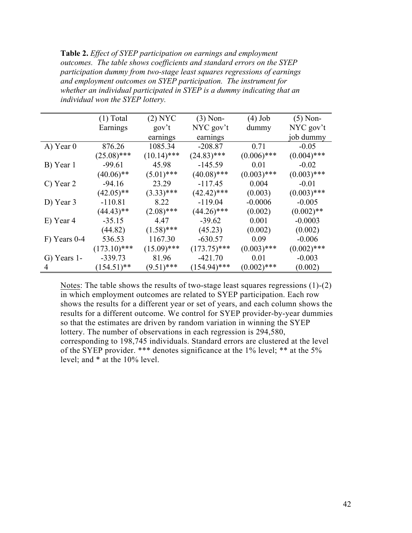**Table 2.** *Effect of SYEP participation on earnings and employment outcomes. The table shows coefficients and standard errors on the SYEP participation dummy from two-stage least squares regressions of earnings and employment outcomes on SYEP participation. The instrument for whether an individual participated in SYEP is a dummy indicating that an individual won the SYEP lottery.* 

|              | $(1)$ Total    | $(2)$ NYC     | $(3)$ Non-     | $(4)$ Job     | $(5)$ Non-    |
|--------------|----------------|---------------|----------------|---------------|---------------|
|              | Earnings       | gov't         | NYC gov't      | dummy         | NYC gov't     |
|              |                | earnings      | earnings       |               | job dummy     |
| A) Year 0    | 876.26         | 1085.34       | $-208.87$      | 0.71          | $-0.05$       |
|              | $(25.08)$ ***  | $(10.14)$ *** | $(24.83)$ ***  | $(0.006)$ *** | $(0.004)$ *** |
| B) Year 1    | $-99.61$       | 45.98         | $-145.59$      | 0.01          | $-0.02$       |
|              | $(40.06)$ **   | $(5.01)$ ***  | $(40.08)$ ***  | $(0.003)$ *** | $(0.003)$ *** |
| C) Year 2    | $-94.16$       | 23.29         | $-117.45$      | 0.004         | $-0.01$       |
|              | $(42.05)$ **   | $(3.33)$ ***  | $(42.42)$ ***  | (0.003)       | $(0.003)$ *** |
| D) Year 3    | $-110.81$      | 8.22          | $-119.04$      | $-0.0006$     | $-0.005$      |
|              | $(44.43)$ **   | $(2.08)$ ***  | $(44.26)$ ***  | (0.002)       | $(0.002)$ **  |
| E) Year 4    | $-35.15$       | 4.47          | $-39.62$       | 0.001         | $-0.0003$     |
|              | (44.82)        | $(1.58)$ ***  | (45.23)        | (0.002)       | (0.002)       |
| F) Years 0-4 | 536.53         | 1167.30       | $-630.57$      | 0.09          | $-0.006$      |
|              | $(173.10)$ *** | $(15.09)$ *** | $(173.75)$ *** | $(0.003)$ *** | $(0.002)$ *** |
| G) Years 1-  | $-339.73$      | 81.96         | $-421.70$      | 0.01          | $-0.003$      |
| 4            | $(154.51)$ **  | $(9.51)$ ***  | $(154.94)$ *** | $(0.002)$ *** | (0.002)       |

Notes: The table shows the results of two-stage least squares regressions (1)-(2) in which employment outcomes are related to SYEP participation. Each row shows the results for a different year or set of years, and each column shows the results for a different outcome. We control for SYEP provider-by-year dummies so that the estimates are driven by random variation in winning the SYEP lottery. The number of observations in each regression is 294,580, corresponding to 198,745 individuals. Standard errors are clustered at the level of the SYEP provider. \*\*\* denotes significance at the 1% level; \*\* at the 5% level; and \* at the 10% level.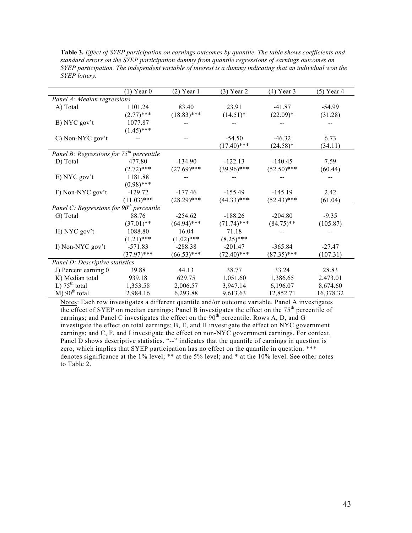|                                            | $(1)$ Year 0  | $(2)$ Year 1  | $(3)$ Year 2  | $(4)$ Year 3  | $(5)$ Year 4 |
|--------------------------------------------|---------------|---------------|---------------|---------------|--------------|
| Panel A: Median regressions                |               |               |               |               |              |
| A) Total                                   | 1101.24       | 83.40         | 23.91         | $-41.87$      | $-54.99$     |
|                                            | $(2.77)$ ***  | $(18.83)$ *** | $(14.51)^*$   | $(22.09)*$    | (31.28)      |
| B) NYC gov't                               | 1077.87       |               |               |               |              |
|                                            | $(1.45)$ ***  |               |               |               |              |
| C) Non-NYC gov't                           |               |               | $-54.50$      | $-46.32$      | 6.73         |
|                                            |               |               | $(17.40)$ *** | $(24.58)*$    | (34.11)      |
| Panel B: Regressions for $75th$ percentile |               |               |               |               |              |
| D) Total                                   | 477.80        | $-134.90$     | $-122.13$     | $-140.45$     | 7.59         |
|                                            | $(2.72)$ ***  | $(27.69)$ *** | $(39.96)$ *** | $(52.50)$ *** | (60.44)      |
| E) NYC gov't                               | 1181.88       |               |               |               |              |
|                                            | $(0.98)$ ***  |               |               |               |              |
| F) Non-NYC gov't                           | $-129.72$     | $-177.46$     | $-155.49$     | $-145.19$     | 2.42         |
|                                            | $(11.03)$ *** | $(28.29)$ *** | $(44.33)$ *** | $(52.43)$ *** | (61.04)      |
| Panel C: Regressions for $90th$ percentile |               |               |               |               |              |
| G) Total                                   | 88.76         | $-254.62$     | $-188.26$     | $-204.80$     | $-9.35$      |
|                                            | $(37.01)$ **  | $(64.94)$ *** | $(71.74)$ *** | $(84.75)$ **  | (105.87)     |
| H) NYC gov't                               | 1088.80       | 16.04         | 71.18         |               |              |
|                                            | $(1.21)$ ***  | $(1.02)$ ***  | $(8.25)$ ***  |               |              |
| I) Non-NYC gov't                           | $-571.83$     | $-288.38$     | $-201.47$     | $-365.84$     | $-27.47$     |
|                                            | $(37.97)$ *** | $(66.53)$ *** | $(72.40)$ *** | $(87.35)$ *** | (107.31)     |
| Panel D: Descriptive statistics            |               |               |               |               |              |
| J) Percent earning 0                       | 39.88         | 44.13         | 38.77         | 33.24         | 28.83        |
| K) Median total                            | 939.18        | 629.75        | 1,051.60      | 1,386.65      | 2,473.01     |
| L) $75^{\text{th}}$ total                  | 1,353.58      | 2,006.57      | 3,947.14      | 6,196.07      | 8,674.60     |
| M) $90th$ total                            | 2,984.16      | 6,293.88      | 9,613.63      | 12,852.71     | 16,378.32    |

**Table 3.** *Effect of SYEP participation on earnings outcomes by quantile. The table shows coefficients and standard errors on the SYEP participation dummy from quantile regressions of earnings outcomes on SYEP participation. The independent variable of interest is a dummy indicating that an individual won the SYEP lottery.* 

Notes: Each row investigates a different quantile and/or outcome variable. Panel A investigates the effect of SYEP on median earnings; Panel B investigates the effect on the 75<sup>th</sup> percentile of earnings; and Panel C investigates the effect on the 90<sup>th</sup> percentile. Rows A, D, and G investigate the effect on total earnings; B, E, and H investigate the effect on NYC government earnings; and C, F, and I investigate the effect on non-NYC government earnings. For context, Panel D shows descriptive statistics. "--" indicates that the quantile of earnings in question is zero, which implies that SYEP participation has no effect on the quantile in question. \*\*\* denotes significance at the 1% level; \*\* at the 5% level; and \* at the 10% level. See other notes to Table 2.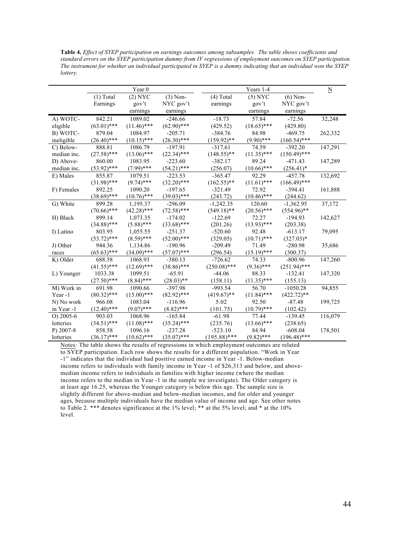**Table 4.** *Effect of SYEP participation on earnings outcomes among subsamples. The table shows coefficients and standard errors on the SYEP participation dummy from IV regressions of employment outcomes on SYEP participation. The instrument for whether an individual participated in SYEP is a dummy indicating that an individual won the SYEP lottery.* 

|              |               | Year <sub>0</sub> |               |                | Years 1-4     |                | $\underline{\mathbf{N}}$ |
|--------------|---------------|-------------------|---------------|----------------|---------------|----------------|--------------------------|
|              | $(1)$ Total   | $(2)$ NYC         | $(3)$ Non-    | $(4)$ Total    | $(5)$ NYC     | $(6)$ Non-     |                          |
|              | Earnings      | gov't             | NYC gov't     | earnings       | gov't         | NYC gov't      |                          |
|              |               | earnings          | earnings      |                | earnings      | earnings       |                          |
| A) WOTC-     | 842.21        | 1089.02           | $-246.66$     | $-18.73$       | 57.84         | $-72.56$       | 32,248                   |
| eligible     | $(63.01)$ *** | $(11.46)$ ***     | $(62.90)$ *** | (429.52)       | $(18.65)$ *** | (429.80)       |                          |
| B) WOTC-     | 879.04        | 1084.97           | $-205.71$     | $-384.76$      | 84.98         | $-469.75$      | 262,332                  |
| ineligible   | $(26.40)$ *** | $(10.15)$ ***     | $(26.30)$ *** | $(159.92)$ **  | $(9.90)$ ***  | $(160.54)$ *** |                          |
| C) Below-    | 888.81        | 1086.79           | $-197.91$     | $-317.61$      | 74.59         | $-392.20$      | 147,291                  |
| median inc.  | $(27.58)$ *** | $(13.06)$ ***     | $(22.34)$ *** | $(148.55)$ **  | $(11.35)$ *** | $(150.49)$ *** |                          |
| D) Above-    | 860.00        | 1083.95           | $-223.60$     | $-382.17$      | 89.24         | $-471.43$      | 147,289                  |
| median inc.  | $(53.92)$ *** | $(7.99)$ ***      | $(54.21)$ *** | (256.07)       | $(10.66)$ *** | $(256.41)^*$   |                          |
| E) Males     | 855.87        | 1079.51           | $-223.53$     | $-365.47$      | 92.29         | $-457.78$      | 132,692                  |
|              | $(31.98)$ *** | $(9.74)$ ***      | $(32.20)$ *** | $(162.55)$ **  | $(11.61)$ *** | $(166.49)$ *** |                          |
| F) Females   | 892.25        | 1090.20           | $-197.65$     | $-321.49$      | 72.92         | $-394.41$      | 161,888                  |
|              | $(38.69)$ *** | $(10.76)$ ***     | $(39.03)$ *** | (243.72)       | $(10.46)$ *** | (244.62)       |                          |
| G) White     | 899.28        | 1,195.37          | $-296.09$     | $-1,242.35$    | 120.60        | $-1,362.95$    | 37,172                   |
|              | $(70.66)$ *** | $(42.28)$ ***     | $(72.58)$ *** | $(549.18)$ **  | $(20.56)$ *** | $(554.96)$ **  |                          |
| H) Black     | 899.14        | 1,073.35          | $-174.02$     | $-122.69$      | 72.27         | $-194.93$      | 142,627                  |
|              | $(34.88)$ *** | $(5.88)$ ***      | $(33.68)$ *** | (201.26)       | $(13.93)$ *** | (203.38)       |                          |
| I) Latino    | 803.95        | 1,055.55          | $-251.37$     | $-520.60$      | 92.48         | $-613.17$      | 79,095                   |
|              | $(53.72)$ *** | $(8.59)$ ***      | $(52.00)$ *** | (329.05)       | $(10.71)$ *** | $(327.03)*$    |                          |
| J) Other     | 944.36        | 1,134.86          | $-190.96$     | $-209.49$      | 71.49         | $-280.98$      | 35,686                   |
| races        | $(65.63)$ *** | $(34.09)$ ***     | $(57.07)$ *** | (296.54)       | $(15.19)$ *** | (300.37)       |                          |
| K) Older     | 688.58        | 1068.93           | $-380.13$     | $-726.62$      | 74.33         | $-800.96$      | 147,260                  |
|              | $(41.55)$ *** | $(12.69)$ ***     | $(38.86)$ *** | $(250.08)$ *** | $(9.36)$ ***  | $(251.94)$ *** |                          |
| L) Younger   | 1033.38       | 1099.51           | $-65.91$      | $-44.06$       | 88.33         | $-132.41$      | 147,320                  |
|              | $(27.50)$ *** | $(8.84)$ ***      | $(28.03)$ **  | (158.11)       | $(11.35)$ *** | (155.13)       |                          |
| M) Work in   | 691.98        | 1090.66           | $-397.98$     | $-993.54$      | 56.70         | $-1050.28$     | 94,855                   |
| Year -1      | $(80.32)$ *** | $(15.00)$ ***     | $(82.92)$ *** | $(419.67)$ **  | $(11.84)$ *** | $(422.72)$ **  |                          |
| N) No work   | 966.08        | 1083.04           | $-116.96$     | 5.02           | 92.50         | $-87.48$       | 199,725                  |
| in Year -1   | $(12.40)$ *** | $(9.07)$ ***      | $(8.82)$ ***  | (101.75)       | $(10.79)$ *** | (102.42)       |                          |
| $O$ ) 2005-6 | 903.03        | 1068.96           | $-165.84$     | $-61.98$       | 77.44         | $-139.45$      | 116,079                  |
| lotteries    | $(34.51)$ *** | $(11.08)$ ***     | $(35.24)$ *** | (235.76)       | $(13.66)$ *** | (238.65)       |                          |
| $P$ ) 2007-8 | 858.58        | 1096.16           | $-237.28$     | $-523.10$      | 84.94         | $-608.04$      | 178,501                  |
| lotteries    | $(36.17)$ *** | $(10.62)$ ***     | $(35.07)$ *** | $(195.88)$ *** | $(9.82)$ ***  | $(196.48)$ *** |                          |

Notes: The table shows the results of regressions in which employment outcomes are related to SYEP participation. Each row shows the results for a different population. "Work in Year -1" indicates that the individual had positive earned income in Year -1. Below-median income refers to individuals with family income in Year -1 of \$26,313 and below, and abovemedian income refers to individuals in families with higher income (where the median income refers to the median in Year -1 in the sample we investigate). The Older category is at least age 16.25, whereas the Younger category is below this age. The sample size is slightly different for above-median and below-median incomes, and for older and younger ages, because multiple individuals have the median value of income and age. See other notes to Table 2. \*\*\* denotes significance at the 1% level; \*\* at the 5% level; and \* at the 10% level.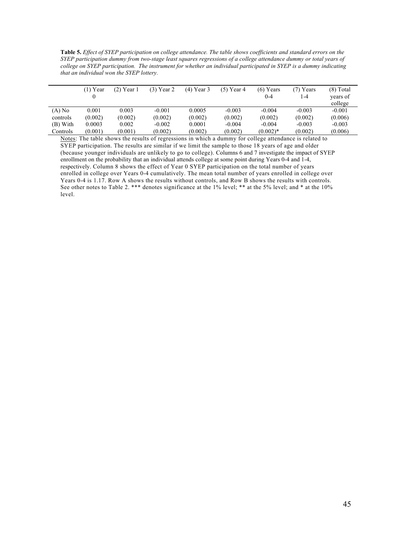**Table 5.** *Effect of SYEP participation on college attendance. The table shows coefficients and standard errors on the SYEP participation dummy from two-stage least squares regressions of a college attendance dummy or total years of college on SYEP participation. The instrument for whether an individual participated in SYEP is a dummy indicating that an individual won the SYEP lottery.*

|          | $(1)$ Year | $(2)$ Year 1 | $(3)$ Year 2 | $(4)$ Year 3 | $(5)$ Year 4 | $(6)$ Years<br>$0 - 4$ | (7) Years<br>$1 - 4$ | $(8)$ Total<br>years of |
|----------|------------|--------------|--------------|--------------|--------------|------------------------|----------------------|-------------------------|
|          |            |              |              |              |              |                        |                      | college                 |
| $(A)$ No | 0.001      | 0.003        | $-0.001$     | 0.0005       | $-0.003$     | $-0.004$               | $-0.003$             | $-0.001$                |
| controls | (0.002)    | (0.002)      | (0.002)      | (0.002)      | (0.002)      | (0.002)                | (0.002)              | (0.006)                 |
| (B) With | 0.0003     | 0.002        | $-0.002$     | 0.0001       | $-0.004$     | $-0.004$               | $-0.003$             | $-0.003$                |
| Controls | (0.001)    | (0.001)      | (0.002)      | (0.002)      | (0.002)      | $(0.002)$ *            | (0.002)              | (0.006)                 |

Notes: The table shows the results of regressions in which a dummy for college attendance is related to SYEP participation. The results are similar if we limit the sample to those 18 years of age and older (because younger individuals are unlikely to go to college). Columns 6 and 7 investigate the impact of SYEP enrollment on the probability that an individual attends college at some point during Years 0-4 and 1-4, respectively. Column 8 shows the effect of Year 0 SYEP participation on the total number of years enrolled in college over Years 0-4 cumulatively. The mean total number of years enrolled in college over Years 0-4 is 1.17. Row A shows the results without controls, and Row B shows the results with controls. See other notes to Table 2. \*\*\* denotes significance at the 1% level; \*\* at the 5% level; and \* at the 10% level.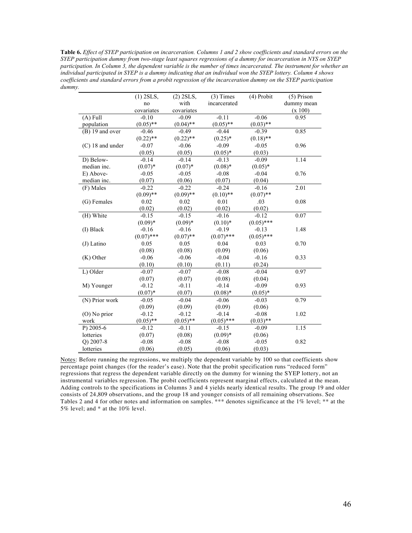**Table 6.** *Effect of SYEP participation on incarceration. Columns 1 and 2 show coefficients and standard errors on the SYEP participation dummy from two-stage least squares regressions of a dummy for incarceration in NYS on SYEP participation. In Column 3, the dependent variable is the number of times incarcerated. The instrument for whether an individual participated in SYEP is a dummy indicating that an individual won the SYEP lottery. Column 4 shows coefficients and standard errors from a probit regression of the incarceration dummy on the SYEP participation dummy.*

|                    | $(1)$ 2SLS,  | $(2)$ 2SLS, | $(3)$ Times  | (4) Probit   | $(5)$ Prison |
|--------------------|--------------|-------------|--------------|--------------|--------------|
|                    | no           | with        | incarcerated |              | dummy mean   |
|                    | covariates   | covariates  |              |              | (x 100)      |
| $(A)$ Full         | $-0.10$      | $-0.09$     | $-0.11$      | $-0.06$      | 0.95         |
| population         | $(0.05)$ **  | $(0.04)$ ** | $(0.05)$ **  | $(0.03)$ **  |              |
| $(B)$ 19 and over  | $-0.46$      | $-0.49$     | $-0.44$      | $-0.39$      | 0.85         |
|                    | $(0.22)$ **  | $(0.22)$ ** | $(0.25)^*$   | $(0.18)$ **  |              |
| $(C)$ 18 and under | $-0.07$      | $-0.06$     | $-0.09$      | $-0.05$      | 0.96         |
|                    | (0.05)       | (0.05)      | $(0.05)*$    | (0.03)       |              |
| D) Below-          | $-0.14$      | $-0.14$     | $-0.13$      | $-0.09$      | 1.14         |
| median inc.        | $(0.07)^*$   | $(0.07)*$   | $(0.08)*$    | $(0.05)^*$   |              |
| E) Above-          | $-0.05$      | $-0.05$     | $-0.08$      | $-0.04$      | 0.76         |
| median inc.        | (0.07)       | (0.06)      | (0.07)       | (0.04)       |              |
| (F) Males          | $-0.22$      | $-0.22$     | $-0.24$      | $-0.16$      | 2.01         |
|                    | $(0.09)$ **  | $(0.09)$ ** | $(0.10)$ **  | $(0.07)$ **  |              |
| (G) Females        | 0.02         | 0.02        | 0.01         | .03          | 0.08         |
|                    | (0.02)       | (0.02)      | (0.02)       | (0.02)       |              |
| (H) White          | $-0.15$      | $-0.15$     | $-0.16$      | $-0.12$      | 0.07         |
|                    | $(0.09)*$    | $(0.09)*$   | $(0.10)*$    | $(0.05)$ *** |              |
| (I) Black          | $-0.16$      | $-0.16$     | $-0.19$      | $-0.13$      | 1.48         |
|                    | $(0.07)$ *** | $(0.07)$ ** | $(0.07)$ *** | $(0.05)$ *** |              |
| $(J)$ Latino       | 0.05         | 0.05        | 0.04         | 0.03         | 0.70         |
|                    | (0.08)       | (0.08)      | (0.09)       | (0.06)       |              |
| (K) Other          | $-0.06$      | $-0.06$     | $-0.04$      | $-0.16$      | 0.33         |
|                    | (0.10)       | (0.10)      | (0.11)       | (0.24)       |              |
| L) Older           | $-0.07$      | $-0.07$     | $-0.08$      | $-0.04$      | 0.97         |
|                    | (0.07)       | (0.07)      | (0.08)       | (0.04)       |              |
| M) Younger         | $-0.12$      | $-0.11$     | $-0.14$      | $-0.09$      | 0.93         |
|                    | $(0.07)^*$   | (0.07)      | $(0.08)*$    | $(0.05)^*$   |              |
| (N) Prior work     | $-0.05$      | $-0.04$     | $-0.06$      | $-0.03$      | 0.79         |
|                    | (0.09)       | (0.09)      | (0.09)       | (0.06)       |              |
| (O) No prior       | $-0.12$      | $-0.12$     | $-0.14$      | $-0.08$      | 1.02         |
| work               | $(0.05)$ **  | $(0.05)$ ** | $(0.05)$ *** | $(0.03)$ **  |              |
| P) $2005-6$        | $-0.12$      | $-0.11$     | $-0.15$      | $-0.09$      | 1.15         |
| lotteries          | (0.07)       | (0.08)      | $(0.09)*$    | (0.06)       |              |
| Q) 2007-8          | $-0.08$      | $-0.08$     | $-0.08$      | $-0.05$      | 0.82         |
| lotteries          | (0.06)       | (0.05)      | (0.06)       | (0.03)       |              |

Notes: Before running the regressions, we multiply the dependent variable by 100 so that coefficients show percentage point changes (for the reader's ease). Note that the probit specification runs "reduced form" regressions that regress the dependent variable directly on the dummy for winning the SYEP lottery, not an instrumental variables regression. The probit coefficients represent marginal effects, calculated at the mean. Adding controls to the specifications in Columns 3 and 4 yields nearly identical results. The group 19 and older consists of 24,809 observations, and the group 18 and younger consists of all remaining observations. See Tables 2 and 4 for other notes and information on samples. \*\*\* denotes significance at the 1% level; \*\* at the 5% level; and \* at the 10% level.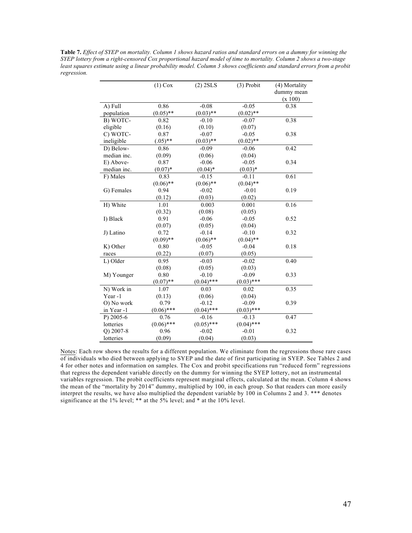**Table 7.** *Effect of SYEP on mortality. Column 1 shows hazard ratios and standard errors on a dummy for winning the SYEP lottery from a right-censored Cox proportional hazard model of time to mortality. Column 2 shows a two-stage least squares estimate using a linear probability model. Column 3 shows coefficients and standard errors from a probit regression.* 

|             | $(1)$ Cox    | $(2)$ 2SLS   | $(3)$ Probit | (4) Mortality |
|-------------|--------------|--------------|--------------|---------------|
|             |              |              |              | dummy mean    |
|             |              |              |              | (x 100)       |
| A) Full     | 0.86         | $-0.08$      | $-0.05$      | 0.38          |
| population  | $(0.05)$ **  | $(0.03)$ **  | $(0.02)$ **  |               |
| B) WOTC-    | 0.82         | $-0.10$      | $-0.07$      | 0.38          |
| eligible    | (0.16)       | (0.10)       | (0.07)       |               |
| C) WOTC-    | 0.87         | $-0.07$      | $-0.05$      | 0.38          |
| ineligible  | $(.05)$ **   | $(0.03)$ **  | $(0.02)$ **  |               |
| D) Below-   | 0.86         | $-0.09$      | $-0.06$      | 0.42          |
| median inc. | (0.09)       | (0.06)       | (0.04)       |               |
| E) Above-   | 0.87         | $-0.06$      | $-0.05$      | 0.34          |
| median inc. | $(0.07)*$    | $(0.04)$ *   | $(0.03)*$    |               |
| F) Males    | 0.83         | $-0.15$      | $-0.11$      | 0.61          |
|             | $(0.06)$ **  | $(0.06)$ **  | $(0.04)$ **  |               |
| G) Females  | 0.94         | $-0.02$      | $-0.01$      | 0.19          |
|             | (0.12)       | (0.03)       | (0.02)       |               |
| H) White    | 1.01         | 0.003        | 0.001        | 0.16          |
|             | (0.32)       | (0.08)       | (0.05)       |               |
| I) Black    | 0.91         | $-0.06$      | $-0.05$      | 0.52          |
|             | (0.07)       | (0.05)       | (0.04)       |               |
| J) Latino   | 0.72         | $-0.14$      | $-0.10$      | 0.32          |
|             | $(0.09)$ **  | $(0.06)$ **  | $(0.04)$ **  |               |
| K) Other    | 0.80         | $-0.05$      | $-0.04$      | 0.18          |
| races       | (0.22)       | (0.07)       | (0.05)       |               |
| L) Older    | 0.95         | $-0.03$      | $-0.02$      | 0.40          |
|             | (0.08)       | (0.05)       | (0.03)       |               |
| M) Younger  | 0.80         | $-0.10$      | $-0.09$      | 0.33          |
|             | $(0.07)$ **  | $(0.04)$ *** | $(0.03)$ *** |               |
| N) Work in  | 1.07         | 0.03         | 0.02         | 0.35          |
| Year-1      | (0.13)       | (0.06)       | (0.04)       |               |
| O) No work  | 0.79         | $-0.12$      | $-0.09$      | 0.39          |
| in Year -1  | $(0.06)$ *** | $(0.04)$ *** | $(0.03)$ *** |               |
| P) 2005-6   | 0.76         | $-0.16$      | $-0.13$      | 0.47          |
| lotteries   | $(0.06)$ *** | $(0.05)$ *** | $(0.04)$ *** |               |
| Q) 2007-8   | 0.96         | $-0.02$      | $-0.01$      | 0.32          |
| lotteries   | (0.09)       | (0.04)       | (0.03)       |               |

Notes: Each row shows the results for a different population. We eliminate from the regressions those rare cases of individuals who died between applying to SYEP and the date of first participating in SYEP. See Tables 2 and 4 for other notes and information on samples. The Cox and probit specifications run "reduced form" regressions that regress the dependent variable directly on the dummy for winning the SYEP lottery, not an instrumental variables regression. The probit coefficients represent marginal effects, calculated at the mean. Column 4 shows the mean of the "mortality by 2014" dummy, multiplied by 100, in each group. So that readers can more easily interpret the results, we have also multiplied the dependent variable by 100 in Columns 2 and 3. \*\*\* denotes significance at the 1% level; \*\* at the 5% level; and \* at the 10% level.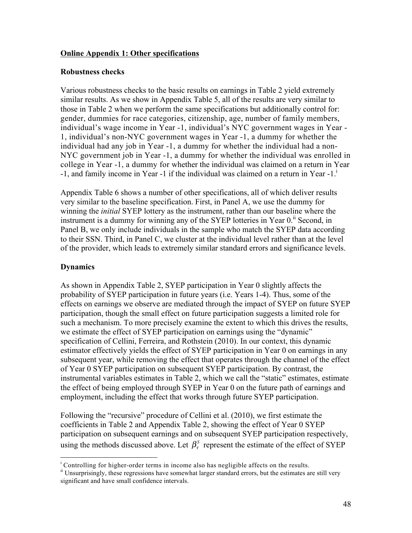# **Online Appendix 1: Other specifications**

# **Robustness checks**

Various robustness checks to the basic results on earnings in Table 2 yield extremely similar results. As we show in Appendix Table 5, all of the results are very similar to those in Table 2 when we perform the same specifications but additionally control for: gender, dummies for race categories, citizenship, age, number of family members, individual's wage income in Year -1, individual's NYC government wages in Year - 1, individual's non-NYC government wages in Year -1, a dummy for whether the individual had any job in Year -1, a dummy for whether the individual had a non-NYC government job in Year -1, a dummy for whether the individual was enrolled in college in Year -1, a dummy for whether the individual was claimed on a return in Year  $-1$ , and family income in Year  $-1$  if the individual was claimed on a return in Year  $-1$ .

Appendix Table 6 shows a number of other specifications, all of which deliver results very similar to the baseline specification. First, in Panel A, we use the dummy for winning the *initial* SYEP lottery as the instrument, rather than our baseline where the instrument is a dummy for winning any of the SYEP lotteries in Year 0.<sup>ii</sup> Second, in Panel B, we only include individuals in the sample who match the SYEP data according to their SSN. Third, in Panel C, we cluster at the individual level rather than at the level of the provider, which leads to extremely similar standard errors and significance levels.

# **Dynamics**

As shown in Appendix Table 2, SYEP participation in Year 0 slightly affects the probability of SYEP participation in future years (i.e. Years 1-4). Thus, some of the effects on earnings we observe are mediated through the impact of SYEP on future SYEP participation, though the small effect on future participation suggests a limited role for such a mechanism. To more precisely examine the extent to which this drives the results, we estimate the effect of SYEP participation on earnings using the "dynamic" specification of Cellini, Ferreira, and Rothstein (2010). In our context, this dynamic estimator effectively yields the effect of SYEP participation in Year 0 on earnings in any subsequent year, while removing the effect that operates through the channel of the effect of Year 0 SYEP participation on subsequent SYEP participation. By contrast, the instrumental variables estimates in Table 2, which we call the "static" estimates, estimate the effect of being employed through SYEP in Year 0 on the future path of earnings and employment, including the effect that works through future SYEP participation.

Following the "recursive" procedure of Cellini et al. (2010), we first estimate the coefficients in Table 2 and Appendix Table 2, showing the effect of Year 0 SYEP participation on subsequent earnings and on subsequent SYEP participation respectively, using the methods discussed above. Let  $\beta_{\tau}^{S}$  represent the estimate of the effect of SYEP

i

<sup>&</sup>lt;sup>i</sup> Controlling for higher-order terms in income also has negligible affects on the results.<br>
<sup>ii</sup> Unsurprisingly, these regressions have somewhat larger standard errors, but the estimates are still very significant and have small confidence intervals.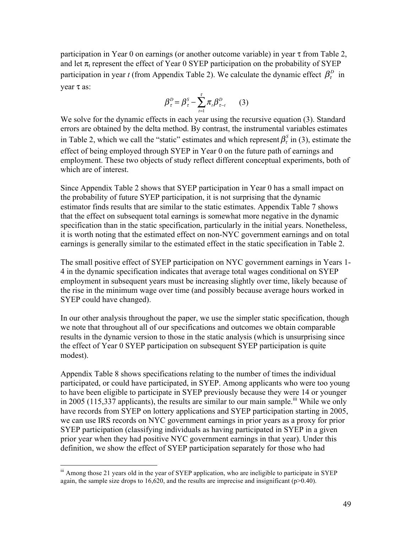participation in Year 0 on earnings (or another outcome variable) in year  $\tau$  from Table 2, and let  $\pi_t$  represent the effect of Year 0 SYEP participation on the probability of SYEP participation in year *t* (from Appendix Table 2). We calculate the dynamic effect  $\beta_r^D$  in year τ as:

$$
\beta_{\tau}^D = \beta_{\tau}^S - \sum_{t=1}^{\tau} \pi_t \beta_{\tau-t}^D \qquad (3)
$$

We solve for the dynamic effects in each year using the recursive equation (3). Standard errors are obtained by the delta method. By contrast, the instrumental variables estimates in Table 2, which we call the "static" estimates and which represent  $\beta_{\tau}^{s}$  in (3), estimate the effect of being employed through SYEP in Year 0 on the future path of earnings and employment. These two objects of study reflect different conceptual experiments, both of which are of interest.

Since Appendix Table 2 shows that SYEP participation in Year 0 has a small impact on the probability of future SYEP participation, it is not surprising that the dynamic estimator finds results that are similar to the static estimates. Appendix Table 7 shows that the effect on subsequent total earnings is somewhat more negative in the dynamic specification than in the static specification, particularly in the initial years. Nonetheless, it is worth noting that the estimated effect on non-NYC government earnings and on total earnings is generally similar to the estimated effect in the static specification in Table 2.

The small positive effect of SYEP participation on NYC government earnings in Years 1- 4 in the dynamic specification indicates that average total wages conditional on SYEP employment in subsequent years must be increasing slightly over time, likely because of the rise in the minimum wage over time (and possibly because average hours worked in SYEP could have changed).

In our other analysis throughout the paper, we use the simpler static specification, though we note that throughout all of our specifications and outcomes we obtain comparable results in the dynamic version to those in the static analysis (which is unsurprising since the effect of Year 0 SYEP participation on subsequent SYEP participation is quite modest).

Appendix Table 8 shows specifications relating to the number of times the individual participated, or could have participated, in SYEP. Among applicants who were too young to have been eligible to participate in SYEP previously because they were 14 or younger in 2005 (115,337 applicants), the results are similar to our main sample.<sup>iii</sup> While we only have records from SYEP on lottery applications and SYEP participation starting in 2005, we can use IRS records on NYC government earnings in prior years as a proxy for prior SYEP participation (classifying individuals as having participated in SYEP in a given prior year when they had positive NYC government earnings in that year). Under this definition, we show the effect of SYEP participation separately for those who had

<sup>&</sup>lt;sup>iii</sup> Among those 21 years old in the year of SYEP application, who are ineligible to participate in SYEP again, the sample size drops to  $16,620$ , and the results are imprecise and insignificant ( $p>0.40$ ).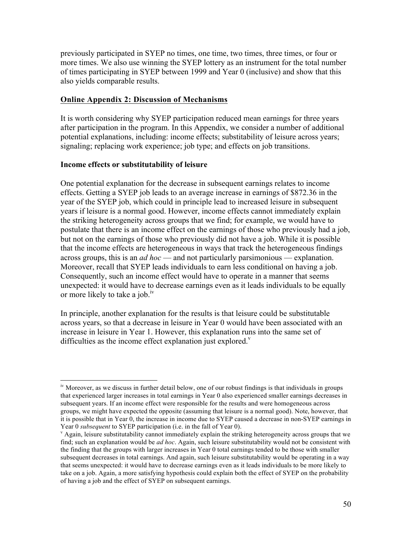previously participated in SYEP no times, one time, two times, three times, or four or more times. We also use winning the SYEP lottery as an instrument for the total number of times participating in SYEP between 1999 and Year 0 (inclusive) and show that this also yields comparable results.

# **Online Appendix 2: Discussion of Mechanisms**

It is worth considering why SYEP participation reduced mean earnings for three years after participation in the program. In this Appendix, we consider a number of additional potential explanations, including: income effects; substitability of leisure across years; signaling; replacing work experience; job type; and effects on job transitions.

# **Income effects or substitutability of leisure**

One potential explanation for the decrease in subsequent earnings relates to income effects. Getting a SYEP job leads to an average increase in earnings of \$872.36 in the year of the SYEP job, which could in principle lead to increased leisure in subsequent years if leisure is a normal good. However, income effects cannot immediately explain the striking heterogeneity across groups that we find; for example, we would have to postulate that there is an income effect on the earnings of those who previously had a job, but not on the earnings of those who previously did not have a job. While it is possible that the income effects are heterogeneous in ways that track the heterogeneous findings across groups, this is an *ad hoc* — and not particularly parsimonious — explanation. Moreover, recall that SYEP leads individuals to earn less conditional on having a job. Consequently, such an income effect would have to operate in a manner that seems unexpected: it would have to decrease earnings even as it leads individuals to be equally or more likely to take a job.<sup>1V</sup>

In principle, another explanation for the results is that leisure could be substitutable across years, so that a decrease in leisure in Year 0 would have been associated with an increase in leisure in Year 1. However, this explanation runs into the same set of difficulties as the income effect explanation just explored. $v$ 

<sup>&</sup>lt;sup>iv</sup> Moreover, as we discuss in further detail below, one of our robust findings is that individuals in groups that experienced larger increases in total earnings in Year 0 also experienced smaller earnings decreases in subsequent years. If an income effect were responsible for the results and were homogeneous across groups, we might have expected the opposite (assuming that leisure is a normal good). Note, however, that it is possible that in Year 0, the increase in income due to SYEP caused a decrease in non-SYEP earnings in Year 0 *subsequent* to SYEP participation (i.e. in the fall of Year 0).<br><sup>v</sup> Again, leisure substitutability cannot immediately explain the striking heterogeneity across groups that we

find; such an explanation would be *ad hoc*. Again, such leisure substitutability would not be consistent with the finding that the groups with larger increases in Year 0 total earnings tended to be those with smaller subsequent decreases in total earnings. And again, such leisure substitutability would be operating in a way that seems unexpected: it would have to decrease earnings even as it leads individuals to be more likely to take on a job. Again, a more satisfying hypothesis could explain both the effect of SYEP on the probability of having a job and the effect of SYEP on subsequent earnings.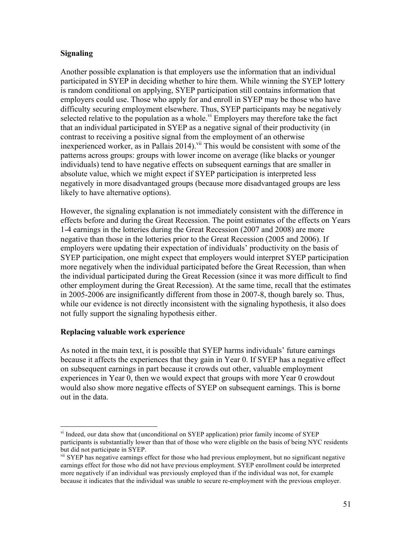# **Signaling**

Another possible explanation is that employers use the information that an individual participated in SYEP in deciding whether to hire them. While winning the SYEP lottery is random conditional on applying, SYEP participation still contains information that employers could use. Those who apply for and enroll in SYEP may be those who have difficulty securing employment elsewhere. Thus, SYEP participants may be negatively selected relative to the population as a whole.<sup>vi</sup> Employers may therefore take the fact that an individual participated in SYEP as a negative signal of their productivity (in contrast to receiving a positive signal from the employment of an otherwise inexperienced worker, as in Pallais  $2014$ ).<sup>vii</sup> This would be consistent with some of the patterns across groups: groups with lower income on average (like blacks or younger individuals) tend to have negative effects on subsequent earnings that are smaller in absolute value, which we might expect if SYEP participation is interpreted less negatively in more disadvantaged groups (because more disadvantaged groups are less likely to have alternative options).

However, the signaling explanation is not immediately consistent with the difference in effects before and during the Great Recession. The point estimates of the effects on Years 1-4 earnings in the lotteries during the Great Recession (2007 and 2008) are more negative than those in the lotteries prior to the Great Recession (2005 and 2006). If employers were updating their expectation of individuals' productivity on the basis of SYEP participation, one might expect that employers would interpret SYEP participation more negatively when the individual participated before the Great Recession, than when the individual participated during the Great Recession (since it was more difficult to find other employment during the Great Recession). At the same time, recall that the estimates in 2005-2006 are insignificantly different from those in 2007-8, though barely so. Thus, while our evidence is not directly inconsistent with the signaling hypothesis, it also does not fully support the signaling hypothesis either.

# **Replacing valuable work experience**

As noted in the main text, it is possible that SYEP harms individuals' future earnings because it affects the experiences that they gain in Year 0. If SYEP has a negative effect on subsequent earnings in part because it crowds out other, valuable employment experiences in Year 0, then we would expect that groups with more Year 0 crowdout would also show more negative effects of SYEP on subsequent earnings. This is borne out in the data.

vi Indeed, our data show that (unconditional on SYEP application) prior family income of SYEP participants is substantially lower than that of those who were eligible on the basis of being NYC residents but did not participate in SYEP.

<sup>&</sup>lt;sup>vii</sup> SYEP has negative earnings effect for those who had previous employment, but no significant negative earnings effect for those who did not have previous employment. SYEP enrollment could be interpreted more negatively if an individual was previously employed than if the individual was not, for example because it indicates that the individual was unable to secure re-employment with the previous employer.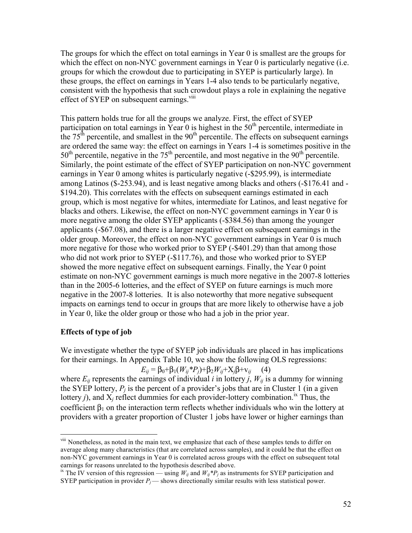The groups for which the effect on total earnings in Year 0 is smallest are the groups for which the effect on non-NYC government earnings in Year 0 is particularly negative (i.e. groups for which the crowdout due to participating in SYEP is particularly large). In these groups, the effect on earnings in Years 1-4 also tends to be particularly negative, consistent with the hypothesis that such crowdout plays a role in explaining the negative effect of SYEP on subsequent earnings.<sup>viii</sup>

This pattern holds true for all the groups we analyze. First, the effect of SYEP participation on total earnings in Year 0 is highest in the  $50<sup>th</sup>$  percentile, intermediate in the  $75<sup>th</sup>$  percentile, and smallest in the  $90<sup>th</sup>$  percentile. The effects on subsequent earnings are ordered the same way: the effect on earnings in Years 1-4 is sometimes positive in the  $50<sup>th</sup>$  percentile, negative in the  $75<sup>th</sup>$  percentile, and most negative in the  $90<sup>th</sup>$  percentile. Similarly, the point estimate of the effect of SYEP participation on non-NYC government earnings in Year 0 among whites is particularly negative (-\$295.99), is intermediate among Latinos (\$-253.94), and is least negative among blacks and others (-\$176.41 and - \$194.20). This correlates with the effects on subsequent earnings estimated in each group, which is most negative for whites, intermediate for Latinos, and least negative for blacks and others. Likewise, the effect on non-NYC government earnings in Year 0 is more negative among the older SYEP applicants (-\$384.56) than among the younger applicants (-\$67.08), and there is a larger negative effect on subsequent earnings in the older group. Moreover, the effect on non-NYC government earnings in Year 0 is much more negative for those who worked prior to SYEP (-\$401.29) than that among those who did not work prior to SYEP (-\$117.76), and those who worked prior to SYEP showed the more negative effect on subsequent earnings. Finally, the Year 0 point estimate on non-NYC government earnings is much more negative in the 2007-8 lotteries than in the 2005-6 lotteries, and the effect of SYEP on future earnings is much more negative in the 2007-8 lotteries. It is also noteworthy that more negative subsequent impacts on earnings tend to occur in groups that are more likely to otherwise have a job in Year 0, like the older group or those who had a job in the prior year.

# **Effects of type of job**

We investigate whether the type of SYEP job individuals are placed in has implications for their earnings. In Appendix Table 10, we show the following OLS regressions:

*E<sub>ij</sub>* = β<sub>0</sub>+β<sub>1</sub>( $W_{ij}$ \**P<sub>i</sub>*)+β<sub>2</sub> $W_{ij}$ +X<sub>i</sub>β+v<sub>*ij*</sub> (4)

where  $E_{ij}$  represents the earnings of individual *i* in lottery *j*,  $W_{ij}$  is a dummy for winning the SYEP lottery,  $P_i$  is the percent of a provider's jobs that are in Cluster 1 (in a given lottery *j*), and  $X_i$  reflect dummies for each provider-lottery combination.<sup>ix</sup> Thus, the coefficient  $\beta_1$  on the interaction term reflects whether individuals who win the lottery at providers with a greater proportion of Cluster 1 jobs have lower or higher earnings than

<sup>&</sup>lt;sup>viii</sup> Nonetheless, as noted in the main text, we emphasize that each of these samples tends to differ on average along many characteristics (that are correlated across samples), and it could be that the effect on non-NYC government earnings in Year 0 is correlated across groups with the effect on subsequent total earnings for reasons unrelated to the hypothesis described above.

<sup>&</sup>lt;sup>ix</sup> The IV version of this regression — using  $W_{ij}$  and  $W_{ij}$ <sup>\**P<sub>j</sub>*</sub> as instruments for SYEP participation and</sup> SYEP participation in provider  $P_j$ — shows directionally similar results with less statistical power.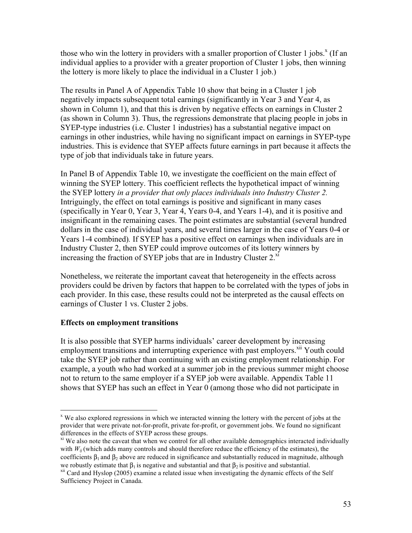those who win the lottery in providers with a smaller proportion of Cluster 1 jobs.<sup>x</sup> (If an individual applies to a provider with a greater proportion of Cluster 1 jobs, then winning the lottery is more likely to place the individual in a Cluster 1 job.)

The results in Panel A of Appendix Table 10 show that being in a Cluster 1 job negatively impacts subsequent total earnings (significantly in Year 3 and Year 4, as shown in Column 1), and that this is driven by negative effects on earnings in Cluster 2 (as shown in Column 3). Thus, the regressions demonstrate that placing people in jobs in SYEP-type industries (i.e. Cluster 1 industries) has a substantial negative impact on earnings in other industries, while having no significant impact on earnings in SYEP-type industries. This is evidence that SYEP affects future earnings in part because it affects the type of job that individuals take in future years.

In Panel B of Appendix Table 10, we investigate the coefficient on the main effect of winning the SYEP lottery. This coefficient reflects the hypothetical impact of winning the SYEP lottery *in a provider that only places individuals into Industry Cluster 2.*  Intriguingly, the effect on total earnings is positive and significant in many cases (specifically in Year 0, Year 3, Year 4, Years 0-4, and Years 1-4), and it is positive and insignificant in the remaining cases. The point estimates are substantial (several hundred dollars in the case of individual years, and several times larger in the case of Years 0-4 or Years 1-4 combined)*.* If SYEP has a positive effect on earnings when individuals are in Industry Cluster 2, then SYEP could improve outcomes of its lottery winners by increasing the fraction of SYEP jobs that are in Industry Cluster  $2^{\chi i}$ 

Nonetheless, we reiterate the important caveat that heterogeneity in the effects across providers could be driven by factors that happen to be correlated with the types of jobs in each provider. In this case, these results could not be interpreted as the causal effects on earnings of Cluster 1 vs. Cluster 2 jobs.

# **Effects on employment transitions**

It is also possible that SYEP harms individuals' career development by increasing employment transitions and interrupting experience with past employers.<sup>xii</sup> Youth could take the SYEP job rather than continuing with an existing employment relationship. For example, a youth who had worked at a summer job in the previous summer might choose not to return to the same employer if a SYEP job were available. Appendix Table 11 shows that SYEP has such an effect in Year 0 (among those who did not participate in

 $x<sup>x</sup>$  We also explored regressions in which we interacted winning the lottery with the percent of jobs at the provider that were private not-for-profit, private for-profit, or government jobs. We found no significant differences in the effects of SYEP across these groups.

 $\dot{x}$  We also note the caveat that when we control for all other available demographics interacted individually with  $W_{ii}$  (which adds many controls and should therefore reduce the efficiency of the estimates), the coefficients  $\beta_1$  and  $\beta_2$  above are reduced in significance and substantially reduced in magnitude, although we robustly estimate that  $\beta_1$  is negative and substantial and that  $\beta_2$  is positive and substantial.

<sup>&</sup>lt;sup>xii</sup> Card and Hyslop (2005) examine a related issue when investigating the dynamic effects of the Self Sufficiency Project in Canada.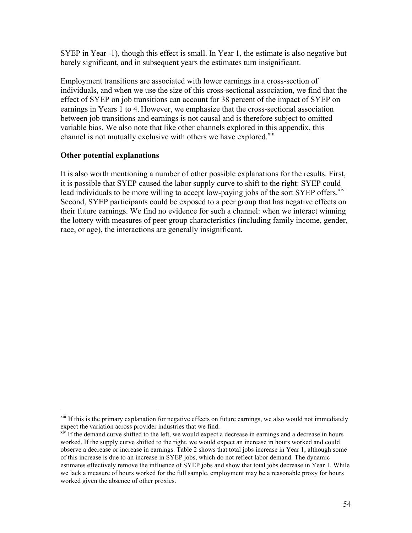SYEP in Year -1), though this effect is small. In Year 1, the estimate is also negative but barely significant, and in subsequent years the estimates turn insignificant.

Employment transitions are associated with lower earnings in a cross-section of individuals, and when we use the size of this cross-sectional association, we find that the effect of SYEP on job transitions can account for 38 percent of the impact of SYEP on earnings in Years 1 to 4. However, we emphasize that the cross-sectional association between job transitions and earnings is not causal and is therefore subject to omitted variable bias. We also note that like other channels explored in this appendix, this channel is not mutually exclusive with others we have explored.<sup>xiii</sup>

# **Other potential explanations**

It is also worth mentioning a number of other possible explanations for the results. First, it is possible that SYEP caused the labor supply curve to shift to the right: SYEP could lead individuals to be more willing to accept low-paying jobs of the sort SYEP offers.<sup>xiv</sup> Second, SYEP participants could be exposed to a peer group that has negative effects on their future earnings. We find no evidence for such a channel: when we interact winning the lottery with measures of peer group characteristics (including family income, gender, race, or age), the interactions are generally insignificant.

<sup>&</sup>lt;sup>xiii</sup> If this is the primary explanation for negative effects on future earnings, we also would not immediately expect the variation across provider industries that we find.

 $x<sup>iv</sup>$  If the demand curve shifted to the left, we would expect a decrease in earnings and a decrease in hours worked. If the supply curve shifted to the right, we would expect an increase in hours worked and could observe a decrease or increase in earnings. Table 2 shows that total jobs increase in Year 1, although some of this increase is due to an increase in SYEP jobs, which do not reflect labor demand. The dynamic estimates effectively remove the influence of SYEP jobs and show that total jobs decrease in Year 1. While we lack a measure of hours worked for the full sample, employment may be a reasonable proxy for hours worked given the absence of other proxies.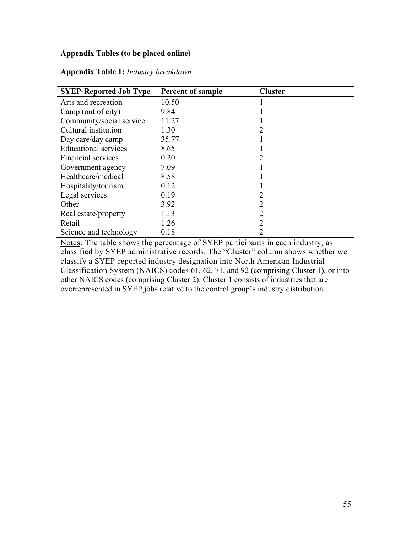# **Appendix Tables (to be placed online)**

| <b>SYEP-Reported Job Type</b> | <b>Percent of sample</b> | <b>Cluster</b> |  |
|-------------------------------|--------------------------|----------------|--|
| Arts and recreation           | 10.50                    |                |  |
| Camp (out of city)            | 9.84                     |                |  |
| Community/social service      | 11.27                    |                |  |
| Cultural institution          | 1.30                     | 2              |  |
| Day care/day camp             | 35.77                    |                |  |
| <b>Educational services</b>   | 8.65                     |                |  |
| Financial services            | 0.20                     | 2              |  |
| Government agency             | 7.09                     |                |  |
| Healthcare/medical            | 8.58                     |                |  |
| Hospitality/tourism           | 0.12                     |                |  |
| Legal services                | 0.19                     | 2              |  |
| Other                         | 3.92                     | 2              |  |
| Real estate/property          | 1.13                     | 2              |  |
| Retail                        | 1.26                     | 2              |  |
| Science and technology        | 0.18                     |                |  |

**Appendix Table 1:** *Industry breakdown*

Notes: The table shows the percentage of SYEP participants in each industry, as classified by SYEP administrative records. The "Cluster" column shows whether we classify a SYEP-reported industry designation into North American Industrial Classification System (NAICS) codes 61, 62, 71, and 92 (comprising Cluster 1), or into other NAICS codes (comprising Cluster 2). Cluster 1 consists of industries that are overrepresented in SYEP jobs relative to the control group's industry distribution.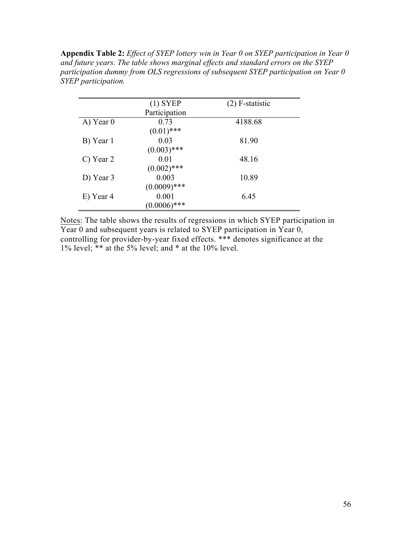**Appendix Table 2:** *Effect of SYEP lottery win in Year 0 on SYEP participation in Year 0 and future years. The table shows marginal effects and standard errors on the SYEP participation dummy from OLS regressions of subsequent SYEP participation on Year 0 SYEP participation.* 

|             | $(1)$ SYEP     | $(2)$ F-statistic |
|-------------|----------------|-------------------|
|             | Participation  |                   |
| $A)$ Year 0 | 0.73           | 4188.68           |
|             | $(0.01)$ ***   |                   |
| B) Year 1   | 0.03           | 81.90             |
|             | $(0.003)$ ***  |                   |
| C) Year 2   | 0.01           | 48.16             |
|             | $(0.002)$ ***  |                   |
| D) Year 3   | 0.003          | 10.89             |
|             | $(0.0009)$ *** |                   |
| E) Year 4   | 0.001          | 6.45              |
|             | $(0.0006)$ *** |                   |

Notes: The table shows the results of regressions in which SYEP participation in Year  $\overline{0}$  and subsequent years is related to SYEP participation in Year  $\overline{0}$ , controlling for provider-by-year fixed effects. \*\*\* denotes significance at the 1% level; \*\* at the 5% level; and \* at the 10% level.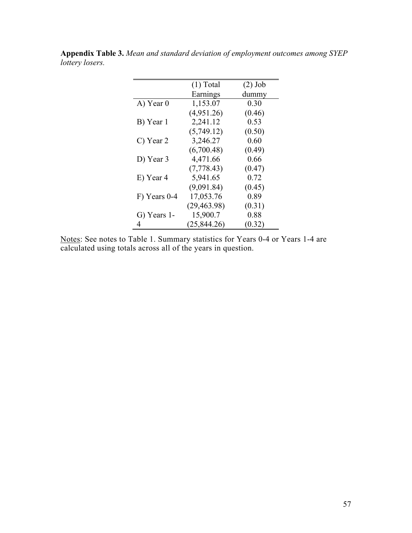|              | $(1)$ Total  | $(2)$ Job |
|--------------|--------------|-----------|
|              | Earnings     | dummy     |
| A) Year 0    | 1,153.07     | 0.30      |
|              | (4,951.26)   | (0.46)    |
| B) Year 1    | 2,241.12     | 0.53      |
|              | (5,749.12)   | (0.50)    |
| C) Year 2    | 3,246.27     | 0.60      |
|              | (6,700.48)   | (0.49)    |
| D) Year 3    | 4,471.66     | 0.66      |
|              | (7,778.43)   | (0.47)    |
| E) Year 4    | 5,941.65     | 0.72      |
|              | (9,091.84)   | (0.45)    |
| F) Years 0-4 | 17,053.76    | 0.89      |
|              | (29, 463.98) | (0.31)    |
| G) Years 1-  | 15,900.7     | 0.88      |
| 4            | (25, 844.26) | (0.32)    |

**Appendix Table 3.** *Mean and standard deviation of employment outcomes among SYEP lottery losers.*

Notes: See notes to Table 1. Summary statistics for Years 0-4 or Years 1-4 are calculated using totals across all of the years in question.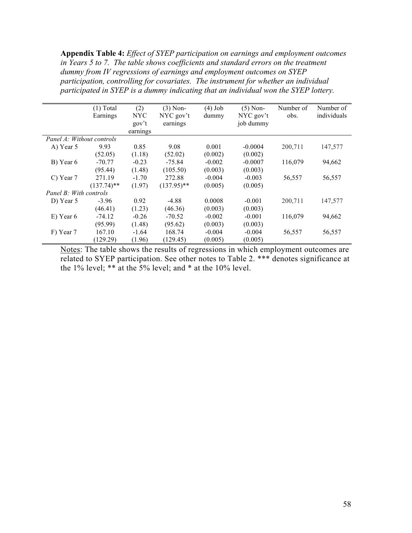**Appendix Table 4:** *Effect of SYEP participation on earnings and employment outcomes in Years 5 to 7. The table shows coefficients and standard errors on the treatment dummy from IV regressions of earnings and employment outcomes on SYEP participation, controlling for covariates. The instrument for whether an individual participated in SYEP is a dummy indicating that an individual won the SYEP lottery.* 

|                           | $(1)$ Total   | (2)        | $(3)$ Non-    | $(4)$ Job | $(5)$ Non- | Number of | Number of   |
|---------------------------|---------------|------------|---------------|-----------|------------|-----------|-------------|
|                           | Earnings      | <b>NYC</b> | NYC gov't     | dummy     | NYC gov't  | obs.      | individuals |
|                           |               | gov't      | earnings      |           | job dummy  |           |             |
|                           |               | earnings   |               |           |            |           |             |
| Panel A: Without controls |               |            |               |           |            |           |             |
| A) Year 5                 | 9.93          | 0.85       | 9.08          | 0.001     | $-0.0004$  | 200,711   | 147,577     |
|                           | (52.05)       | (1.18)     | (52.02)       | (0.002)   | (0.002)    |           |             |
| B) Year 6                 | $-70.77$      | $-0.23$    | $-75.84$      | $-0.002$  | $-0.0007$  | 116,079   | 94,662      |
|                           | (95.44)       | (1.48)     | (105.50)      | (0.003)   | (0.003)    |           |             |
| C) Year 7                 | 271.19        | $-1.70$    | 272.88        | $-0.004$  | $-0.003$   | 56,557    | 56,557      |
|                           | $(137.74)$ ** | (1.97)     | $(137.95)$ ** | (0.005)   | (0.005)    |           |             |
| Panel B: With controls    |               |            |               |           |            |           |             |
| D) Year 5                 | $-3.96$       | 0.92       | $-4.88$       | 0.0008    | $-0.001$   | 200,711   | 147,577     |
|                           | (46.41)       | (1.23)     | (46.36)       | (0.003)   | (0.003)    |           |             |
| $E)$ Year 6               | $-74.12$      | $-0.26$    | $-70.52$      | $-0.002$  | $-0.001$   | 116,079   | 94,662      |
|                           | (95.99)       | (1.48)     | (95.62)       | (0.003)   | (0.003)    |           |             |
| F) Year 7                 | 167.10        | $-1.64$    | 168.74        | $-0.004$  | $-0.004$   | 56,557    | 56,557      |
|                           | (129.29)      | (1.96)     | (129.45)      | (0.005)   | (0.005)    |           |             |

Notes: The table shows the results of regressions in which employment outcomes are related to SYEP participation. See other notes to Table 2. \*\*\* denotes significance at the 1% level;  $**$  at the 5% level; and  $*$  at the 10% level.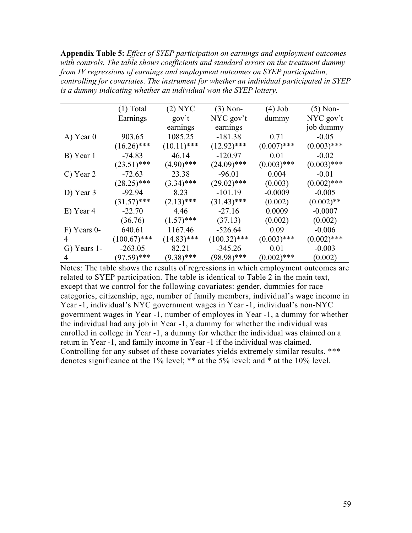**Appendix Table 5:** *Effect of SYEP participation on earnings and employment outcomes with controls. The table shows coefficients and standard errors on the treatment dummy from IV regressions of earnings and employment outcomes on SYEP participation, controlling for covariates. The instrument for whether an individual participated in SYEP is a dummy indicating whether an individual won the SYEP lottery.* 

|             | $(1)$ Total    | $(2)$ NYC     | $(3)$ Non-     | $(4)$ Job     | $(5)$ Non-    |
|-------------|----------------|---------------|----------------|---------------|---------------|
|             | Earnings       | gov't         | $NYC$ gov't    | dummy         | NYC gov't     |
|             |                | earnings      | earnings       |               | job dummy     |
| A) Year 0   | 903.65         | 1085.25       | $-181.38$      | 0.71          | $-0.05$       |
|             | $(16.26)$ ***  | $(10.11)$ *** | $(12.92)$ ***  | $(0.007)$ *** | $(0.003)$ *** |
| B) Year 1   | $-74.83$       | 46.14         | $-120.97$      | 0.01          | $-0.02$       |
|             | $(23.51)$ ***  | $(4.90)$ ***  | $(24.09)$ ***  | $(0.003)$ *** | $(0.003)$ *** |
| C) Year 2   | $-72.63$       | 23.38         | $-96.01$       | 0.004         | $-0.01$       |
|             | $(28.25)$ ***  | $(3.34)$ ***  | $(29.02)$ ***  | (0.003)       | $(0.002)$ *** |
| D) Year 3   | $-92.94$       | 8.23          | $-101.19$      | $-0.0009$     | $-0.005$      |
|             | $(31.57)$ ***  | $(2.13)$ ***  | $(31.43)$ ***  | (0.002)       | $(0.002)$ **  |
| E) Year 4   | $-22.70$       | 4.46          | $-27.16$       | 0.0009        | $-0.0007$     |
|             | (36.76)        | $(1.57)$ ***  | (37.13)        | (0.002)       | (0.002)       |
| F) Years 0- | 640.61         | 1167.46       | $-526.64$      | 0.09          | $-0.006$      |
| 4           | $(100.67)$ *** | $(14.83)$ *** | $(100.32)$ *** | $(0.003)$ *** | $(0.002)$ *** |
| G) Years 1- | $-263.05$      | 82.21         | $-345.26$      | 0.01          | $-0.003$      |
|             | $(97.59)$ ***  | $(9.38)$ ***  | (98.98)***     | $(0.002)$ *** | (0.002)       |

Notes: The table shows the results of regressions in which employment outcomes are related to SYEP participation. The table is identical to Table 2 in the main text, except that we control for the following covariates: gender, dummies for race categories, citizenship, age, number of family members, individual's wage income in Year -1, individual's NYC government wages in Year -1, individual's non-NYC government wages in Year -1, number of employes in Year -1, a dummy for whether the individual had any job in Year -1, a dummy for whether the individual was enrolled in college in Year -1, a dummy for whether the individual was claimed on a return in Year -1, and family income in Year -1 if the individual was claimed. Controlling for any subset of these covariates yields extremely similar results. \*\*\* denotes significance at the 1% level; \*\* at the 5% level; and \* at the 10% level.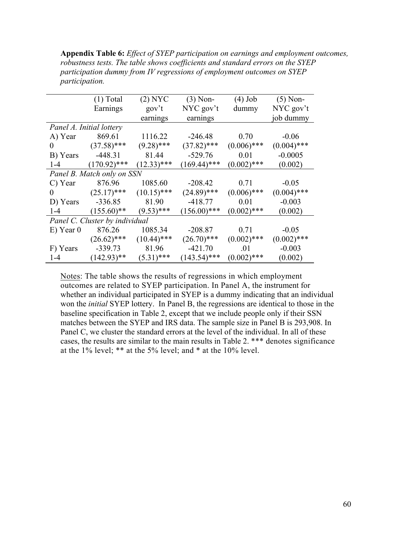| <b>Appendix Table 6:</b> <i>Effect of SYEP participation on earnings and employment outcomes,</i> |
|---------------------------------------------------------------------------------------------------|
| robustness tests. The table shows coefficients and standard errors on the SYEP                    |
| participation dummy from IV regressions of employment outcomes on SYEP                            |
| <i>participation.</i>                                                                             |

|                                      | $(1)$ Total                    | $(2)$ NYC     | $(3)$ Non-     | $(4)$ Job     | $(5)$ Non-    |
|--------------------------------------|--------------------------------|---------------|----------------|---------------|---------------|
|                                      | Earnings                       | gov't         | NYC gov't      | dummy         | NYC gov't     |
|                                      |                                | earnings      | earnings       |               | job dummy     |
|                                      | Panel A. Initial lottery       |               |                |               |               |
| A) Year                              | 869.61                         | 1116.22       | $-246.48$      | 0.70          | $-0.06$       |
| $\begin{array}{ccc} 0 & \end{array}$ | $(37.58)$ ***                  | $(9.28)$ ***  | $(37.82)$ ***  | $(0.006)$ *** | $(0.004)$ *** |
| B) Years                             | $-448.31$                      | 81.44         | $-529.76$      | 0.01          | $-0.0005$     |
| $1 - 4$                              | $(170.92)$ ***                 | $(12.33)$ *** | $(169.44)$ *** | $(0.002)$ *** | (0.002)       |
|                                      | Panel B. Match only on SSN     |               |                |               |               |
| C) Year                              | 876.96                         | 1085.60       | $-208.42$      | 0.71          | $-0.05$       |
| $0 \qquad \qquad$                    | $(25.17)$ ***                  | $(10.15)$ *** | $(24.89)$ ***  | $(0.006)$ *** | $(0.004)$ *** |
| D) Years                             | $-336.85$                      | 81.90         | $-418.77$      | 0.01          | $-0.003$      |
| $1 - 4$                              | $(155.60)$ **                  | $(9.53)$ ***  | $(156.00)$ *** | $(0.002)$ *** | (0.002)       |
|                                      | Panel C. Cluster by individual |               |                |               |               |
| $E)$ Year 0                          | 876.26                         | 1085.34       | $-208.87$      | 0.71          | $-0.05$       |
|                                      | $(26.62)$ *** $(10.44)$ ***    |               | $(26.70)$ ***  | $(0.002)$ *** | $(0.002)$ *** |
| F) Years                             | $-339.73$                      | 81.96         | $-421.70$      | .01           | $-0.003$      |
| $1-4$                                | $(142.93)$ **                  | $(5.31)$ ***  | $(143.54)$ *** | $(0.002)$ *** | (0.002)       |

Notes: The table shows the results of regressions in which employment outcomes are related to SYEP participation. In Panel A, the instrument for whether an individual participated in SYEP is a dummy indicating that an individual won the *initial* SYEP lottery. In Panel B, the regressions are identical to those in the baseline specification in Table 2, except that we include people only if their SSN matches between the SYEP and IRS data. The sample size in Panel B is 293,908. In Panel C, we cluster the standard errors at the level of the individual. In all of these cases, the results are similar to the main results in Table 2. \*\*\* denotes significance at the 1% level; \*\* at the 5% level; and \* at the 10% level.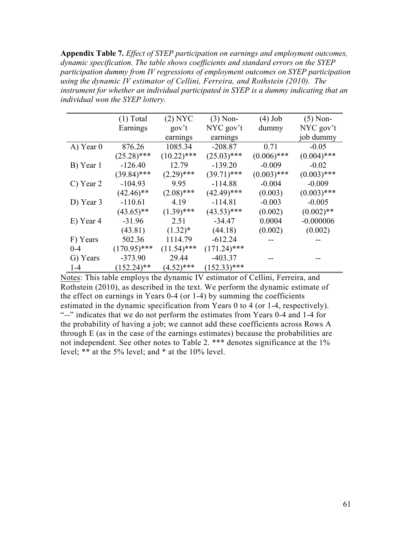**Appendix Table 7.** *Effect of SYEP participation on earnings and employment outcomes, dynamic specification. The table shows coefficients and standard errors on the SYEP participation dummy from IV regressions of employment outcomes on SYEP participation using the dynamic IV estimator of Cellini, Ferreira, and Rothstein (2010). The instrument for whether an individual participated in SYEP is a dummy indicating that an individual won the SYEP lottery.* 

|           | $(1)$ Total    | $(2)$ NYC     | $(3)$ Non-     | $(4)$ Job     | $(5)$ Non-    |
|-----------|----------------|---------------|----------------|---------------|---------------|
|           | Earnings       | $gov^t$       | $NYC$ gov't    | dummy         | $NYC$ gov't   |
|           |                | earnings      | earnings       |               | job dummy     |
| A) Year 0 | 876.26         | 1085.34       | $-208.87$      | 0.71          | $-0.05$       |
|           | $(25.28)$ ***  | $(10.22)$ *** | $(25.03)$ ***  | $(0.006)$ *** | $(0.004)$ *** |
| B) Year 1 | $-126.40$      | 12.79         | $-139.20$      | $-0.009$      | $-0.02$       |
|           | $(39.84)$ ***  | $(2.29)$ ***  | $(39.71)$ ***  | $(0.003)$ *** | $(0.003)$ *** |
| C) Year 2 | $-104.93$      | 9.95          | $-114.88$      | $-0.004$      | $-0.009$      |
|           | $(42.46)$ **   | $(2.08)$ ***  | $(42.49)$ ***  | (0.003)       | $(0.003)$ *** |
| D) Year 3 | $-110.61$      | 4.19          | $-114.81$      | $-0.003$      | $-0.005$      |
|           | $(43.65)$ **   | $(1.39)$ ***  | $(43.53)$ ***  | (0.002)       | $(0.002)$ **  |
| E) Year 4 | $-31.96$       | 2.51          | $-34.47$       | 0.0004        | $-0.000006$   |
|           | (43.81)        | $(1.32)^*$    | (44.18)        | (0.002)       | (0.002)       |
| F) Years  | 502.36         | 1114.79       | $-612.24$      |               |               |
| $0 - 4$   | $(170.95)$ *** | $(11.54)$ *** | $(171.24)$ *** |               |               |
| G) Years  | $-373.90$      | 29.44         | $-403.37$      |               |               |
| $1 - 4$   | $(152.24)$ **  | $(4.52)$ ***  | $(152.33)$ *** |               |               |

Notes: This table employs the dynamic IV estimator of Cellini, Ferreira, and Rothstein (2010), as described in the text. We perform the dynamic estimate of the effect on earnings in Years 0-4 (or 1-4) by summing the coefficients estimated in the dynamic specification from Years 0 to 4 (or 1-4, respectively). "--" indicates that we do not perform the estimates from Years 0-4 and 1-4 for the probability of having a job; we cannot add these coefficients across Rows A through E (as in the case of the earnings estimates) because the probabilities are not independent. See other notes to Table 2. \*\*\* denotes significance at the 1% level; \*\* at the 5% level; and \* at the 10% level.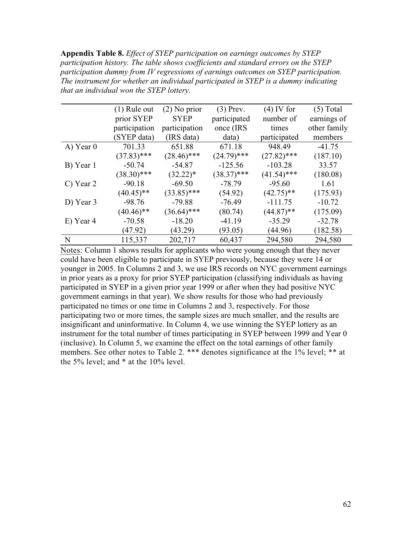**Appendix Table 8.** *Effect of SYEP participation on earnings outcomes by SYEP participation history. The table shows coefficients and standard errors on the SYEP participation dummy from IV regressions of earnings outcomes on SYEP participation. The instrument for whether an individual participated in SYEP is a dummy indicating that an individual won the SYEP lottery.* 

|             | $(1)$ Rule out | $(2)$ No prior | $(3)$ Prev.   | $(4)$ IV for  | $(5)$ Total  |
|-------------|----------------|----------------|---------------|---------------|--------------|
|             | prior SYEP     | <b>SYEP</b>    | participated  | number of     | earnings of  |
|             | participation  | participation  | once (IRS     | times         | other family |
|             | (SYEP data)    | (IRS data)     | data)         | participated  | members      |
| $A)$ Year 0 | 701.33         | 651.88         | 671.18        | 948.49        | $-41.75$     |
|             | $(37.83)$ ***  | $(28.46)$ ***  | $(24.79)$ *** | $(27.82)$ *** | (187.10)     |
| B) Year 1   | $-50.74$       | $-54.87$       | $-125.56$     | $-103.28$     | 33.57        |
|             | $(38.30)$ ***  | $(32.22)^*$    | $(38.37)$ *** | $(41.54)$ *** | (180.08)     |
| C) Year 2   | $-90.18$       | $-69.50$       | $-78.79$      | $-95.60$      | 1.61         |
|             | $(40.45)$ **   | $(33.85)$ ***  | (54.92)       | $(42.75)$ **  | (175.93)     |
| D) Year 3   | $-98.76$       | $-79.88$       | $-76.49$      | $-111.75$     | $-10.72$     |
|             | $(40.46)$ **   | $(36.64)$ ***  | (80.74)       | $(44.87)$ **  | (175.09)     |
| E) Year 4   | $-70.58$       | $-18.20$       | $-41.19$      | $-35.29$      | $-32.78$     |
|             | (47.92)        | (43.29)        | (93.05)       | (44.96)       | (182.58)     |
| N           | 115,337        | 202,717        | 60,437        | 294,580       | 294,580      |

Notes: Column 1 shows results for applicants who were young enough that they never could have been eligible to participate in SYEP previously, because they were 14 or younger in 2005. In Columns 2 and 3, we use IRS records on NYC government earnings in prior years as a proxy for prior SYEP participation (classifying individuals as having participated in SYEP in a given prior year 1999 or after when they had positive NYC government earnings in that year). We show results for those who had previously participated no times or one time in Columns 2 and 3, respectively. For those participating two or more times, the sample sizes are much smaller, and the results are insignificant and uninformative. In Column 4, we use winning the SYEP lottery as an instrument for the total number of times participating in SYEP between 1999 and Year 0 (inclusive). In Column 5, we examine the effect on the total earnings of other family members. See other notes to Table 2. \*\*\* denotes significance at the 1% level; \*\* at the 5% level; and \* at the 10% level.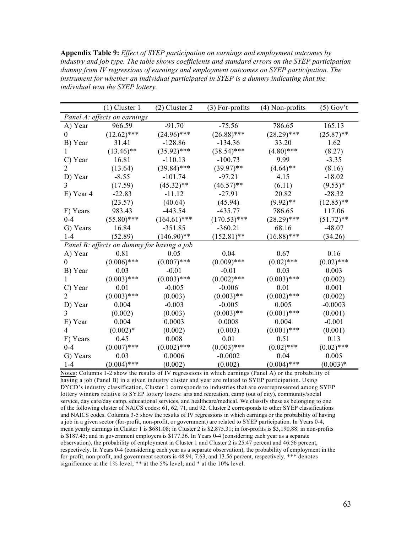**Appendix Table 9:** *Effect of SYEP participation on earnings and employment outcomes by industry and job type. The table shows coefficients and standard errors on the SYEP participation dummy from IV regressions of earnings and employment outcomes on SYEP participation. The instrument for whether an individual participated in SYEP is a dummy indicating that the individual won the SYEP lottery.* 

|                | $(1)$ Cluster 1                            | $(2)$ Cluster 2 | $(3)$ For-profits | (4) Non-profits | $(5)$ Gov't  |
|----------------|--------------------------------------------|-----------------|-------------------|-----------------|--------------|
|                | Panel A: effects on earnings               |                 |                   |                 |              |
| A) Year        | 966.59                                     | $-91.70$        | $-75.56$          | 786.65          | 165.13       |
| $\theta$       | $(12.62)$ ***                              | $(24.96)$ ***   | $(26.88)$ ***     | $(28.29)$ ***   | $(25.87)$ ** |
| B) Year        | 31.41                                      | $-128.86$       | $-134.36$         | 33.20           | 1.62         |
| 1              | $(13.46)$ **                               | $(35.92)$ ***   | $(38.54)$ ***     | $(4.80)$ ***    | (8.27)       |
| C) Year        | 16.81                                      | $-110.13$       | $-100.73$         | 9.99            | $-3.35$      |
| 2              | (13.64)                                    | $(39.84)$ ***   | $(39.97)$ **      | $(4.64)$ **     | (8.16)       |
| D) Year        | $-8.55$                                    | $-101.74$       | $-97.21$          | 4.15            | $-18.02$     |
| 3              | (17.59)                                    | $(45.32)$ **    | $(46.57)$ **      | (6.11)          | $(9.55)^*$   |
| E) Year 4      | $-22.83$                                   | $-11.12$        | $-27.91$          | 20.82           | $-28.32$     |
|                | (23.57)                                    | (40.64)         | (45.94)           | $(9.92)$ **     | $(12.85)$ ** |
| F) Years       | 983.43                                     | $-443.54$       | $-435.77$         | 786.65          | 117.06       |
| $0 - 4$        | $(55.80)$ ***                              | $(164.61)$ ***  | $(170.53)$ ***    | $(28.29)$ ***   | $(51.72)$ ** |
| G) Years       | 16.84                                      | $-351.85$       | $-360.21$         | 68.16           | $-48.07$     |
| $1-4$          | (52.89)                                    | $(146.90)$ **   | $(152.81)$ **     | $(16.88)$ ***   | (34.26)      |
|                | Panel B: effects on dummy for having a job |                 |                   |                 |              |
| A) Year        | 0.81                                       | 0.05            | 0.04              | 0.67            | 0.16         |
| $\theta$       | $(0.006)$ ***                              | $(0.007)$ ***   | $(0.009)$ ***     | $(0.02)$ ***    | $(0.02)$ *** |
| B) Year        | 0.03                                       | $-0.01$         | $-0.01$           | 0.03            | 0.003        |
| 1              | $(0.003)$ ***                              | $(0.003)$ ***   | $(0.002)$ ***     | $(0.003)$ ***   | (0.002)      |
| C) Year        | 0.01                                       | $-0.005$        | $-0.006$          | 0.01            | 0.001        |
| $\overline{2}$ | $(0.003)$ ***                              | (0.003)         | $(0.003)$ **      | $(0.002)$ ***   | (0.002)      |
| D) Year        | 0.004                                      | $-0.003$        | $-0.005$          | 0.005           | $-0.0003$    |
| 3              | (0.002)                                    | (0.003)         | $(0.003)$ **      | $(0.001)$ ***   | (0.001)      |
| E) Year        | 0.004                                      | 0.0003          | 0.0008            | 0.004           | $-0.001$     |
| $\overline{4}$ | $(0.002)*$                                 | (0.002)         | (0.003)           | $(0.001)$ ***   | (0.001)      |
| F) Years       | 0.45                                       | 0.008           | 0.01              | 0.51            | 0.13         |
| $0 - 4$        | $(0.007)$ ***                              | $(0.002)$ ***   | $(0.003)$ ***     | $(0.02)$ ***    | $(0.02)$ *** |
| G) Years       | 0.03                                       | 0.0006          | $-0.0002$         | 0.04            | 0.005        |
| $1-4$          | $(0.004)$ ***                              | (0.002)         | (0.002)           | $(0.004)$ ***   | $(0.003)*$   |

Notes: Columns 1-2 show the results of IV regressions in which earnings (Panel A) or the probability of having a job (Panel B) in a given industry cluster and year are related to SYEP participation. Using DYCD's industry classification, Cluster 1 corresponds to industries that are overrepresented among SYEP lottery winners relative to SYEP lottery losers: arts and recreation, camp (out of city), community/social service, day care/day camp, educational services, and healthcare/medical. We classify these as belonging to one of the following cluster of NAICS codes: 61, 62, 71, and 92. Cluster 2 corresponds to other SYEP classifications and NAICS codes. Columns 3-5 show the results of IV regressions in which earnings or the probability of having a job in a given sector (for-profit, non-profit, or government) are related to SYEP participation. In Years 0-4, mean yearly earnings in Cluster 1 is \$681.08; in Cluster 2 is \$2,875.31; in for-profits is \$3,190.88; in non-profits is \$187.45; and in government employers is \$177.36. In Years 0-4 (considering each year as a separate observation), the probability of employment in Cluster 1 and Cluster 2 is 25.47 percent and 46.56 percent, respectively. In Years 0-4 (considering each year as a separate observation), the probability of employment in the for-profit, non-profit, and government sectors is 48.94, 7.63, and 13.56 percent, respectively. \*\*\* denotes significance at the 1% level; \*\* at the 5% level; and \* at the 10% level.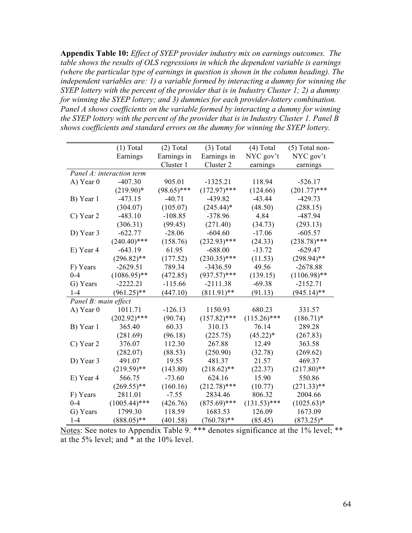**Appendix Table 10:** *Effect of SYEP provider industry mix on earnings outcomes. The table shows the results of OLS regressions in which the dependent variable is earnings (where the particular type of earnings in question is shown in the column heading). The independent variables are: 1) a variable formed by interacting a dummy for winning the SYEP lottery with the percent of the provider that is in Industry Cluster 1; 2) a dummy for winning the SYEP lottery; and 3) dummies for each provider-lottery combination. Panel A shows coefficients on the variable formed by interacting a dummy for winning the SYEP lottery with the percent of the provider that is in Industry Cluster 1. Panel B shows coefficients and standard errors on the dummy for winning the SYEP lottery.* 

|                      | $(1)$ Total               | $(2)$ Total   | $(3)$ Total    | $(4)$ Total    | (5) Total non- |
|----------------------|---------------------------|---------------|----------------|----------------|----------------|
|                      | Earnings                  | Earnings in   | Earnings in    | NYC gov't      | NYC gov't      |
|                      |                           | Cluster 1     | Cluster 2      | earnings       | earnings       |
|                      | Panel A: interaction term |               |                |                |                |
| A) Year 0            | $-407.30$                 | 905.01        | $-1325.21$     | 118.94         | $-526.17$      |
|                      | $(219.90)*$               | $(98.65)$ *** | $(172.97)$ *** | (124.66)       | $(201.77)$ *** |
| B) Year 1            | $-473.15$                 | $-40.71$      | $-439.82$      | $-43.44$       | $-429.73$      |
|                      | (304.07)                  | (105.07)      | $(245.44)^*$   | (48.50)        | (288.15)       |
| C) Year 2            | $-483.10$                 | $-108.85$     | $-378.96$      | 4.84           | $-487.94$      |
|                      | (306.31)                  | (99.45)       | (271.40)       | (34.73)        | (293.13)       |
| D) Year 3            | $-622.77$                 | $-28.06$      | $-604.60$      | $-17.06$       | $-605.57$      |
|                      | $(240.40)$ ***            | (158.76)      | $(232.93)$ *** | (24.33)        | $(238.78)$ *** |
| E) Year 4            | $-643.19$                 | 61.95         | $-688.00$      | $-13.72$       | $-629.47$      |
|                      | $(296.82)$ **             | (177.52)      | $(230.35)$ *** | (11.53)        | $(298.94)$ **  |
| F) Years             | $-2629.51$                | 789.34        | $-3436.59$     | 49.56          | $-2678.88$     |
| $0 - 4$              | $(1086.95)$ **            | (472.85)      | $(937.57)$ *** | (139.15)       | $(1106.98)$ ** |
| G) Years             | $-2222.21$                | $-115.66$     | $-2111.38$     | $-69.38$       | $-2152.71$     |
| $1-4$                | $(961.25)$ **             | (447.10)      | $(811.91)$ **  | (91.13)        | $(945.14)$ **  |
| Panel B: main effect |                           |               |                |                |                |
| A) Year 0            | 1011.71                   | $-126.13$     | 1150.93        | 680.23         | 331.57         |
|                      | $(202.92)$ ***            | (90.74)       | $(157.82)$ *** | $(115.26)$ *** | $(186.71)^*$   |
| B) Year 1            | 365.40                    | 60.33         | 310.13         | 76.14          | 289.28         |
|                      | (281.69)                  | (96.18)       | (225.75)       | $(45.22)^*$    | (267.83)       |
| C) Year 2            | 376.07                    | 112.30        | 267.88         | 12.49          | 363.58         |
|                      | (282.07)                  | (88.53)       | (250.90)       | (32.78)        | (269.62)       |
| D) Year 3            | 491.07                    | 19.55         | 481.37         | 21.57          | 469.37         |
|                      | $(219.59)$ **             | (143.80)      | $(218.62)$ **  | (22.37)        | $(217.80)$ **  |
| E) Year 4            | 566.75                    | $-73.60$      | 624.16         | 15.90          | 550.86         |
|                      | $(269.55)$ **             | (160.16)      | $(212.78)$ *** | (10.77)        | $(271.33)$ **  |
| F) Years             | 2811.01                   | $-7.55$       | 2834.46        | 806.32         | 2004.66        |
| $0 - 4$              | $(1005.44)$ ***           | (426.76)      | $(875.69)$ *** | $(131.53)$ *** | $(1025.63)*$   |
| G) Years             | 1799.30                   | 118.59        | 1683.53        | 126.09         | 1673.09        |
| $1 - 4$              | $(888.05)$ **             | (401.58)      | $(760.78)$ **  | (85.45)        | $(873.25)^*$   |

Notes: See notes to Appendix Table 9. \*\*\* denotes significance at the 1% level; \*\* at the 5% level; and \* at the 10% level.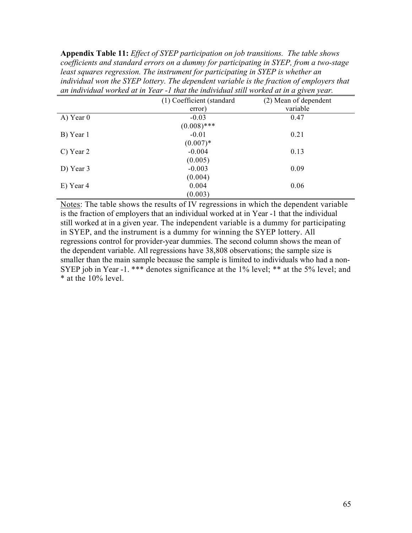**Appendix Table 11:** *Effect of SYEP participation on job transitions. The table shows coefficients and standard errors on a dummy for participating in SYEP, from a two-stage least squares regression. The instrument for participating in SYEP is whether an individual won the SYEP lottery. The dependent variable is the fraction of employers that an individual worked at in Year -1 that the individual still worked at in a given year.*

|             | (1) Coefficient (standard | (2) Mean of dependent |
|-------------|---------------------------|-----------------------|
|             | error)                    | variable              |
| $A)$ Year 0 | $-0.03$                   | 0.47                  |
|             | $(0.008)$ ***             |                       |
| B) Year 1   | $-0.01$                   | 0.21                  |
|             | $(0.007)*$                |                       |
| $C)$ Year 2 | $-0.004$                  | 0.13                  |
|             | (0.005)                   |                       |
| D) Year $3$ | $-0.003$                  | 0.09                  |
|             | (0.004)                   |                       |
| E) Year 4   | 0.004                     | 0.06                  |
|             | (0.003)                   |                       |

Notes: The table shows the results of IV regressions in which the dependent variable is the fraction of employers that an individual worked at in Year -1 that the individual still worked at in a given year. The independent variable is a dummy for participating in SYEP, and the instrument is a dummy for winning the SYEP lottery. All regressions control for provider-year dummies. The second column shows the mean of the dependent variable. All regressions have 38,808 observations; the sample size is smaller than the main sample because the sample is limited to individuals who had a non-SYEP job in Year -1. \*\*\* denotes significance at the 1% level; \*\* at the 5% level; and \* at the 10% level.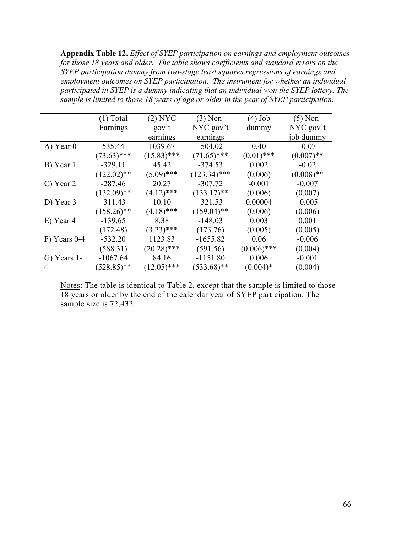**Appendix Table 12.** *Effect of SYEP participation on earnings and employment outcomes for those 18 years and older. The table shows coefficients and standard errors on the SYEP participation dummy from two-stage least squares regressions of earnings and employment outcomes on SYEP participation. The instrument for whether an individual participated in SYEP is a dummy indicating that an individual won the SYEP lottery. The sample is limited to those 18 years of age or older in the year of SYEP participation.*

|              | $(1)$ Total   | $(2)$ NYC     | $(3)$ Non-     | $(4)$ Job     | $(5)$ Non-   |
|--------------|---------------|---------------|----------------|---------------|--------------|
|              | Earnings      | gov't         | $NYC$ gov't    | dummy         | NYC gov't    |
|              |               | earnings      | earnings       |               | job dummy    |
| $A)$ Year 0  | 535.44        | 1039.67       | $-504.02$      | 0.40          | $-0.07$      |
|              | $(73.63)$ *** | $(15.83)$ *** | $(71.65)$ ***  | $(0.01)$ ***  | $(0.007)$ ** |
| B) Year 1    | $-329.11$     | 45.42         | $-374.53$      | 0.002         | $-0.02$      |
|              | $(122.02)$ ** | $(5.09)$ ***  | $(123.34)$ *** | (0.006)       | $(0.008)$ ** |
| C) Year 2    | $-287.46$     | 20.27         | $-307.72$      | $-0.001$      | $-0.007$     |
|              | $(132.09)$ ** | $(4.12)$ ***  | $(133.17)$ **  | (0.006)       | (0.007)      |
| D) Year 3    | $-311.43$     | 10.10         | $-321.53$      | 0.00004       | $-0.005$     |
|              | $(158.26)$ ** | $(4.18)$ ***  | $(159.04)$ **  | (0.006)       | (0.006)      |
| E) Year 4    | $-139.65$     | 8.38          | $-148.03$      | 0.003         | 0.001        |
|              | (172.48)      | $(3.23)$ ***  | (173.76)       | (0.005)       | (0.005)      |
| F) Years 0-4 | $-532.20$     | 1123.83       | $-1655.82$     | 0.06          | $-0.006$     |
|              | (588.31)      | $(20.28)$ *** | (591.56)       | $(0.006)$ *** | (0.004)      |
| G) Years 1-  | $-1067.64$    | 84.16         | $-1151.80$     | 0.006         | $-0.001$     |
| 4            | $(528.85)$ ** | $(12.05)$ *** | $(533.68)$ **  | $(0.004)$ *   | (0.004)      |

Notes: The table is identical to Table 2, except that the sample is limited to those 18 years or older by the end of the calendar year of SYEP participation. The sample size is 72,432.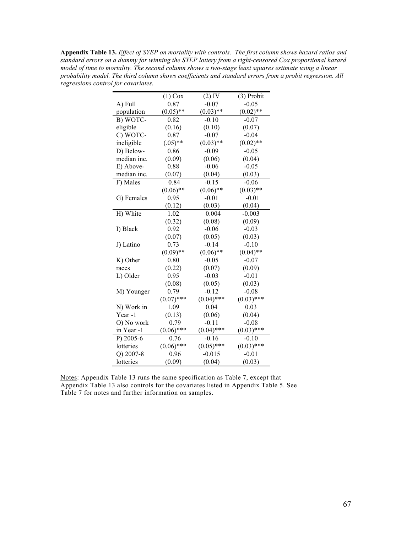**Appendix Table 13.** *Effect of SYEP on mortality with controls. The first column shows hazard ratios and standard errors on a dummy for winning the SYEP lottery from a right-censored Cox proportional hazard model of time to mortality. The second column shows a two-stage least squares estimate using a linear probability model. The third column shows coefficients and standard errors from a probit regression. All regressions control for covariates.*

|             | $(1)$ Cox    | $(2)$ IV     | (3) Probit   |
|-------------|--------------|--------------|--------------|
| A) Full     | 0.87         | $-0.07$      | $-0.05$      |
| population  | $(0.05)$ **  | $(0.03)$ **  | $(0.02)$ **  |
| B) WOTC-    | 0.82         | $-0.10$      | $-0.07$      |
| eligible    | (0.16)       | (0.10)       | (0.07)       |
| C) WOTC-    | 0.87         | $-0.07$      | $-0.04$      |
| ineligible  | $(.05)$ **   | $(0.03)$ **  | $(0.02)$ **  |
| D) Below-   | 0.86         | $-0.09$      | $-0.05$      |
| median inc. | (0.09)       | (0.06)       | (0.04)       |
| E) Above-   | 0.88         | $-0.06$      | $-0.05$      |
| median inc. | (0.07)       | (0.04)       | (0.03)       |
| F) Males    | 0.84         | $-0.15$      | $-0.06$      |
|             | $(0.06)$ **  | $(0.06)$ **  | $(0.03)$ **  |
| G) Females  | 0.95         | $-0.01$      | $-0.01$      |
|             | (0.12)       | (0.03)       | (0.04)       |
| H) White    | 1.02         | 0.004        | $-0.003$     |
|             | (0.32)       | (0.08)       | (0.09)       |
| I) Black    | 0.92         | $-0.06$      | $-0.03$      |
|             | (0.07)       | (0.05)       | (0.03)       |
| J) Latino   | 0.73         | $-0.14$      | $-0.10$      |
|             | $(0.09)$ **  | $(0.06)$ **  | $(0.04)$ **  |
| K) Other    | 0.80         | $-0.05$      | $-0.07$      |
| races       | (0.22)       | (0.07)       | (0.09)       |
| L) Older    | 0.95         | $-0.03$      | $-0.01$      |
|             | (0.08)       | (0.05)       | (0.03)       |
| M) Younger  | 0.79         | $-0.12$      | $-0.08$      |
|             | $(0.07)$ *** | $(0.04)$ *** | $(0.03)$ *** |
| N) Work in  | 1.09         | 0.04         | 0.03         |
| Year-1      | (0.13)       | (0.06)       | (0.04)       |
| O) No work  | 0.79         | $-0.11$      | $-0.08$      |
| in Year -1  | $(0.06)$ *** | $(0.04)$ *** | $(0.03)$ *** |
| P) 2005-6   | 0.76         | $-0.16$      | $-0.10$      |
| lotteries   | $(0.06)$ *** | $(0.05)$ *** | $(0.03)$ *** |
| Q) 2007-8   | 0.96         | $-0.015$     | $-0.01$      |
| lotteries   | (0.09)       | (0.04)       | (0.03)       |

Notes: Appendix Table 13 runs the same specification as Table 7, except that Appendix Table 13 also controls for the covariates listed in Appendix Table 5. See Table 7 for notes and further information on samples.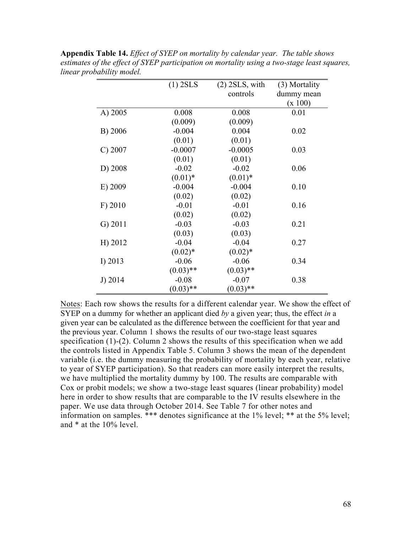|            | $(1)$ 2SLS  | $(2)$ 2SLS, with | (3) Mortality |
|------------|-------------|------------------|---------------|
|            |             | controls         | dummy mean    |
|            |             |                  | (x 100)       |
| A) 2005    | 0.008       | 0.008            | 0.01          |
|            | (0.009)     | (0.009)          |               |
| B) 2006    | $-0.004$    | 0.004            | 0.02          |
|            | (0.01)      | (0.01)           |               |
| C) 2007    | $-0.0007$   | $-0.0005$        | 0.03          |
|            | (0.01)      | (0.01)           |               |
| D) 2008    | $-0.02$     | $-0.02$          | 0.06          |
|            | $(0.01)$ *  | $(0.01)$ *       |               |
| E) 2009    | $-0.004$    | $-0.004$         | 0.10          |
|            | (0.02)      | (0.02)           |               |
| F) 2010    | $-0.01$     | $-0.01$          | 0.16          |
|            | (0.02)      | (0.02)           |               |
| $G)$ 2011  | $-0.03$     | $-0.03$          | 0.21          |
|            | (0.03)      | (0.03)           |               |
| H) 2012    | $-0.04$     | $-0.04$          | 0.27          |
|            | $(0.02)*$   | $(0.02)*$        |               |
| I) 2013    | $-0.06$     | $-0.06$          | 0.34          |
|            | $(0.03)$ ** | $(0.03)$ **      |               |
| J $) 2014$ | $-0.08$     | $-0.07$          | 0.38          |
|            | $(0.03)$ ** | $(0.03)$ **      |               |

**Appendix Table 14.** *Effect of SYEP on mortality by calendar year. The table shows estimates of the effect of SYEP participation on mortality using a two-stage least squares, linear probability model.*

Notes: Each row shows the results for a different calendar year. We show the effect of SYEP on a dummy for whether an applicant died *by* a given year; thus, the effect *in* a given year can be calculated as the difference between the coefficient for that year and the previous year. Column 1 shows the results of our two-stage least squares specification (1)-(2). Column 2 shows the results of this specification when we add the controls listed in Appendix Table 5. Column 3 shows the mean of the dependent variable (i.e. the dummy measuring the probability of mortality by each year, relative to year of SYEP participation). So that readers can more easily interpret the results, we have multiplied the mortality dummy by 100. The results are comparable with Cox or probit models; we show a two-stage least squares (linear probability) model here in order to show results that are comparable to the IV results elsewhere in the paper. We use data through October 2014. See Table 7 for other notes and information on samples. \*\*\* denotes significance at the 1% level; \*\* at the 5% level; and \* at the 10% level.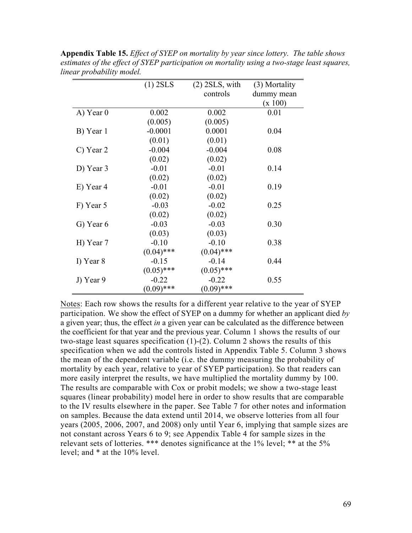|           | $(1)$ 2SLS   | $(2)$ 2SLS, with | (3) Mortality |
|-----------|--------------|------------------|---------------|
|           |              | controls         | dummy mean    |
|           |              |                  | (x 100)       |
| A) Year 0 | 0.002        | 0.002            | 0.01          |
|           | (0.005)      | (0.005)          |               |
| B) Year 1 | $-0.0001$    | 0.0001           | 0.04          |
|           | (0.01)       | (0.01)           |               |
| C) Year 2 | $-0.004$     | $-0.004$         | 0.08          |
|           | (0.02)       | (0.02)           |               |
| D) Year 3 | $-0.01$      | $-0.01$          | 0.14          |
|           | (0.02)       | (0.02)           |               |
| E) Year 4 | $-0.01$      | $-0.01$          | 0.19          |
|           | (0.02)       | (0.02)           |               |
| F) Year 5 | $-0.03$      | $-0.02$          | 0.25          |
|           | (0.02)       | (0.02)           |               |
| G) Year 6 | $-0.03$      | $-0.03$          | 0.30          |
|           | (0.03)       | (0.03)           |               |
| H) Year 7 | $-0.10$      | $-0.10$          | 0.38          |
|           | $(0.04)$ *** | $(0.04)$ ***     |               |
| I) Year 8 | $-0.15$      | $-0.14$          | 0.44          |
|           | $(0.05)$ *** | $(0.05)$ ***     |               |
| J) Year 9 | $-0.22$      | $-0.22$          | 0.55          |
|           | $(0.09)$ *** | $(0.09)$ ***     |               |

**Appendix Table 15.** *Effect of SYEP on mortality by year since lottery. The table shows estimates of the effect of SYEP participation on mortality using a two-stage least squares, linear probability model.*

Notes: Each row shows the results for a different year relative to the year of SYEP participation. We show the effect of SYEP on a dummy for whether an applicant died *by* a given year; thus, the effect *in* a given year can be calculated as the difference between the coefficient for that year and the previous year. Column 1 shows the results of our two-stage least squares specification (1)-(2). Column 2 shows the results of this specification when we add the controls listed in Appendix Table 5. Column 3 shows the mean of the dependent variable (i.e. the dummy measuring the probability of mortality by each year, relative to year of SYEP participation). So that readers can more easily interpret the results, we have multiplied the mortality dummy by 100. The results are comparable with Cox or probit models; we show a two-stage least squares (linear probability) model here in order to show results that are comparable to the IV results elsewhere in the paper. See Table 7 for other notes and information on samples. Because the data extend until 2014, we observe lotteries from all four years (2005, 2006, 2007, and 2008) only until Year 6, implying that sample sizes are not constant across Years 6 to 9; see Appendix Table 4 for sample sizes in the relevant sets of lotteries. \*\*\* denotes significance at the 1% level; \*\* at the 5% level; and \* at the 10% level.